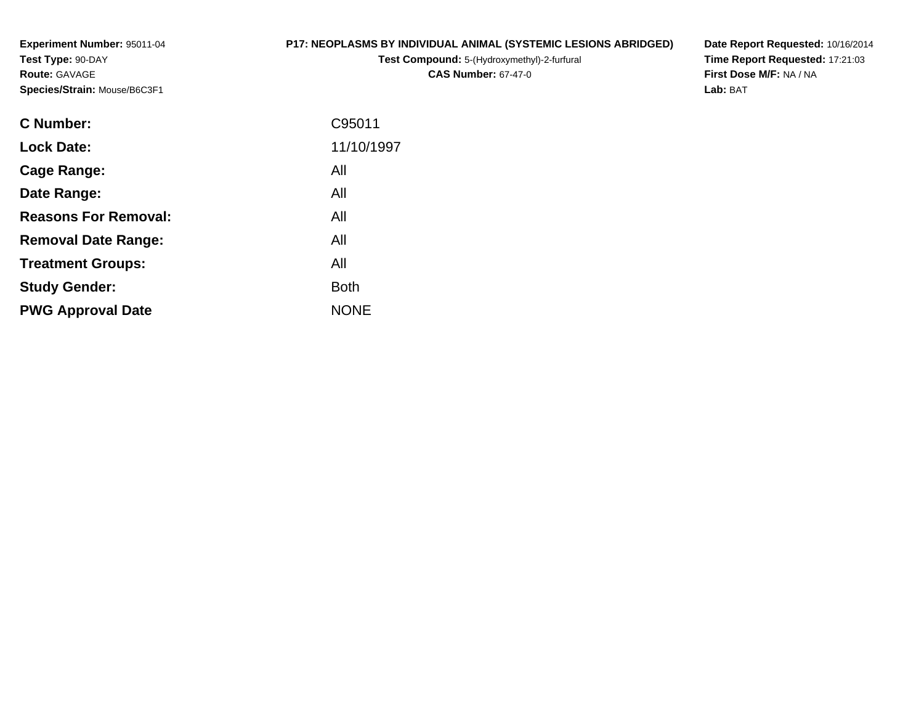**Experiment Number:** 95011-04**Test Type:** 90-DAY**Route:** GAVAGE**Species/Strain:** Mouse/B6C3F1

#### **P17: NEOPLASMS BY INDIVIDUAL ANIMAL (SYSTEMIC LESIONS ABRIDGED)**

**Test Compound:** 5-(Hydroxymethyl)-2-furfural **CAS Number:** 67-47-0

**Date Report Requested:** 10/16/2014 **Time Report Requested:** 17:21:03**First Dose M/F:** NA / NA**Lab:** BAT

| <b>C</b> Number:            | C95011      |
|-----------------------------|-------------|
| <b>Lock Date:</b>           | 11/10/1997  |
| Cage Range:                 | All         |
| Date Range:                 | All         |
| <b>Reasons For Removal:</b> | All         |
| <b>Removal Date Range:</b>  | All         |
| <b>Treatment Groups:</b>    | All         |
| <b>Study Gender:</b>        | <b>Both</b> |
| <b>PWG Approval Date</b>    | <b>NONE</b> |
|                             |             |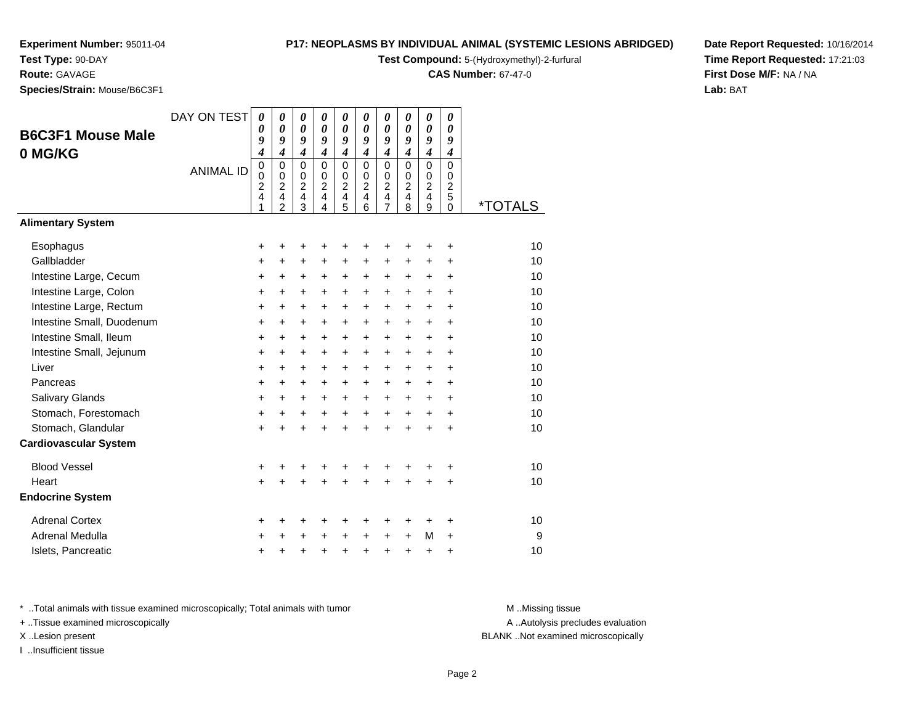# **Test Type:** 90-DAY

**Route:** GAVAGE

**Species/Strain:** Mouse/B6C3F1

#### **P17: NEOPLASMS BY INDIVIDUAL ANIMAL (SYSTEMIC LESIONS ABRIDGED)**

**Test Compound:** 5-(Hydroxymethyl)-2-furfural

**CAS Number:** 67-47-0

**Date Report Requested:** 10/16/2014**Time Report Requested:** 17:21:03**First Dose M/F:** NA / NA**Lab:** BAT

| <b>B6C3F1 Mouse Male</b><br>0 MG/KG | DAY ON TEST<br><b>ANIMAL ID</b> | 0<br>0<br>9<br>$\boldsymbol{4}$<br>$\mathbf 0$<br>0<br>$\overline{c}$<br>4 | $\boldsymbol{\theta}$<br>$\boldsymbol{\theta}$<br>9<br>$\boldsymbol{4}$<br>$\mathbf 0$<br>$\mathbf 0$<br>$\overline{c}$<br>4<br>$\overline{2}$ | $\boldsymbol{\theta}$<br>$\boldsymbol{\theta}$<br>9<br>$\boldsymbol{4}$<br>$\mathbf 0$<br>0<br>$\overline{c}$<br>$\overline{4}$<br>3 | $\boldsymbol{\theta}$<br>$\boldsymbol{\theta}$<br>9<br>$\boldsymbol{4}$<br>$\Omega$<br>$\pmb{0}$<br>$\overline{2}$<br>4<br>4 | 0<br>$\boldsymbol{\theta}$<br>9<br>$\boldsymbol{4}$<br>$\mathbf 0$<br>$\mathbf 0$<br>$\overline{c}$<br>$\overline{4}$<br>5 | 0<br>$\boldsymbol{\theta}$<br>9<br>$\boldsymbol{4}$<br>$\Omega$<br>$\mathbf 0$<br>$\overline{2}$<br>4<br>6 | 0<br>0<br>9<br>$\boldsymbol{4}$<br>0<br>0<br>$\overline{c}$<br>4<br>$\overline{7}$ | 0<br>0<br>9<br>$\boldsymbol{4}$<br>$\Omega$<br>$\mathbf 0$<br>$\overline{2}$<br>4<br>8 | $\boldsymbol{\theta}$<br>$\boldsymbol{\theta}$<br>9<br>$\boldsymbol{4}$<br>$\mathbf 0$<br>$\pmb{0}$<br>$\overline{2}$<br>$\overline{4}$<br>9 | 0<br>0<br>9<br>$\boldsymbol{4}$<br>$\mathbf 0$<br>0<br>$\overline{2}$<br>5<br>$\Omega$ | <i><b>*TOTALS</b></i> |
|-------------------------------------|---------------------------------|----------------------------------------------------------------------------|------------------------------------------------------------------------------------------------------------------------------------------------|--------------------------------------------------------------------------------------------------------------------------------------|------------------------------------------------------------------------------------------------------------------------------|----------------------------------------------------------------------------------------------------------------------------|------------------------------------------------------------------------------------------------------------|------------------------------------------------------------------------------------|----------------------------------------------------------------------------------------|----------------------------------------------------------------------------------------------------------------------------------------------|----------------------------------------------------------------------------------------|-----------------------|
| <b>Alimentary System</b>            |                                 |                                                                            |                                                                                                                                                |                                                                                                                                      |                                                                                                                              |                                                                                                                            |                                                                                                            |                                                                                    |                                                                                        |                                                                                                                                              |                                                                                        |                       |
| Esophagus                           |                                 | +                                                                          | +                                                                                                                                              | +                                                                                                                                    |                                                                                                                              | +                                                                                                                          | +                                                                                                          | +                                                                                  | +                                                                                      | +                                                                                                                                            | +                                                                                      | 10                    |
| Gallbladder                         |                                 | +                                                                          | $\ddot{}$                                                                                                                                      | $\ddot{}$                                                                                                                            | $\ddot{}$                                                                                                                    | $\ddot{}$                                                                                                                  | $\ddot{}$                                                                                                  | $\ddot{}$                                                                          | +                                                                                      | $\ddot{}$                                                                                                                                    | $\ddot{}$                                                                              | 10                    |
| Intestine Large, Cecum              |                                 | +                                                                          | +                                                                                                                                              | +                                                                                                                                    | +                                                                                                                            | +                                                                                                                          | $\pm$                                                                                                      | +                                                                                  | $\ddot{}$                                                                              | $\ddot{}$                                                                                                                                    | +                                                                                      | 10                    |
| Intestine Large, Colon              |                                 | +                                                                          | $\ddot{}$                                                                                                                                      | $\ddot{}$                                                                                                                            | $\ddot{}$                                                                                                                    | $\ddot{}$                                                                                                                  | +                                                                                                          | $\ddot{}$                                                                          | $\ddot{}$                                                                              | $\ddot{}$                                                                                                                                    | $\ddot{}$                                                                              | 10                    |
| Intestine Large, Rectum             |                                 | $\ddot{}$                                                                  | $\ddot{}$                                                                                                                                      | +                                                                                                                                    | $\ddot{}$                                                                                                                    | $\ddot{}$                                                                                                                  | $\ddot{}$                                                                                                  | $\ddot{}$                                                                          | $\ddot{}$                                                                              | $\ddot{}$                                                                                                                                    | $\ddot{}$                                                                              | 10                    |
| Intestine Small, Duodenum           |                                 | $\ddot{}$                                                                  | $\ddot{}$                                                                                                                                      | +                                                                                                                                    | $\ddot{}$                                                                                                                    | $\ddot{}$                                                                                                                  | $\ddot{}$                                                                                                  | $\ddot{}$                                                                          | $\ddot{}$                                                                              | $\ddot{}$                                                                                                                                    | $\ddot{}$                                                                              | 10                    |
| Intestine Small, Ileum              |                                 | +                                                                          | +                                                                                                                                              | +                                                                                                                                    | $\ddot{}$                                                                                                                    | $\ddot{}$                                                                                                                  | +                                                                                                          | +                                                                                  | $\ddot{}$                                                                              | +                                                                                                                                            | $\pm$                                                                                  | 10                    |
| Intestine Small, Jejunum            |                                 | +                                                                          | $\ddot{}$                                                                                                                                      | $\ddot{}$                                                                                                                            | $\ddot{}$                                                                                                                    | $\ddot{}$                                                                                                                  | $\ddot{}$                                                                                                  | $\ddot{}$                                                                          | $\ddot{}$                                                                              | $\ddot{}$                                                                                                                                    | $\ddot{}$                                                                              | 10                    |
| Liver                               |                                 | +                                                                          | +                                                                                                                                              | $\ddot{}$                                                                                                                            | +                                                                                                                            | +                                                                                                                          | +                                                                                                          | +                                                                                  | +                                                                                      | $\ddot{}$                                                                                                                                    | $\ddot{}$                                                                              | 10                    |
| Pancreas                            |                                 | $\ddot{}$                                                                  | $\ddot{}$                                                                                                                                      | $\ddot{}$                                                                                                                            | $\ddot{}$                                                                                                                    | $\ddot{}$                                                                                                                  | $\ddot{}$                                                                                                  | $\ddot{}$                                                                          | $\ddot{}$                                                                              | $\ddot{}$                                                                                                                                    | $\ddot{}$                                                                              | 10                    |
| Salivary Glands                     |                                 | +                                                                          | $\ddot{}$                                                                                                                                      | $\ddot{}$                                                                                                                            | $\ddot{}$                                                                                                                    | $\ddot{}$                                                                                                                  | $\ddot{}$                                                                                                  | +                                                                                  | $\ddot{}$                                                                              | $\ddot{}$                                                                                                                                    | $\ddot{}$                                                                              | 10                    |
| Stomach, Forestomach                |                                 | $\ddot{}$                                                                  | $\ddot{}$                                                                                                                                      | $\ddot{}$                                                                                                                            | $\ddot{}$                                                                                                                    | $\ddot{}$                                                                                                                  | $\ddot{}$                                                                                                  | $\ddot{}$                                                                          | $\ddot{}$                                                                              | $\ddot{}$                                                                                                                                    | $\ddot{}$                                                                              | 10                    |
| Stomach, Glandular                  |                                 | $\ddot{}$                                                                  | $\ddot{}$                                                                                                                                      | $\ddot{}$                                                                                                                            | $\ddot{}$                                                                                                                    | $\ddot{}$                                                                                                                  | $\ddot{}$                                                                                                  | $\ddot{}$                                                                          | $\ddot{}$                                                                              | $\ddot{}$                                                                                                                                    | $\ddot{}$                                                                              | 10                    |
| <b>Cardiovascular System</b>        |                                 |                                                                            |                                                                                                                                                |                                                                                                                                      |                                                                                                                              |                                                                                                                            |                                                                                                            |                                                                                    |                                                                                        |                                                                                                                                              |                                                                                        |                       |
| <b>Blood Vessel</b>                 |                                 | +                                                                          |                                                                                                                                                |                                                                                                                                      |                                                                                                                              |                                                                                                                            |                                                                                                            | +                                                                                  | +                                                                                      | +                                                                                                                                            | +                                                                                      | 10                    |
| Heart                               |                                 | $\ddot{}$                                                                  |                                                                                                                                                | $\ddot{}$                                                                                                                            |                                                                                                                              |                                                                                                                            |                                                                                                            | $\ddot{}$                                                                          | $\ddot{}$                                                                              | +                                                                                                                                            | $\ddot{}$                                                                              | 10                    |
| <b>Endocrine System</b>             |                                 |                                                                            |                                                                                                                                                |                                                                                                                                      |                                                                                                                              |                                                                                                                            |                                                                                                            |                                                                                    |                                                                                        |                                                                                                                                              |                                                                                        |                       |
| <b>Adrenal Cortex</b>               |                                 | +                                                                          | +                                                                                                                                              | +                                                                                                                                    |                                                                                                                              | +                                                                                                                          | +                                                                                                          | +                                                                                  | ٠                                                                                      | +                                                                                                                                            | ٠                                                                                      | 10                    |
| Adrenal Medulla                     |                                 | +                                                                          |                                                                                                                                                | +                                                                                                                                    |                                                                                                                              | $\ddot{}$                                                                                                                  | $\ddot{}$                                                                                                  | $\ddot{}$                                                                          | $+$                                                                                    | M                                                                                                                                            | $\ddot{}$                                                                              | 9                     |
| Islets, Pancreatic                  |                                 | +                                                                          | +                                                                                                                                              | +                                                                                                                                    |                                                                                                                              | $\ddot{}$                                                                                                                  | $\ddot{}$                                                                                                  | $\ddot{}$                                                                          | $\ddot{}$                                                                              | +                                                                                                                                            | $\ddot{}$                                                                              | 10                    |

\* ..Total animals with tissue examined microscopically; Total animals with tumor **M** . Missing tissue M ..Missing tissue

+ ..Tissue examined microscopically

X ..Lesion present BLANK ..Not examined microscopically

I ..Insufficient tissue

A ..Autolysis precludes evaluation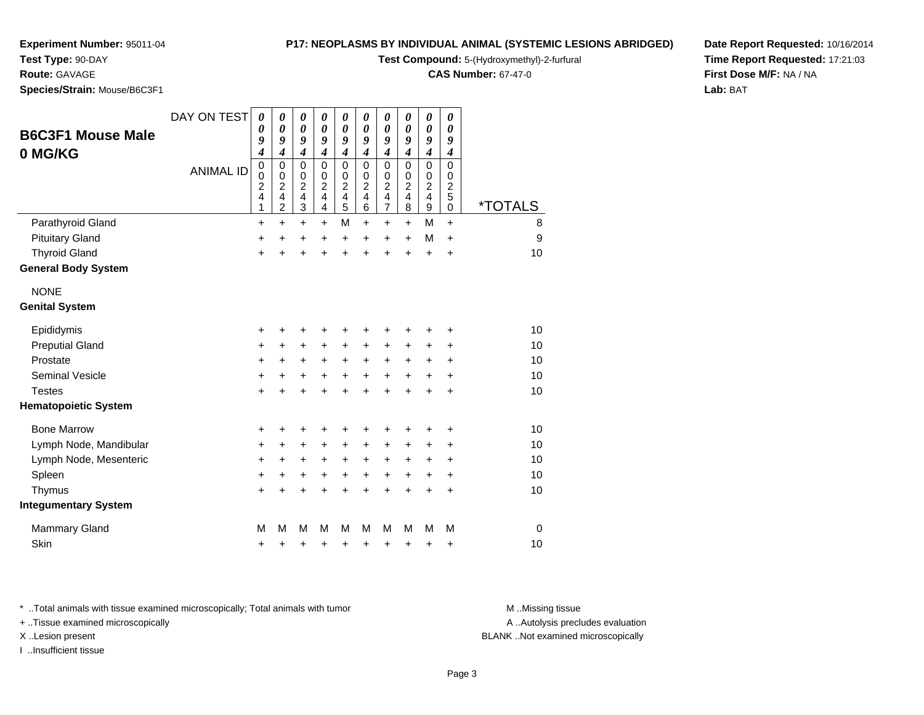**Test Type:** 90-DAY

#### **Route:** GAVAGE

**Species/Strain:** Mouse/B6C3F1

#### **P17: NEOPLASMS BY INDIVIDUAL ANIMAL (SYSTEMIC LESIONS ABRIDGED)**

**Test Compound:** 5-(Hydroxymethyl)-2-furfural

**CAS Number:** 67-47-0

**Date Report Requested:** 10/16/2014**Time Report Requested:** 17:21:03**First Dose M/F:** NA / NA**Lab:** BAT

| <b>B6C3F1 Mouse Male</b>    | DAY ON TEST      | 0<br>$\boldsymbol{\theta}$                                                            | 0<br>$\boldsymbol{\theta}$                            | 0<br>$\boldsymbol{\theta}$                                                              | 0<br>$\boldsymbol{\theta}$                                                      | 0<br>$\boldsymbol{\theta}$                                                   | 0<br>0                                                                      | 0<br>$\boldsymbol{\theta}$                                                       | 0<br>0                                                          | 0<br>$\boldsymbol{\theta}$                                                                         | 0<br>0                                                       |                       |
|-----------------------------|------------------|---------------------------------------------------------------------------------------|-------------------------------------------------------|-----------------------------------------------------------------------------------------|---------------------------------------------------------------------------------|------------------------------------------------------------------------------|-----------------------------------------------------------------------------|----------------------------------------------------------------------------------|-----------------------------------------------------------------|----------------------------------------------------------------------------------------------------|--------------------------------------------------------------|-----------------------|
|                             |                  | 9<br>4                                                                                | 9<br>$\boldsymbol{4}$                                 | 9<br>$\boldsymbol{4}$                                                                   | 9<br>$\boldsymbol{4}$                                                           | 9<br>$\boldsymbol{4}$                                                        | 9<br>4                                                                      | 9<br>$\boldsymbol{4}$                                                            | 9<br>4                                                          | 9<br>4                                                                                             | 9<br>$\boldsymbol{4}$                                        |                       |
| 0 MG/KG                     | <b>ANIMAL ID</b> | $\mathbf 0$<br>$\mathbf 0$<br>$\overline{\mathbf{c}}$<br>$\overline{\mathbf{4}}$<br>1 | 0<br>$\mathbf 0$<br>$\overline{\mathbf{c}}$<br>4<br>2 | $\mathbf 0$<br>$\pmb{0}$<br>$\boldsymbol{2}$<br>$\overline{\mathbf{4}}$<br>$\mathbf{3}$ | 0<br>$\mathbf 0$<br>$\overline{c}$<br>$\overline{\mathbf{4}}$<br>$\overline{4}$ | $\mathbf 0$<br>$\pmb{0}$<br>$\boldsymbol{2}$<br>$\overline{\mathbf{4}}$<br>5 | 0<br>$\mathbf 0$<br>$\overline{\mathbf{c}}$<br>$\overline{\mathbf{4}}$<br>6 | $\mathbf 0$<br>$\pmb{0}$<br>$\boldsymbol{2}$<br>$\overline{4}$<br>$\overline{7}$ | $\Omega$<br>0<br>$\overline{c}$<br>$\overline{\mathbf{4}}$<br>8 | $\mathbf 0$<br>$\pmb{0}$<br>$\overline{\mathbf{c}}$<br>$\overline{\mathbf{4}}$<br>$\boldsymbol{9}$ | $\Omega$<br>0<br>$\overline{\mathbf{c}}$<br>5<br>$\mathbf 0$ | <i><b>*TOTALS</b></i> |
| Parathyroid Gland           |                  | $\ddot{}$                                                                             | $\ddot{}$                                             | $\ddot{}$                                                                               | $\ddot{}$                                                                       | M                                                                            | +                                                                           | $\ddot{}$                                                                        | $\ddot{}$                                                       | M                                                                                                  | $\ddot{}$                                                    | 8                     |
| <b>Pituitary Gland</b>      |                  | +                                                                                     | +                                                     | +                                                                                       | $\ddot{}$                                                                       | +                                                                            | +                                                                           | +                                                                                | +                                                               | M                                                                                                  | $\ddot{}$                                                    | 9                     |
| <b>Thyroid Gland</b>        |                  | $\ddot{}$                                                                             | $\ddot{}$                                             | $\ddot{}$                                                                               | $\ddot{}$                                                                       | $\ddot{}$                                                                    | $\ddot{}$                                                                   | $\ddot{}$                                                                        | $\ddot{}$                                                       | +                                                                                                  | $\ddot{}$                                                    | 10                    |
| <b>General Body System</b>  |                  |                                                                                       |                                                       |                                                                                         |                                                                                 |                                                                              |                                                                             |                                                                                  |                                                                 |                                                                                                    |                                                              |                       |
| <b>NONE</b>                 |                  |                                                                                       |                                                       |                                                                                         |                                                                                 |                                                                              |                                                                             |                                                                                  |                                                                 |                                                                                                    |                                                              |                       |
| <b>Genital System</b>       |                  |                                                                                       |                                                       |                                                                                         |                                                                                 |                                                                              |                                                                             |                                                                                  |                                                                 |                                                                                                    |                                                              |                       |
| Epididymis                  |                  | +                                                                                     | +                                                     | +                                                                                       | +                                                                               | +                                                                            | +                                                                           | +                                                                                | +                                                               | +                                                                                                  | +                                                            | 10                    |
| <b>Preputial Gland</b>      |                  | $\ddot{}$                                                                             | +                                                     | $\ddot{}$                                                                               | +                                                                               | $\ddot{}$                                                                    | +                                                                           | +                                                                                | +                                                               | +                                                                                                  | +                                                            | 10                    |
| Prostate                    |                  | $\ddot{}$                                                                             | $\ddot{}$                                             | $\ddot{}$                                                                               | $\ddot{}$                                                                       | $\ddot{}$                                                                    | $\ddot{}$                                                                   | $\ddot{}$                                                                        | $\ddot{}$                                                       | +                                                                                                  | +                                                            | 10                    |
| <b>Seminal Vesicle</b>      |                  | +                                                                                     | +                                                     | +                                                                                       | $\ddot{}$                                                                       | $\ddot{}$                                                                    | $\ddot{}$                                                                   | $\ddot{}$                                                                        | $\ddot{}$                                                       | $\ddot{}$                                                                                          | $\ddot{}$                                                    | 10                    |
| <b>Testes</b>               |                  | $\ddot{}$                                                                             | $\ddot{}$                                             | $\ddot{}$                                                                               | $\ddot{}$                                                                       | $\ddot{}$                                                                    | $\ddot{}$                                                                   | $\ddot{}$                                                                        | $\ddot{}$                                                       | $\ddot{}$                                                                                          | $\ddot{}$                                                    | 10                    |
| <b>Hematopoietic System</b> |                  |                                                                                       |                                                       |                                                                                         |                                                                                 |                                                                              |                                                                             |                                                                                  |                                                                 |                                                                                                    |                                                              |                       |
| <b>Bone Marrow</b>          |                  | +                                                                                     | +                                                     | +                                                                                       |                                                                                 | +                                                                            | +                                                                           | +                                                                                | +                                                               | +                                                                                                  | +                                                            | 10                    |
| Lymph Node, Mandibular      |                  | +                                                                                     | +                                                     | +                                                                                       | +                                                                               | $\ddot{}$                                                                    | +                                                                           | +                                                                                | +                                                               | +                                                                                                  | +                                                            | 10                    |
| Lymph Node, Mesenteric      |                  | +                                                                                     | +                                                     | +                                                                                       | +                                                                               | $\ddot{}$                                                                    | +                                                                           | $\ddot{}$                                                                        | +                                                               | +                                                                                                  | $\ddot{}$                                                    | 10                    |
| Spleen                      |                  | $\ddot{}$                                                                             | +                                                     | +                                                                                       | +                                                                               | +                                                                            | $\ddot{}$                                                                   | +                                                                                | $\ddot{}$                                                       | +                                                                                                  | $\ddot{}$                                                    | 10                    |
| Thymus                      |                  | $\ddot{}$                                                                             |                                                       |                                                                                         |                                                                                 | +                                                                            | +                                                                           | $\ddot{}$                                                                        | $\ddot{}$                                                       | $\ddot{}$                                                                                          | $\ddot{}$                                                    | 10                    |
| <b>Integumentary System</b> |                  |                                                                                       |                                                       |                                                                                         |                                                                                 |                                                                              |                                                                             |                                                                                  |                                                                 |                                                                                                    |                                                              |                       |
| <b>Mammary Gland</b>        |                  | M                                                                                     | М                                                     | M                                                                                       | M                                                                               | м                                                                            | М                                                                           | M                                                                                | M                                                               | M                                                                                                  | M                                                            | $\mathbf 0$           |
| Skin                        |                  | +                                                                                     | +                                                     | +                                                                                       | +                                                                               | +                                                                            | +                                                                           | +                                                                                | +                                                               | +                                                                                                  | +                                                            | 10                    |

\* ..Total animals with tissue examined microscopically; Total animals with tumor **M** . Missing tissue M ..Missing tissue

+ ..Tissue examined microscopically

I ..Insufficient tissue

A ..Autolysis precludes evaluation

X ..Lesion present BLANK ..Not examined microscopically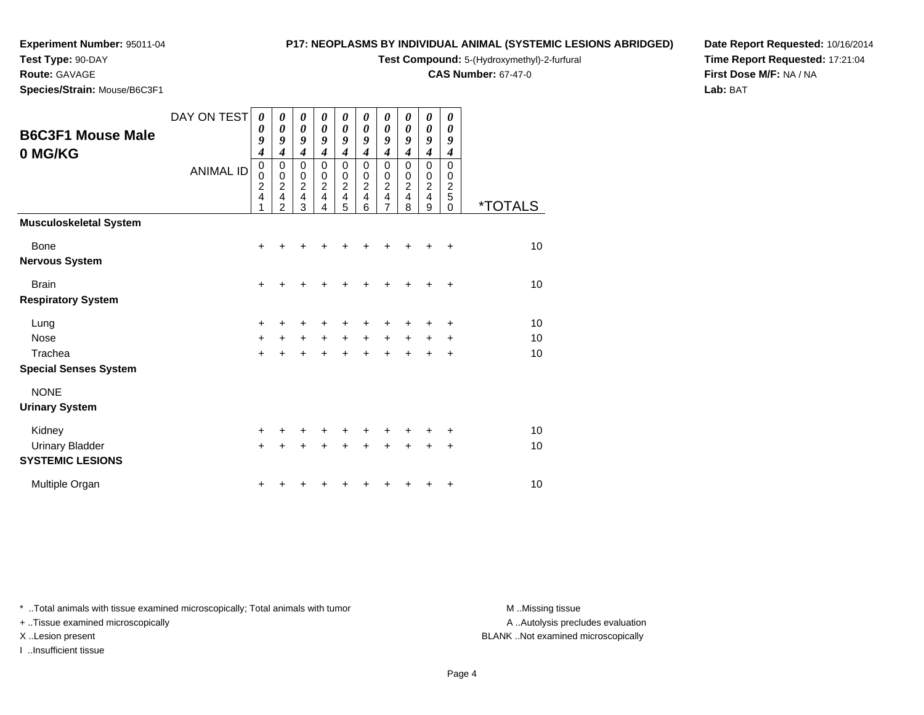**Test Type:** 90-DAY

**Route:** GAVAGE

**Species/Strain:** Mouse/B6C3F1

#### **P17: NEOPLASMS BY INDIVIDUAL ANIMAL (SYSTEMIC LESIONS ABRIDGED)**

**Test Compound:** 5-(Hydroxymethyl)-2-furfural

**CAS Number:** 67-47-0

**Date Report Requested:** 10/16/2014**Time Report Requested:** 17:21:04**First Dose M/F:** NA / NA**Lab:** BAT

|                                                   | DAY ON TEST      |                                                        |                                                                                 |                                        |                                                                      |                                        |                                                          |                                             |                                                                    |                                                  |                                                     |                       |
|---------------------------------------------------|------------------|--------------------------------------------------------|---------------------------------------------------------------------------------|----------------------------------------|----------------------------------------------------------------------|----------------------------------------|----------------------------------------------------------|---------------------------------------------|--------------------------------------------------------------------|--------------------------------------------------|-----------------------------------------------------|-----------------------|
| <b>B6C3F1 Mouse Male</b>                          |                  | 0<br>0                                                 | 0<br>0                                                                          | 0<br>0                                 | 0<br>$\boldsymbol{\theta}$                                           | 0<br>0                                 | 0<br>0                                                   | 0<br>0                                      | 0<br>0                                                             | 0<br>$\boldsymbol{\theta}$                       | 0<br>0                                              |                       |
| 0 MG/KG                                           |                  | 9<br>$\boldsymbol{4}$                                  | 9<br>4                                                                          | 9<br>$\boldsymbol{4}$                  | 9<br>$\boldsymbol{4}$                                                | 9<br>$\boldsymbol{4}$                  | 9<br>$\boldsymbol{4}$                                    | 9<br>$\overline{\mathbf{4}}$                | 9<br>$\overline{\boldsymbol{4}}$                                   | 9<br>$\overline{\boldsymbol{4}}$                 | 9<br>4                                              |                       |
|                                                   | <b>ANIMAL ID</b> | $\mathbf 0$<br>$\mathbf 0$<br>$\overline{c}$<br>4<br>1 | 0<br>$\pmb{0}$<br>$\boldsymbol{2}$<br>$\overline{\mathbf{4}}$<br>$\overline{2}$ | $\mathbf 0$<br>0<br>$\frac{2}{4}$<br>3 | $\mathbf 0$<br>0<br>$\boldsymbol{2}$<br>$\overline{\mathbf{4}}$<br>4 | $\mathbf 0$<br>0<br>$\frac{2}{4}$<br>5 | 0<br>0<br>$\overline{c}$<br>$\overline{\mathbf{4}}$<br>6 | 0<br>$\boldsymbol{0}$<br>$\frac{2}{4}$<br>7 | $\mathbf 0$<br>0<br>$\overline{c}$<br>$\overline{\mathbf{4}}$<br>8 | $\mathbf 0$<br>$\mathbf 0$<br>$\frac{2}{4}$<br>9 | $\mathbf 0$<br>0<br>$\overline{c}$<br>5<br>$\Omega$ | <i><b>*TOTALS</b></i> |
| <b>Musculoskeletal System</b>                     |                  |                                                        |                                                                                 |                                        |                                                                      |                                        |                                                          |                                             |                                                                    |                                                  |                                                     |                       |
| Bone                                              |                  | $\ddot{}$                                              |                                                                                 |                                        |                                                                      |                                        |                                                          |                                             |                                                                    |                                                  | $\ddot{}$                                           | 10                    |
| <b>Nervous System</b>                             |                  |                                                        |                                                                                 |                                        |                                                                      |                                        |                                                          |                                             |                                                                    |                                                  |                                                     |                       |
| <b>Brain</b>                                      |                  | +                                                      |                                                                                 | ٠                                      |                                                                      |                                        |                                                          |                                             |                                                                    |                                                  | ÷                                                   | 10                    |
| <b>Respiratory System</b>                         |                  |                                                        |                                                                                 |                                        |                                                                      |                                        |                                                          |                                             |                                                                    |                                                  |                                                     |                       |
| Lung                                              |                  | +                                                      | +                                                                               | +                                      | +                                                                    | +                                      |                                                          | +                                           |                                                                    |                                                  | +                                                   | 10                    |
| <b>Nose</b>                                       |                  | $\ddot{}$                                              | +                                                                               | $\ddot{}$                              | $\ddot{}$                                                            | $\ddot{}$                              | $\ddot{}$                                                | $\ddot{}$                                   | $\ddot{}$                                                          | +                                                | +                                                   | 10                    |
| Trachea                                           |                  | $+$                                                    | $\ddot{}$                                                                       | $\ddot{}$                              | $\ddot{}$                                                            | $\ddot{}$                              | $+$                                                      | $\ddot{}$                                   | $\ddot{}$                                                          | +                                                | $\ddot{}$                                           | 10                    |
| <b>Special Senses System</b>                      |                  |                                                        |                                                                                 |                                        |                                                                      |                                        |                                                          |                                             |                                                                    |                                                  |                                                     |                       |
| <b>NONE</b>                                       |                  |                                                        |                                                                                 |                                        |                                                                      |                                        |                                                          |                                             |                                                                    |                                                  |                                                     |                       |
| <b>Urinary System</b>                             |                  |                                                        |                                                                                 |                                        |                                                                      |                                        |                                                          |                                             |                                                                    |                                                  |                                                     |                       |
| Kidney                                            |                  | +                                                      |                                                                                 |                                        |                                                                      |                                        |                                                          |                                             |                                                                    |                                                  | +                                                   | 10                    |
| <b>Urinary Bladder</b><br><b>SYSTEMIC LESIONS</b> |                  | $\ddot{}$                                              |                                                                                 | +                                      | ÷                                                                    | +                                      | +                                                        | +                                           | +                                                                  | ÷                                                | +                                                   | 10                    |
| Multiple Organ                                    |                  |                                                        |                                                                                 |                                        |                                                                      |                                        |                                                          |                                             |                                                                    |                                                  | +                                                   | 10                    |

\* ..Total animals with tissue examined microscopically; Total animals with tumor **M** . Missing tissue M ..Missing tissue

+ ..Tissue examined microscopically

I ..Insufficient tissue

A ..Autolysis precludes evaluation

X ..Lesion present BLANK ..Not examined microscopically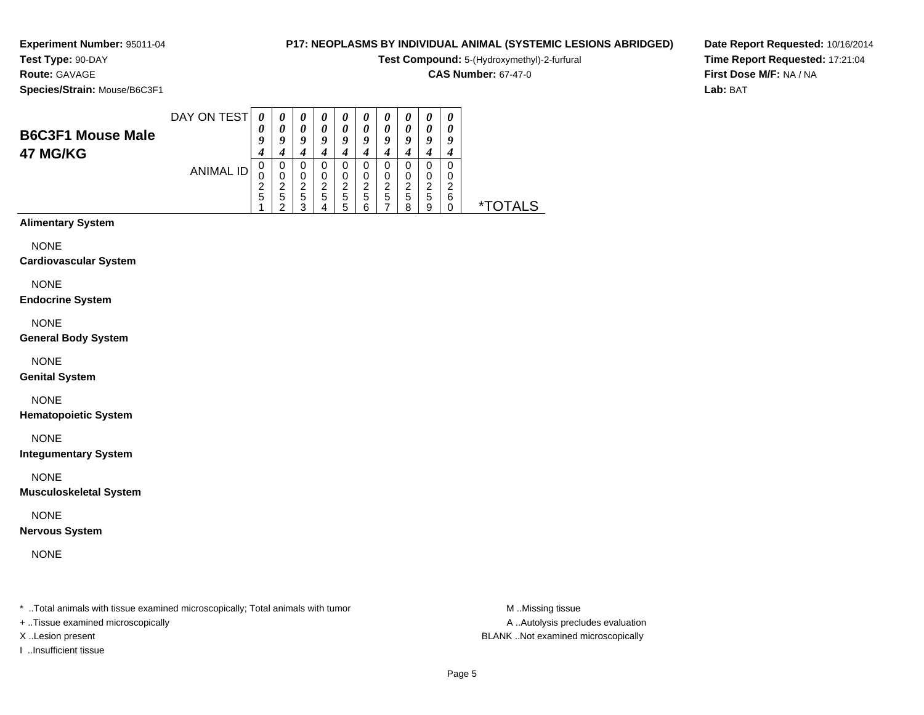#### **Test Type:** 90-DAY**Route:** GAVAGE

**Species/Strain:** Mouse/B6C3F1

#### **P17: NEOPLASMS BY INDIVIDUAL ANIMAL (SYSTEMIC LESIONS ABRIDGED)**

**Test Compound:** 5-(Hydroxymethyl)-2-furfural

**CAS Number:** 67-47-0

**Date Report Requested:** 10/16/2014**Time Report Requested:** 17:21:04**First Dose M/F:** NA / NA**Lab:** BAT

| <b>B6C3F1 Mouse Male</b><br>47 MG/KG | DAY ON TEST      | 0<br>0      | $\boldsymbol{\theta}$<br>0 | $\boldsymbol{\theta}$<br>0<br>q | $\boldsymbol{\theta}$<br>0 | $\boldsymbol{\theta}$<br>$\theta$<br>Q | $\boldsymbol{\theta}$<br>$\boldsymbol{\theta}$<br>u | $\boldsymbol{\theta}$<br>$\boldsymbol{\theta}$<br>9 | U<br>$\boldsymbol{\mathit{u}}$<br>ч | $\boldsymbol{\theta}$<br>0<br>q | $\boldsymbol{\theta}$<br>0<br>у |    |
|--------------------------------------|------------------|-------------|----------------------------|---------------------------------|----------------------------|----------------------------------------|-----------------------------------------------------|-----------------------------------------------------|-------------------------------------|---------------------------------|---------------------------------|----|
|                                      | <b>ANIMAL ID</b> | 0<br>0<br>5 | 0<br>0<br>ີ<br>5           | O<br>0<br>◠<br>5<br>ົ           | ◠<br>5                     | 0<br>0<br>ົ<br>5<br>:5                 | 0<br>ົ<br>5<br>ี                                    | 0<br>0<br>ົ<br>{<br>5                               | 0<br>0<br>ົ<br>5<br>я               | 0<br>0<br>ົ<br>∼<br>5<br>9      | 0<br>0<br>◠<br>6                | ∗⊤ |

#### **Alimentary System**

NONE

#### **Cardiovascular System**

NONE

#### **Endocrine System**

NONE

#### **General Body System**

NONE

#### **Genital System**

NONE

#### **Hematopoietic System**

NONE

#### **Integumentary System**

NONE

#### **Musculoskeletal System**

NONE

#### **Nervous System**

NONE

\* ..Total animals with tissue examined microscopically; Total animals with tumor **M** ..Missing tissue M ..Missing tissue

+ ..Tissue examined microscopically

I ..Insufficient tissue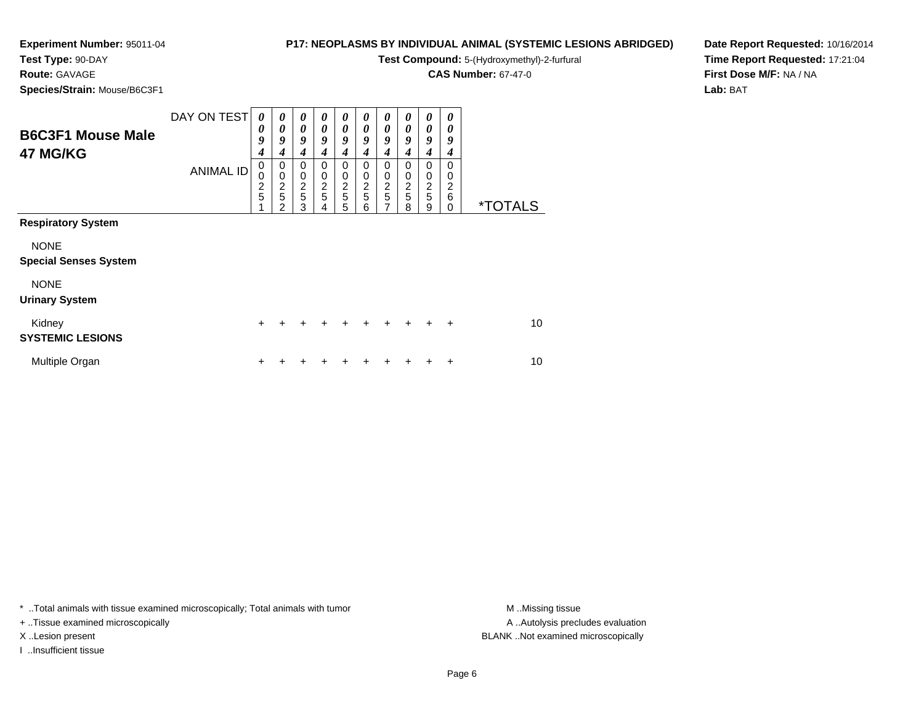# **Test Type:** 90-DAY

**Route:** GAVAGE

**Species/Strain:** Mouse/B6C3F1

#### **P17: NEOPLASMS BY INDIVIDUAL ANIMAL (SYSTEMIC LESIONS ABRIDGED)**

**Test Compound:** 5-(Hydroxymethyl)-2-furfural

**CAS Number:** 67-47-0

**Date Report Requested:** 10/16/2014**Time Report Requested:** 17:21:04**First Dose M/F:** NA / NA**Lab:** BAT

| <b>B6C3F1 Mouse Male</b><br>47 MG/KG        | DAY ON TEST<br><b>ANIMAL ID</b> | $\boldsymbol{\theta}$<br>0<br>9<br>4<br>0<br>0<br>$\frac{2}{5}$ | $\boldsymbol{\theta}$<br>0<br>9<br>4<br>0<br>$\mathbf 0$<br>$\frac{2}{5}$<br>2 | $\boldsymbol{\theta}$<br>$\boldsymbol{\theta}$<br>9<br>4<br>0<br>$\pmb{0}$<br>$\frac{2}{5}$<br>3 | 0<br>$\boldsymbol{\theta}$<br>9<br>4<br>0<br>0<br>$\frac{2}{5}$<br>4 | $\boldsymbol{\theta}$<br>$\boldsymbol{\theta}$<br>$\boldsymbol{g}$<br>4<br>0<br>$\mathbf 0$<br>$\frac{2}{5}$<br>5 | 0<br>0<br>9<br>4<br>0<br>0<br>$\frac{2}{5}$<br>6 | 0<br>$\boldsymbol{\theta}$<br>9<br>4<br>0<br>0<br>$\frac{2}{5}$<br>$\overline{7}$ | 0<br>0<br>9<br>4<br>0<br>0<br>$\frac{2}{5}$<br>8 | 0<br>0<br>9<br>4<br>0<br>$\begin{array}{c} 0 \\ 2 \\ 5 \end{array}$<br>9 | 0<br>0<br>9<br>4<br>$\Omega$<br>0<br>$\overline{c}$<br>6<br>$\Omega$ | <i><b>*TOTALS</b></i> |
|---------------------------------------------|---------------------------------|-----------------------------------------------------------------|--------------------------------------------------------------------------------|--------------------------------------------------------------------------------------------------|----------------------------------------------------------------------|-------------------------------------------------------------------------------------------------------------------|--------------------------------------------------|-----------------------------------------------------------------------------------|--------------------------------------------------|--------------------------------------------------------------------------|----------------------------------------------------------------------|-----------------------|
| <b>Respiratory System</b>                   |                                 |                                                                 |                                                                                |                                                                                                  |                                                                      |                                                                                                                   |                                                  |                                                                                   |                                                  |                                                                          |                                                                      |                       |
| <b>NONE</b><br><b>Special Senses System</b> |                                 |                                                                 |                                                                                |                                                                                                  |                                                                      |                                                                                                                   |                                                  |                                                                                   |                                                  |                                                                          |                                                                      |                       |
| <b>NONE</b><br><b>Urinary System</b>        |                                 |                                                                 |                                                                                |                                                                                                  |                                                                      |                                                                                                                   |                                                  |                                                                                   |                                                  |                                                                          |                                                                      |                       |
| Kidney<br><b>SYSTEMIC LESIONS</b>           |                                 | $\ddot{}$                                                       |                                                                                | $\ddot{}$                                                                                        |                                                                      | ÷                                                                                                                 | $\ddot{}$                                        |                                                                                   |                                                  |                                                                          | $\ddot{}$                                                            | 10                    |
| Multiple Organ                              |                                 | ┿                                                               |                                                                                |                                                                                                  |                                                                      |                                                                                                                   |                                                  |                                                                                   |                                                  |                                                                          | ÷                                                                    | 10                    |

\* ..Total animals with tissue examined microscopically; Total animals with tumor **M** . Missing tissue M ..Missing tissue

+ ..Tissue examined microscopically

I ..Insufficient tissue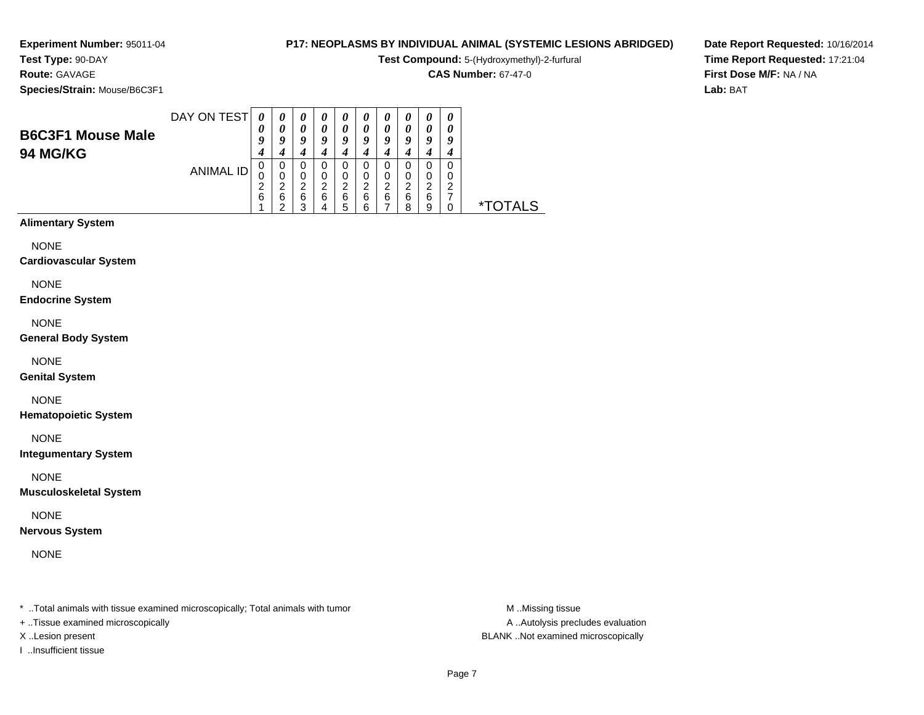**Experiment Number:** 95011-04**Test Type:** 90-DAY

# **Route:** GAVAGE

**Species/Strain:** Mouse/B6C3F1

#### **P17: NEOPLASMS BY INDIVIDUAL ANIMAL (SYSTEMIC LESIONS ABRIDGED)**

**Test Compound:** 5-(Hydroxymethyl)-2-furfural

**CAS Number:** 67-47-0

**Date Report Requested:** 10/16/2014**Time Report Requested:** 17:21:04**First Dose M/F:** NA / NA**Lab:** BAT

| <b>B6C3F1 Mouse Male</b><br><b>94 MG/KG</b> | DAY ON TEST | 0<br>U<br>u | $\boldsymbol{\theta}$<br>a | $\boldsymbol{\theta}$<br>Q | u           | O                     |        | Q                |        | $\boldsymbol{\theta}$<br>0<br>9 | U |    |
|---------------------------------------------|-------------|-------------|----------------------------|----------------------------|-------------|-----------------------|--------|------------------|--------|---------------------------------|---|----|
|                                             | ANIMAL ID   | υ<br>6      | 0<br>0<br>◠<br>6<br>◠      | 0<br>0<br>າ<br>∠<br>6<br>っ | 0<br>ົ<br>6 | 0<br>ົ<br>∠<br>6<br>5 | 6<br>ี | 0<br>າ<br>∠<br>6 | ◠<br>6 | 0<br>2<br>6<br>9                |   | ∗⊤ |

#### **Alimentary System**

NONE

#### **Cardiovascular System**

NONE

#### **Endocrine System**

NONE

#### **General Body System**

NONE

#### **Genital System**

NONE

#### **Hematopoietic System**

NONE

#### **Integumentary System**

NONE

#### **Musculoskeletal System**

NONE

#### **Nervous System**

NONE

\* ..Total animals with tissue examined microscopically; Total animals with tumor **M** ..Missing tissue M ..Missing tissue

+ ..Tissue examined microscopically

I ..Insufficient tissue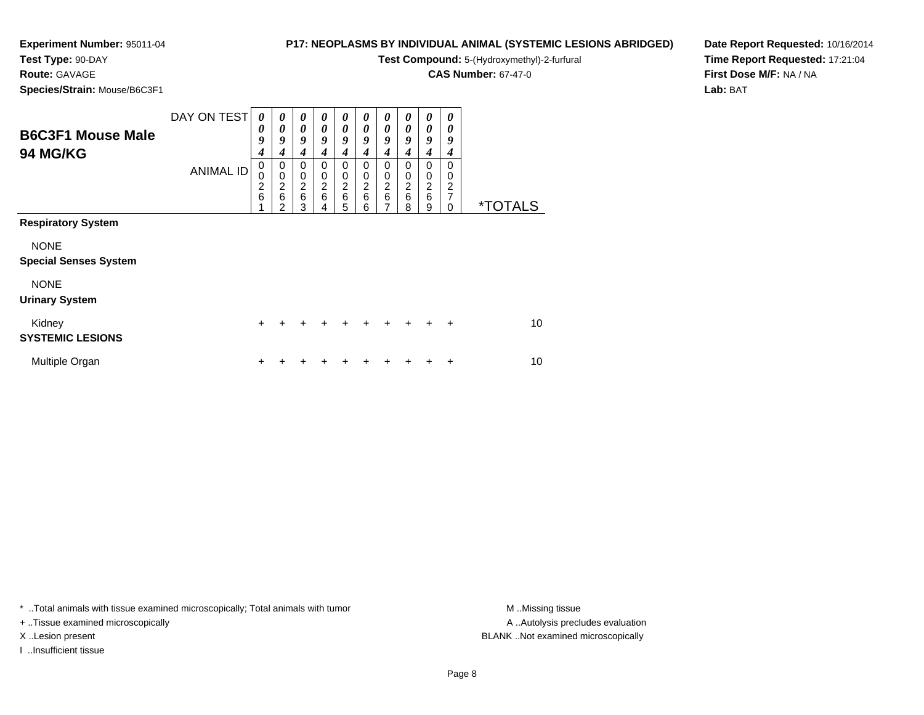# **Test Type:** 90-DAY

**Route:** GAVAGE

**Species/Strain:** Mouse/B6C3F1

#### **P17: NEOPLASMS BY INDIVIDUAL ANIMAL (SYSTEMIC LESIONS ABRIDGED)**

**Test Compound:** 5-(Hydroxymethyl)-2-furfural

**CAS Number:** 67-47-0

**Date Report Requested:** 10/16/2014**Time Report Requested:** 17:21:04**First Dose M/F:** NA / NA**Lab:** BAT

| <b>B6C3F1 Mouse Male</b><br>94 MG/KG                                                    | DAY ON TEST<br><b>ANIMAL ID</b> | 0<br>$\boldsymbol{\theta}$<br>9<br>4<br>0<br>$\mathbf 0$<br>$\frac{2}{6}$ | 0<br>$\boldsymbol{\theta}$<br>9<br>4<br>0<br>$\mathbf 0$<br>$\overline{\mathbf{c}}$<br>$\,6$<br>2 | 0<br>0<br>9<br>4<br>0<br>$\pmb{0}$<br>$\boldsymbol{2}$<br>$\,6$<br>3 | 0<br>0<br>9<br>4<br>0<br>0<br>$\overline{c}$<br>6<br>4 | 0<br>0<br>9<br>4<br>0<br>0<br>$\overline{\mathbf{c}}$<br>6<br>5 | 0<br>0<br>9<br>4<br>0<br>0<br>2<br>6<br>6 | 0<br>0<br>9<br>4<br>0<br>$\boldsymbol{0}$<br>$\frac{2}{6}$<br>7 | 0<br>0<br>9<br>4<br>0<br>0<br>$\overline{\mathbf{c}}$<br>6<br>8 | 0<br>0<br>9<br>4<br>0<br>0<br>$\frac{2}{6}$<br>9 | 0<br>0<br>9<br>4<br>$\Omega$<br>0<br>2<br>7<br>$\Omega$ | <i><b>*TOTALS</b></i> |
|-----------------------------------------------------------------------------------------|---------------------------------|---------------------------------------------------------------------------|---------------------------------------------------------------------------------------------------|----------------------------------------------------------------------|--------------------------------------------------------|-----------------------------------------------------------------|-------------------------------------------|-----------------------------------------------------------------|-----------------------------------------------------------------|--------------------------------------------------|---------------------------------------------------------|-----------------------|
| <b>Respiratory System</b><br><b>NONE</b><br><b>Special Senses System</b><br><b>NONE</b> |                                 |                                                                           |                                                                                                   |                                                                      |                                                        |                                                                 |                                           |                                                                 |                                                                 |                                                  |                                                         |                       |
| <b>Urinary System</b><br>Kidney<br><b>SYSTEMIC LESIONS</b>                              |                                 | $\ddot{}$                                                                 |                                                                                                   |                                                                      |                                                        | +                                                               | +                                         |                                                                 |                                                                 |                                                  | $\ddot{}$                                               | 10                    |
| Multiple Organ                                                                          |                                 | ٠                                                                         |                                                                                                   |                                                                      |                                                        |                                                                 |                                           |                                                                 |                                                                 |                                                  | ٠                                                       | 10                    |

\* ..Total animals with tissue examined microscopically; Total animals with tumor **M** . Missing tissue M ..Missing tissue

+ ..Tissue examined microscopically

I ..Insufficient tissue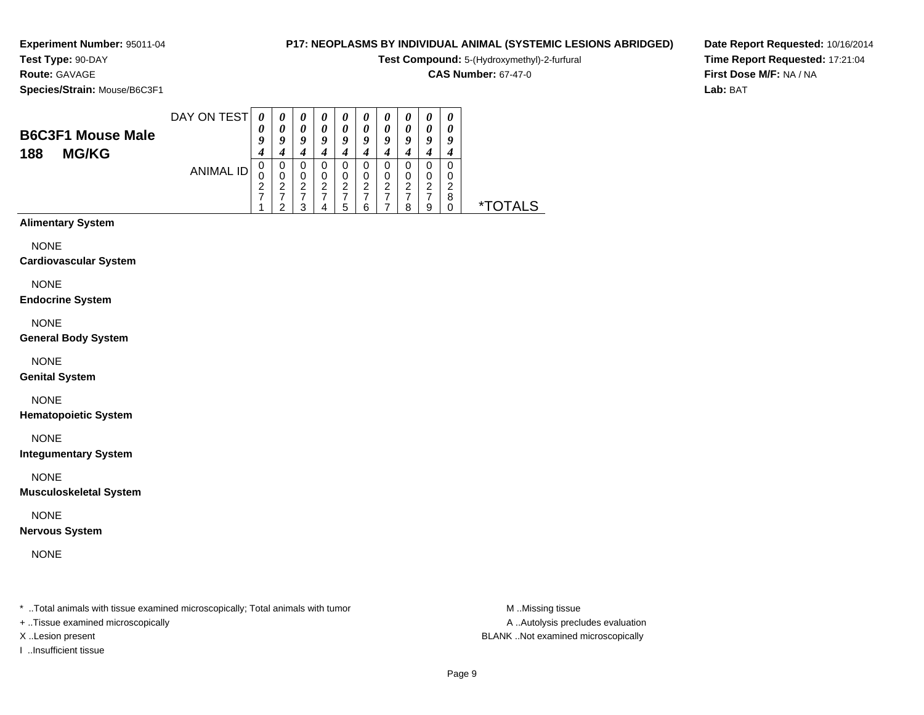**Experiment Number:** 95011-04**Test Type:** 90-DAY

# **Route:** GAVAGE

**Species/Strain:** Mouse/B6C3F1

#### **P17: NEOPLASMS BY INDIVIDUAL ANIMAL (SYSTEMIC LESIONS ABRIDGED)**

**Test Compound:** 5-(Hydroxymethyl)-2-furfural

**CAS Number:** 67-47-0

**Date Report Requested:** 10/16/2014**Time Report Requested:** 17:21:04**First Dose M/F:** NA / NA**Lab:** BAT

| <b>B6C3F1 Mouse Male</b><br><b>MG/KG</b><br>188 | DAY ON TEST      | 0<br>0 | $\boldsymbol{\theta}$<br>0<br>a | $\boldsymbol{\theta}$<br>0<br>q | U<br>0 | $\boldsymbol{\theta}$<br>0<br>Q | $\boldsymbol{\theta}$<br>$\boldsymbol{\theta}$<br>а | $\boldsymbol{\theta}$<br>0<br>9 | $\boldsymbol{v}$<br>U<br>ч | $\boldsymbol{\theta}$<br>0<br>9 | $\boldsymbol{\theta}$<br>0<br>g |               |
|-------------------------------------------------|------------------|--------|---------------------------------|---------------------------------|--------|---------------------------------|-----------------------------------------------------|---------------------------------|----------------------------|---------------------------------|---------------------------------|---------------|
|                                                 | <b>ANIMAL ID</b> | O<br>0 | 0<br>O<br>ີ<br>ີ                | O<br>0<br>റ<br>っ                | O<br>◠ | 0<br>0<br>ົ<br>–<br>5           | O<br>0<br>◠<br>6                                    | 0<br>0<br>2                     | O<br>0<br>റ<br>8           | 0<br>0<br>ົ<br>-<br>9           | 0<br>0<br>ົ<br>8                | TOTAL S<br>∗т |

#### **Alimentary System**

NONE

#### **Cardiovascular System**

NONE

#### **Endocrine System**

NONE

#### **General Body System**

NONE

#### **Genital System**

NONE

#### **Hematopoietic System**

NONE

#### **Integumentary System**

NONE

#### **Musculoskeletal System**

NONE

#### **Nervous System**

NONE

\* ..Total animals with tissue examined microscopically; Total animals with tumor **M** ..Missing tissue M ..Missing tissue

+ ..Tissue examined microscopically

I ..Insufficient tissue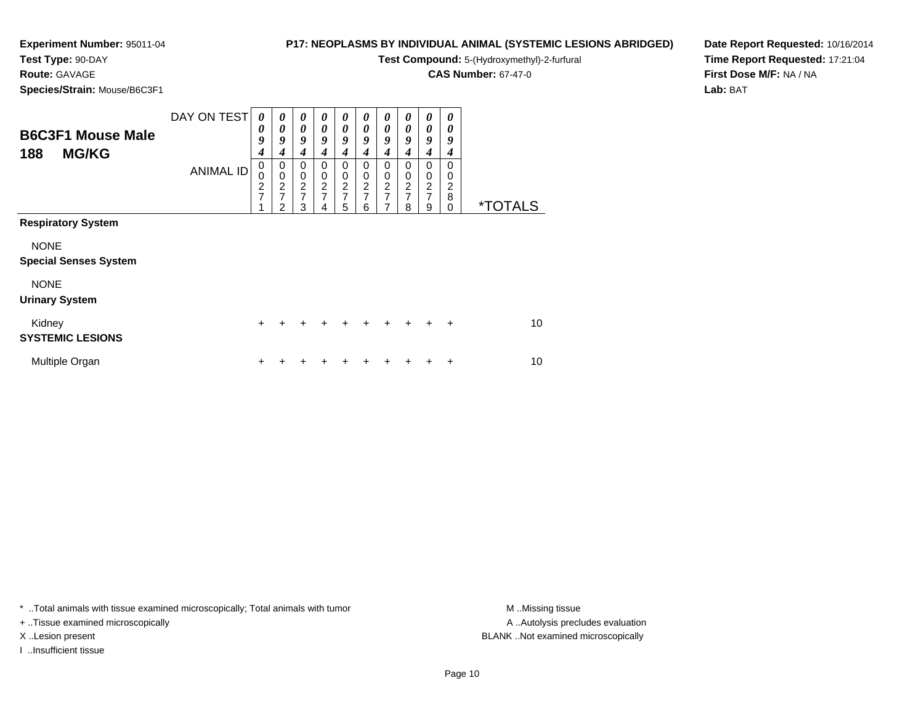# **Test Type:** 90-DAY

**Route:** GAVAGE

**Species/Strain:** Mouse/B6C3F1

#### **P17: NEOPLASMS BY INDIVIDUAL ANIMAL (SYSTEMIC LESIONS ABRIDGED)**

**Test Compound:** 5-(Hydroxymethyl)-2-furfural

**CAS Number:** 67-47-0

**Date Report Requested:** 10/16/2014**Time Report Requested:** 17:21:04**First Dose M/F:** NA / NA**Lab:** BAT

| <b>B6C3F1 Mouse Male</b><br><b>MG/KG</b><br>188                                                                  | DAY ON TEST<br><b>ANIMAL ID</b> | 0<br>0<br>9<br>$\boldsymbol{4}$<br>0<br>$\mathbf 0$<br>$\overline{c}$<br>$\overline{7}$ | 0<br>0<br>9<br>4<br>0<br>$\overline{0}$<br>$\overline{c}$<br>$\overline{7}$<br>2 | 0<br>$\boldsymbol{\theta}$<br>9<br>4<br>0<br>$\pmb{0}$<br>$\boldsymbol{2}$<br>$\overline{7}$<br>3 | 0<br>0<br>$\boldsymbol{q}$<br>4<br>0<br>$\mathbf 0$<br>$\overline{c}$<br>$\overline{7}$<br>4 | 0<br>0<br>9<br>4<br>0<br>$\boldsymbol{0}$<br>$\boldsymbol{2}$<br>$\overline{7}$<br>5 | 0<br>0<br>9<br>4<br>0<br>0<br>$\overline{c}$<br>$\overline{7}$<br>6 | 0<br>0<br>9<br>4<br>0<br>$\pmb{0}$<br>$\frac{2}{7}$<br>7 | 0<br>0<br>9<br>$\boldsymbol{4}$<br>0<br>0<br>$\boldsymbol{2}$<br>$\overline{7}$<br>8 | 0<br>0<br>9<br>4<br>0<br>$\pmb{0}$<br>$\frac{2}{7}$<br>9 | 0<br>0<br>9<br>4<br>0<br>0<br>2<br>8<br>0 | <i><b>*TOTALS</b></i> |
|------------------------------------------------------------------------------------------------------------------|---------------------------------|-----------------------------------------------------------------------------------------|----------------------------------------------------------------------------------|---------------------------------------------------------------------------------------------------|----------------------------------------------------------------------------------------------|--------------------------------------------------------------------------------------|---------------------------------------------------------------------|----------------------------------------------------------|--------------------------------------------------------------------------------------|----------------------------------------------------------|-------------------------------------------|-----------------------|
| <b>Respiratory System</b><br><b>NONE</b><br><b>Special Senses System</b><br><b>NONE</b><br><b>Urinary System</b> |                                 |                                                                                         |                                                                                  |                                                                                                   |                                                                                              |                                                                                      |                                                                     |                                                          |                                                                                      |                                                          |                                           |                       |
| Kidney<br><b>SYSTEMIC LESIONS</b>                                                                                |                                 | $\ddot{}$                                                                               |                                                                                  |                                                                                                   |                                                                                              | +                                                                                    |                                                                     |                                                          |                                                                                      |                                                          | $\div$                                    | 10                    |
| Multiple Organ                                                                                                   |                                 | +                                                                                       |                                                                                  |                                                                                                   |                                                                                              |                                                                                      |                                                                     |                                                          |                                                                                      |                                                          | ٠                                         | 10                    |

\* ..Total animals with tissue examined microscopically; Total animals with tumor **M** . Missing tissue M ..Missing tissue

+ ..Tissue examined microscopically

I ..Insufficient tissue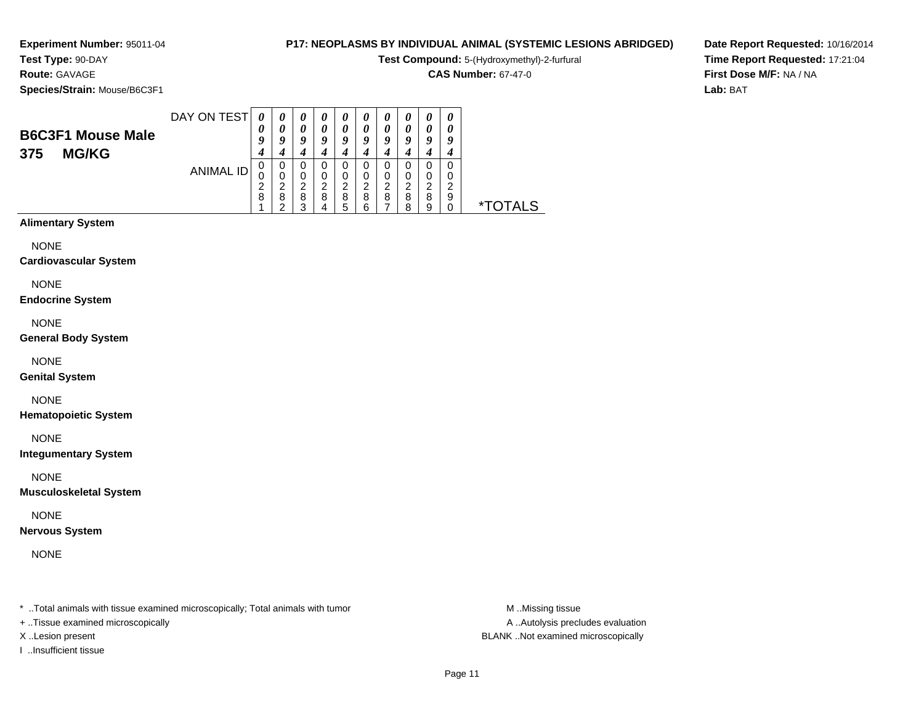#### **Test Type:** 90-DAY**Route:** GAVAGE

**Species/Strain:** Mouse/B6C3F1

#### **P17: NEOPLASMS BY INDIVIDUAL ANIMAL (SYSTEMIC LESIONS ABRIDGED)**

**Test Compound:** 5-(Hydroxymethyl)-2-furfural

**CAS Number:** 67-47-0

**Date Report Requested:** 10/16/2014**Time Report Requested:** 17:21:04**First Dose M/F:** NA / NA**Lab:** BAT

| <b>B6C3F1 Mouse Male</b><br><b>MG/KG</b><br>375 | DAY ON TEST      | 0<br>$\boldsymbol{\theta}$<br>O | $\theta$<br>o | $\boldsymbol{\theta}$<br>$\boldsymbol{\theta}$<br>q | $\boldsymbol{\theta}$<br>o | $\boldsymbol{\theta}$<br>a | $\boldsymbol{\theta}$<br>o | $\boldsymbol{\theta}$<br>0<br>q | 0<br>o      | 0<br>0<br>q      | 0<br>0<br>9      |  |
|-------------------------------------------------|------------------|---------------------------------|---------------|-----------------------------------------------------|----------------------------|----------------------------|----------------------------|---------------------------------|-------------|------------------|------------------|--|
|                                                 | <b>ANIMAL ID</b> | U<br>J<br>8                     | ◠<br>8        | ີ<br>8<br>◠                                         | ◠<br>8<br>4                | ີ<br>8<br>5                | ີ<br>8                     | ◠<br>8                          | ີ<br>8<br>o | 0<br>റ<br>8<br>9 | 0<br>O<br>റ<br>9 |  |

#### **Alimentary System**

NONE

#### **Cardiovascular System**

NONE

#### **Endocrine System**

NONE

#### **General Body System**

NONE

#### **Genital System**

NONE

#### **Hematopoietic System**

NONE

#### **Integumentary System**

NONE

#### **Musculoskeletal System**

NONE

#### **Nervous System**

NONE

\* ..Total animals with tissue examined microscopically; Total animals with tumor **M** ..Missing tissue M ..Missing tissue

+ ..Tissue examined microscopically

I ..Insufficient tissue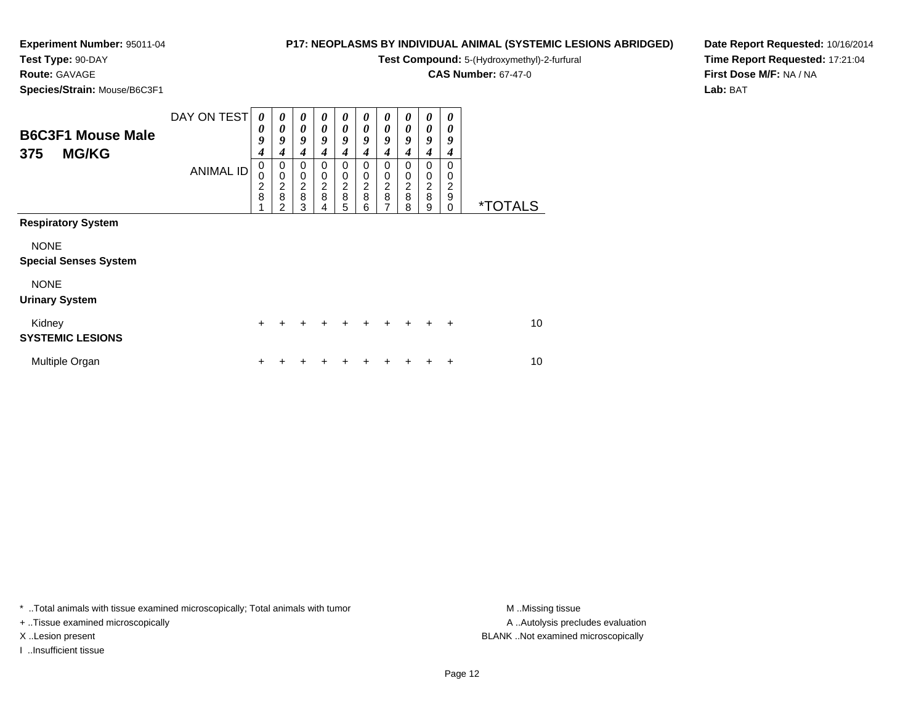#### **Experiment Number:** 95011-04**Test Type:** 90-DAY

# **P17: NEOPLASMS BY INDIVIDUAL ANIMAL (SYSTEMIC LESIONS ABRIDGED)**

**Test Compound:** 5-(Hydroxymethyl)-2-furfural

**CAS Number:** 67-47-0

**Date Report Requested:** 10/16/2014**Time Report Requested:** 17:21:04**First Dose M/F:** NA / NA**Lab:** BAT

**Species/Strain:** Mouse/B6C3F1

**Route:** GAVAGE

| <b>B6C3F1 Mouse Male</b><br><b>MG/KG</b><br>375 | DAY ON TEST      | $\boldsymbol{\theta}$<br>0<br>9<br>$\boldsymbol{4}$ | $\boldsymbol{\theta}$<br>$\boldsymbol{\theta}$<br>9<br>4 | $\boldsymbol{\theta}$<br>$\boldsymbol{\theta}$<br>9<br>4 | 0<br>0<br>9<br>4      | $\boldsymbol{\theta}$<br>$\boldsymbol{\theta}$<br>9<br>4 | 0<br>0<br>9<br>4      | 0<br>0<br>9<br>4             | 0<br>$\boldsymbol{\theta}$<br>9<br>4 | 0<br>$\boldsymbol{\theta}$<br>9<br>4                     | 0<br>0<br>9<br>4                   |                       |
|-------------------------------------------------|------------------|-----------------------------------------------------|----------------------------------------------------------|----------------------------------------------------------|-----------------------|----------------------------------------------------------|-----------------------|------------------------------|--------------------------------------|----------------------------------------------------------|------------------------------------|-----------------------|
|                                                 | <b>ANIMAL ID</b> | $\mathbf 0$<br>0<br>$\frac{2}{8}$                   | 0<br>$\mathbf 0$<br>$\frac{2}{8}$<br>2                   | $\mathbf 0$<br>$\pmb{0}$<br>$\frac{2}{8}$<br>3           | 0<br>0<br>2<br>8<br>4 | 0<br>0<br>$\frac{2}{8}$<br>5                             | 0<br>0<br>2<br>8<br>6 | 0<br>0<br>$\frac{2}{8}$<br>7 | $\Omega$<br>0<br>2<br>8<br>8         | 0<br>0<br>$\overline{\mathbf{c}}$<br>$\overline{8}$<br>9 | 0<br>0<br>$\overline{c}$<br>9<br>0 | <i><b>*TOTALS</b></i> |
| <b>Respiratory System</b>                       |                  |                                                     |                                                          |                                                          |                       |                                                          |                       |                              |                                      |                                                          |                                    |                       |
| <b>NONE</b><br><b>Special Senses System</b>     |                  |                                                     |                                                          |                                                          |                       |                                                          |                       |                              |                                      |                                                          |                                    |                       |
| <b>NONE</b><br><b>Urinary System</b>            |                  |                                                     |                                                          |                                                          |                       |                                                          |                       |                              |                                      |                                                          |                                    |                       |
| Kidney<br><b>SYSTEMIC LESIONS</b>               |                  | $\ddot{}$                                           |                                                          |                                                          |                       |                                                          |                       |                              | ÷                                    | $\pm$                                                    | $\ddot{}$                          | 10 <sup>1</sup>       |
| Multiple Organ                                  |                  | +                                                   |                                                          |                                                          |                       |                                                          |                       |                              |                                      |                                                          | +                                  | 10                    |

\* ..Total animals with tissue examined microscopically; Total animals with tumor **M** . Missing tissue M ..Missing tissue

+ ..Tissue examined microscopically

I ..Insufficient tissue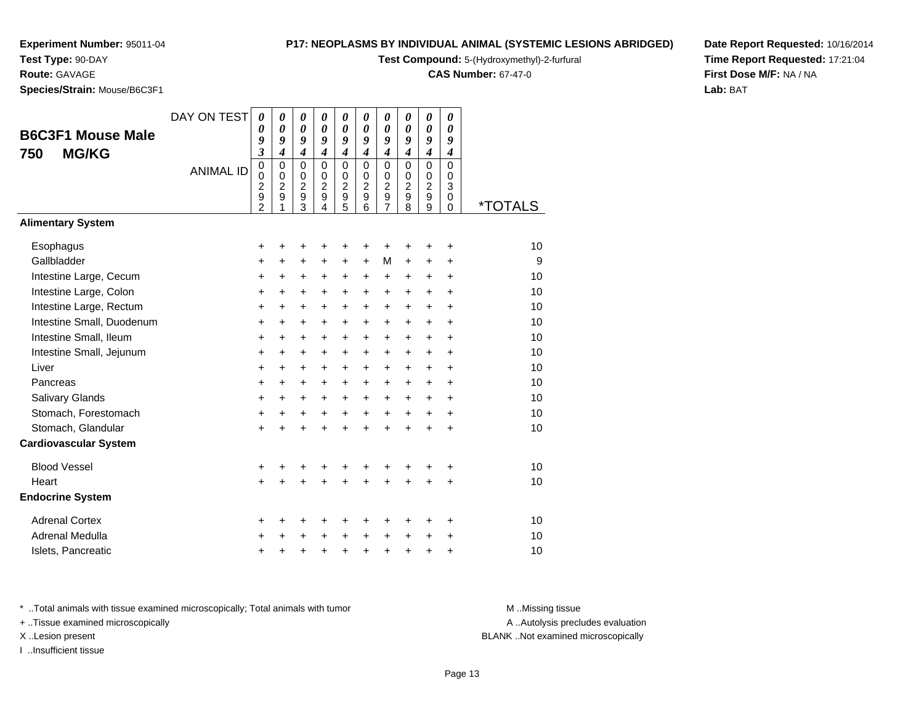# **Test Type:** 90-DAY

**Route:** GAVAGE

**Species/Strain:** Mouse/B6C3F1

#### **P17: NEOPLASMS BY INDIVIDUAL ANIMAL (SYSTEMIC LESIONS ABRIDGED)**

**Test Compound:** 5-(Hydroxymethyl)-2-furfural

**CAS Number:** 67-47-0

**Date Report Requested:** 10/16/2014**Time Report Requested:** 17:21:04**First Dose M/F:** NA / NA**Lab:** BAT

| <b>B6C3F1 Mouse Male</b><br><b>MG/KG</b><br>750 | DAY ON TEST<br><b>ANIMAL ID</b> | $\theta$<br>0<br>9<br>$\overline{\mathbf{3}}$<br>0<br>0<br>$\overline{c}$<br>9 | 0<br>$\boldsymbol{\theta}$<br>9<br>$\boldsymbol{4}$<br>$\mathbf 0$<br>$\mathbf 0$<br>2<br>9 | 0<br>$\boldsymbol{\theta}$<br>9<br>$\boldsymbol{4}$<br>$\Omega$<br>$\mathbf 0$<br>2<br>9 | 0<br>0<br>9<br>$\boldsymbol{4}$<br>$\Omega$<br>$\Omega$<br>$\boldsymbol{2}$<br>$\boldsymbol{9}$ | 0<br>$\boldsymbol{\theta}$<br>9<br>$\boldsymbol{4}$<br>$\mathbf 0$<br>$\mathbf 0$<br>$\overline{c}$<br>$\boldsymbol{9}$ | 0<br>0<br>9<br>$\boldsymbol{4}$<br>$\Omega$<br>$\mathbf 0$<br>$\overline{c}$<br>$\boldsymbol{9}$ | 0<br>0<br>9<br>$\boldsymbol{4}$<br>$\mathbf 0$<br>0<br>$\overline{c}$<br>9 | 0<br>0<br>9<br>$\boldsymbol{4}$<br>$\Omega$<br>$\Omega$<br>$\overline{c}$<br>$\boldsymbol{9}$ | 0<br>$\boldsymbol{\theta}$<br>9<br>$\boldsymbol{4}$<br>$\mathbf 0$<br>0<br>$\overline{c}$<br>9 | 0<br>0<br>9<br>$\boldsymbol{4}$<br>$\mathbf 0$<br>0<br>3<br>0 |                       |
|-------------------------------------------------|---------------------------------|--------------------------------------------------------------------------------|---------------------------------------------------------------------------------------------|------------------------------------------------------------------------------------------|-------------------------------------------------------------------------------------------------|-------------------------------------------------------------------------------------------------------------------------|--------------------------------------------------------------------------------------------------|----------------------------------------------------------------------------|-----------------------------------------------------------------------------------------------|------------------------------------------------------------------------------------------------|---------------------------------------------------------------|-----------------------|
|                                                 |                                 | $\overline{2}$                                                                 | 1                                                                                           | 3                                                                                        | 4                                                                                               | $\overline{5}$                                                                                                          | 6                                                                                                | $\overline{7}$                                                             | 8                                                                                             | 9                                                                                              | $\mathbf 0$                                                   | <i><b>*TOTALS</b></i> |
| <b>Alimentary System</b>                        |                                 |                                                                                |                                                                                             |                                                                                          |                                                                                                 |                                                                                                                         |                                                                                                  |                                                                            |                                                                                               |                                                                                                |                                                               |                       |
| Esophagus                                       |                                 | +                                                                              | +                                                                                           | +                                                                                        |                                                                                                 | +                                                                                                                       | +                                                                                                | +                                                                          | +                                                                                             | +                                                                                              | $\ddot{}$                                                     | 10                    |
| Gallbladder                                     |                                 | +                                                                              | $\ddot{}$                                                                                   | +                                                                                        | $\ddot{}$                                                                                       | $\ddot{}$                                                                                                               | $\ddot{}$                                                                                        | M                                                                          | $\ddot{}$                                                                                     | $\ddot{}$                                                                                      | $\ddot{}$                                                     | 9                     |
| Intestine Large, Cecum                          |                                 | +                                                                              | $\ddot{}$                                                                                   | +                                                                                        | +                                                                                               | +                                                                                                                       | +                                                                                                | +                                                                          | +                                                                                             | +                                                                                              | $\ddot{}$                                                     | 10                    |
| Intestine Large, Colon                          |                                 | $\ddot{}$                                                                      | +                                                                                           | $\ddot{}$                                                                                | $\ddot{}$                                                                                       | $\ddot{}$                                                                                                               | $\ddot{}$                                                                                        | $\ddot{}$                                                                  | $\ddot{}$                                                                                     | $\ddot{}$                                                                                      | $+$                                                           | 10                    |
| Intestine Large, Rectum                         |                                 | +                                                                              | $\ddot{}$                                                                                   | $\ddot{}$                                                                                | $\ddot{}$                                                                                       | $\ddot{}$                                                                                                               | +                                                                                                | $\ddot{}$                                                                  | $\ddot{}$                                                                                     | $\ddot{}$                                                                                      | $\ddot{}$                                                     | 10                    |
| Intestine Small, Duodenum                       |                                 | $\ddot{}$                                                                      | $\ddot{}$                                                                                   | +                                                                                        | $\ddot{}$                                                                                       | $\ddot{}$                                                                                                               | +                                                                                                | $\ddot{}$                                                                  | $\ddot{}$                                                                                     | $\ddot{}$                                                                                      | $\ddot{}$                                                     | 10                    |
| Intestine Small, Ileum                          |                                 | +                                                                              | $\ddot{}$                                                                                   | $\ddot{}$                                                                                | $\ddot{}$                                                                                       | $\ddot{}$                                                                                                               | +                                                                                                | $\ddot{}$                                                                  | +                                                                                             | $\ddot{}$                                                                                      | $+$                                                           | 10                    |
| Intestine Small, Jejunum                        |                                 | +                                                                              | $\ddot{}$                                                                                   | $\ddot{}$                                                                                | $\ddot{}$                                                                                       | $\ddot{}$                                                                                                               | $\ddot{}$                                                                                        | $\ddot{}$                                                                  | $\ddot{}$                                                                                     | $\ddot{}$                                                                                      | $\ddot{}$                                                     | 10                    |
| Liver                                           |                                 | $\ddot{}$                                                                      | $\ddot{}$                                                                                   | $\ddot{}$                                                                                | $\ddot{}$                                                                                       | $\ddot{}$                                                                                                               | $\ddot{}$                                                                                        | $\ddot{}$                                                                  | $\ddot{}$                                                                                     | $+$                                                                                            | $+$                                                           | 10                    |
| Pancreas                                        |                                 | $\ddot{}$                                                                      | $\ddot{}$                                                                                   | +                                                                                        | $\ddot{}$                                                                                       | $\ddot{}$                                                                                                               | +                                                                                                | $\ddot{}$                                                                  | +                                                                                             | $\ddot{}$                                                                                      | $\ddot{}$                                                     | 10                    |
| Salivary Glands                                 |                                 | $\ddot{}$                                                                      | +                                                                                           | $\ddot{}$                                                                                | $\ddot{}$                                                                                       | $\ddot{}$                                                                                                               | +                                                                                                | $\ddot{}$                                                                  | $\ddot{}$                                                                                     | $\ddot{}$                                                                                      | $\ddot{}$                                                     | 10                    |
| Stomach, Forestomach                            |                                 | $\ddot{}$                                                                      | $\ddot{}$                                                                                   | $\ddot{}$                                                                                | $\ddot{}$                                                                                       | $\ddot{}$                                                                                                               | $+$                                                                                              | $+$                                                                        | $\ddot{}$                                                                                     | $\ddot{}$                                                                                      | $\ddot{}$                                                     | 10                    |
| Stomach, Glandular                              |                                 | $\ddot{}$                                                                      | $\ddot{}$                                                                                   | $\ddot{}$                                                                                |                                                                                                 | $\ddot{}$                                                                                                               | $\ddot{}$                                                                                        | $\ddot{}$                                                                  | $\ddot{}$                                                                                     | $\ddot{}$                                                                                      | $\ddot{}$                                                     | 10                    |
| <b>Cardiovascular System</b>                    |                                 |                                                                                |                                                                                             |                                                                                          |                                                                                                 |                                                                                                                         |                                                                                                  |                                                                            |                                                                                               |                                                                                                |                                                               |                       |
| <b>Blood Vessel</b>                             |                                 | +                                                                              | +                                                                                           | +                                                                                        | +                                                                                               | +                                                                                                                       | +                                                                                                | +                                                                          | +                                                                                             | +                                                                                              | +                                                             | 10                    |
| Heart                                           |                                 | $\ddot{}$                                                                      |                                                                                             | $\ddot{}$                                                                                |                                                                                                 | Ŧ.                                                                                                                      |                                                                                                  | $\ddot{}$                                                                  | Ŧ.                                                                                            | +                                                                                              | $\ddot{}$                                                     | 10                    |
| <b>Endocrine System</b>                         |                                 |                                                                                |                                                                                             |                                                                                          |                                                                                                 |                                                                                                                         |                                                                                                  |                                                                            |                                                                                               |                                                                                                |                                                               |                       |
| <b>Adrenal Cortex</b>                           |                                 | +                                                                              | +                                                                                           | +                                                                                        |                                                                                                 | +                                                                                                                       | +                                                                                                | +                                                                          | +                                                                                             | +                                                                                              | +                                                             | 10                    |
| Adrenal Medulla                                 |                                 | +                                                                              |                                                                                             | $\ddot{}$                                                                                |                                                                                                 | $\ddot{}$                                                                                                               | $\ddot{}$                                                                                        | $\ddot{}$                                                                  | $\ddot{}$                                                                                     | $\ddot{}$                                                                                      | $\ddot{}$                                                     | 10                    |
| Islets, Pancreatic                              |                                 | +                                                                              | +                                                                                           | +                                                                                        | +                                                                                               | $\ddot{}$                                                                                                               | $\ddot{}$                                                                                        | $\ddot{}$                                                                  | $\ddot{}$                                                                                     | $\pmb{+}$                                                                                      | $\ddot{}$                                                     | 10                    |

\* ..Total animals with tissue examined microscopically; Total animals with tumor **M** . Missing tissue M ..Missing tissue

+ ..Tissue examined microscopically

I ..Insufficient tissue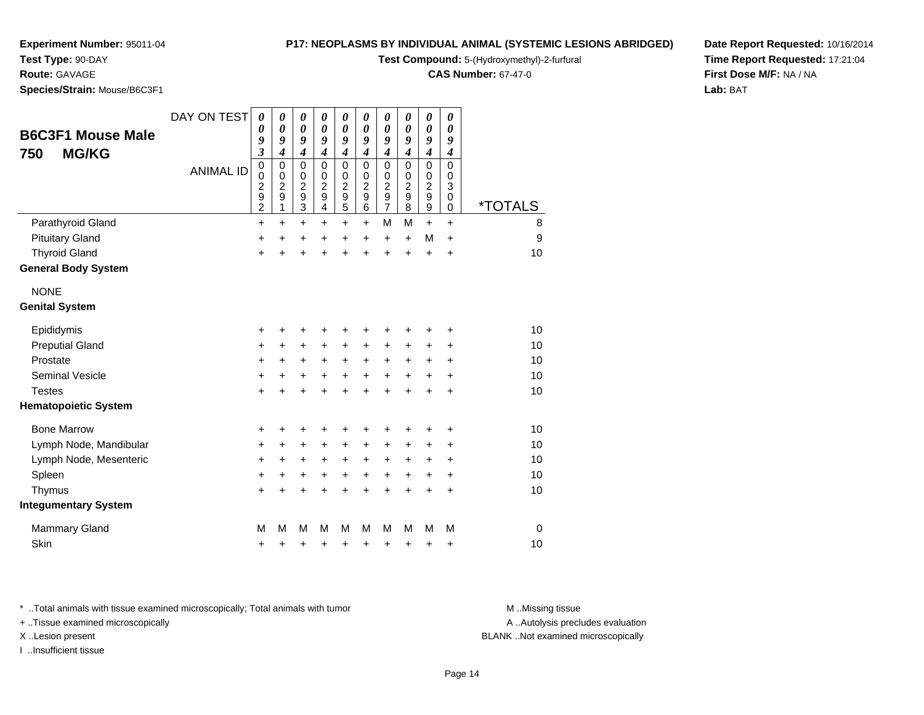#### **Test Type:** 90-DAY

**Route:** GAVAGE

**Species/Strain:** Mouse/B6C3F1

#### **P17: NEOPLASMS BY INDIVIDUAL ANIMAL (SYSTEMIC LESIONS ABRIDGED)**

**Test Compound:** 5-(Hydroxymethyl)-2-furfural

**CAS Number:** 67-47-0

**Date Report Requested:** 10/16/2014**Time Report Requested:** 17:21:04**First Dose M/F:** NA / NA**Lab:** BAT

| <b>B6C3F1 Mouse Male</b><br><b>MG/KG</b><br>750 | DAY ON TEST<br><b>ANIMAL ID</b> | 0<br>0<br>9<br>$\mathfrak{z}$<br>$\pmb{0}$<br>$\mathbf 0$<br>$\overline{\mathbf{c}}$<br>$\boldsymbol{9}$<br>$\overline{2}$ | 0<br>0<br>9<br>$\boldsymbol{4}$<br>$\mathbf 0$<br>$\mathbf 0$<br>$\overline{c}$<br>9<br>1 | 0<br>$\boldsymbol{\theta}$<br>9<br>$\boldsymbol{4}$<br>$\pmb{0}$<br>$\pmb{0}$<br>$\boldsymbol{2}$<br>$\mathsf g$<br>$\overline{3}$ | 0<br>0<br>9<br>$\boldsymbol{4}$<br>$\mathbf 0$<br>$\mathbf 0$<br>$\overline{c}$<br>9<br>$\overline{\mathbf{4}}$ | $\boldsymbol{\theta}$<br>$\boldsymbol{\theta}$<br>9<br>$\boldsymbol{4}$<br>$\mathbf 0$<br>$\pmb{0}$<br>$\boldsymbol{2}$<br>$\mathsf g$<br>$\overline{5}$ | 0<br>0<br>9<br>$\boldsymbol{4}$<br>$\Omega$<br>$\Omega$<br>$\overline{c}$<br>9<br>6 | $\boldsymbol{\theta}$<br>$\boldsymbol{\theta}$<br>9<br>$\boldsymbol{4}$<br>$\mathbf 0$<br>$\pmb{0}$<br>$\overline{\mathbf{c}}$<br>$\boldsymbol{9}$<br>$\overline{7}$ | 0<br>0<br>9<br>$\boldsymbol{4}$<br>$\Omega$<br>$\mathbf 0$<br>$\overline{c}$<br>9<br>8 | $\boldsymbol{\theta}$<br>$\boldsymbol{\theta}$<br>9<br>$\boldsymbol{4}$<br>$\pmb{0}$<br>$\,0\,$<br>$\begin{array}{c} 2 \\ 9 \end{array}$ | 0<br>0<br>9<br>$\boldsymbol{4}$<br>$\mathbf 0$<br>0<br>3<br>0<br>0 | <i><b>*TOTALS</b></i> |
|-------------------------------------------------|---------------------------------|----------------------------------------------------------------------------------------------------------------------------|-------------------------------------------------------------------------------------------|------------------------------------------------------------------------------------------------------------------------------------|-----------------------------------------------------------------------------------------------------------------|----------------------------------------------------------------------------------------------------------------------------------------------------------|-------------------------------------------------------------------------------------|----------------------------------------------------------------------------------------------------------------------------------------------------------------------|----------------------------------------------------------------------------------------|------------------------------------------------------------------------------------------------------------------------------------------|--------------------------------------------------------------------|-----------------------|
| Parathyroid Gland                               |                                 | $\ddot{}$                                                                                                                  | $\ddot{}$                                                                                 | $\ddot{}$                                                                                                                          | $\ddot{}$                                                                                                       | $\ddot{}$                                                                                                                                                | $\ddot{}$                                                                           | M                                                                                                                                                                    | M                                                                                      | $\ddot{}$                                                                                                                                | $\ddot{}$                                                          | 8                     |
| <b>Pituitary Gland</b>                          |                                 | +                                                                                                                          | $\ddot{}$                                                                                 | +                                                                                                                                  | $\ddot{}$                                                                                                       | +                                                                                                                                                        | $\ddot{}$                                                                           | $\ddot{}$                                                                                                                                                            | $\ddot{}$                                                                              | M                                                                                                                                        | $\ddot{}$                                                          | 9                     |
| <b>Thyroid Gland</b>                            |                                 | $\ddot{}$                                                                                                                  | $\ddot{}$                                                                                 | $\ddot{}$                                                                                                                          | $\ddot{}$                                                                                                       | $\ddot{}$                                                                                                                                                | $\ddot{}$                                                                           | $\ddot{}$                                                                                                                                                            | $\ddot{}$                                                                              | $\ddot{}$                                                                                                                                | $\ddot{}$                                                          | 10                    |
| <b>General Body System</b>                      |                                 |                                                                                                                            |                                                                                           |                                                                                                                                    |                                                                                                                 |                                                                                                                                                          |                                                                                     |                                                                                                                                                                      |                                                                                        |                                                                                                                                          |                                                                    |                       |
| <b>NONE</b>                                     |                                 |                                                                                                                            |                                                                                           |                                                                                                                                    |                                                                                                                 |                                                                                                                                                          |                                                                                     |                                                                                                                                                                      |                                                                                        |                                                                                                                                          |                                                                    |                       |
| <b>Genital System</b>                           |                                 |                                                                                                                            |                                                                                           |                                                                                                                                    |                                                                                                                 |                                                                                                                                                          |                                                                                     |                                                                                                                                                                      |                                                                                        |                                                                                                                                          |                                                                    |                       |
| Epididymis                                      |                                 | +                                                                                                                          | ٠                                                                                         | +                                                                                                                                  | +                                                                                                               | +                                                                                                                                                        | +                                                                                   | +                                                                                                                                                                    | +                                                                                      | +                                                                                                                                        | ٠                                                                  | 10                    |
| <b>Preputial Gland</b>                          |                                 | $\ddot{}$                                                                                                                  | +                                                                                         | +                                                                                                                                  | $\ddot{}$                                                                                                       | +                                                                                                                                                        | $\ddot{}$                                                                           | +                                                                                                                                                                    | $\ddot{}$                                                                              | $\ddot{}$                                                                                                                                | +                                                                  | 10                    |
| Prostate                                        |                                 | $\ddot{}$                                                                                                                  | +                                                                                         | +                                                                                                                                  | $\ddot{}$                                                                                                       | $\ddot{}$                                                                                                                                                | $\ddot{}$                                                                           | $\ddot{}$                                                                                                                                                            | $\ddot{}$                                                                              | $\ddot{}$                                                                                                                                | +                                                                  | 10                    |
| <b>Seminal Vesicle</b>                          |                                 | +                                                                                                                          | +                                                                                         | +                                                                                                                                  | +                                                                                                               | +                                                                                                                                                        | +                                                                                   | +                                                                                                                                                                    | $\ddot{}$                                                                              | +                                                                                                                                        | +                                                                  | 10                    |
| <b>Testes</b>                                   |                                 | $\ddot{}$                                                                                                                  |                                                                                           | $\ddot{}$                                                                                                                          | $\ddot{}$                                                                                                       | $\ddot{}$                                                                                                                                                | $\ddot{}$                                                                           | $\ddot{}$                                                                                                                                                            | $\ddot{}$                                                                              | $\ddot{}$                                                                                                                                | +                                                                  | 10                    |
| <b>Hematopoietic System</b>                     |                                 |                                                                                                                            |                                                                                           |                                                                                                                                    |                                                                                                                 |                                                                                                                                                          |                                                                                     |                                                                                                                                                                      |                                                                                        |                                                                                                                                          |                                                                    |                       |
| <b>Bone Marrow</b>                              |                                 | +                                                                                                                          |                                                                                           | +                                                                                                                                  | +                                                                                                               | +                                                                                                                                                        | +                                                                                   | +                                                                                                                                                                    | +                                                                                      | +                                                                                                                                        | +                                                                  | 10                    |
| Lymph Node, Mandibular                          |                                 | +                                                                                                                          | +                                                                                         | +                                                                                                                                  | $\ddot{}$                                                                                                       | +                                                                                                                                                        | +                                                                                   | +                                                                                                                                                                    | +                                                                                      | +                                                                                                                                        | +                                                                  | 10                    |
| Lymph Node, Mesenteric                          |                                 | +                                                                                                                          | +                                                                                         | +                                                                                                                                  | +                                                                                                               | +                                                                                                                                                        | +                                                                                   | +                                                                                                                                                                    | $\ddot{}$                                                                              | $\ddot{}$                                                                                                                                | +                                                                  | 10                    |
| Spleen                                          |                                 | +                                                                                                                          | +                                                                                         | +                                                                                                                                  | +                                                                                                               | +                                                                                                                                                        | +                                                                                   | +                                                                                                                                                                    | $\ddot{}$                                                                              | $\ddot{}$                                                                                                                                | $\ddot{}$                                                          | 10                    |
| Thymus                                          |                                 | +                                                                                                                          | +                                                                                         | +                                                                                                                                  | +                                                                                                               | $\ddot{}$                                                                                                                                                | $\ddot{}$                                                                           | $\ddot{}$                                                                                                                                                            | $\ddot{}$                                                                              | $\ddot{}$                                                                                                                                | $\ddot{}$                                                          | 10                    |
| <b>Integumentary System</b>                     |                                 |                                                                                                                            |                                                                                           |                                                                                                                                    |                                                                                                                 |                                                                                                                                                          |                                                                                     |                                                                                                                                                                      |                                                                                        |                                                                                                                                          |                                                                    |                       |
| <b>Mammary Gland</b>                            |                                 | M                                                                                                                          | М                                                                                         | M                                                                                                                                  | M                                                                                                               | M                                                                                                                                                        | М                                                                                   | M                                                                                                                                                                    | М                                                                                      | м                                                                                                                                        | M                                                                  | $\mathbf 0$           |
| Skin                                            |                                 | +                                                                                                                          | +                                                                                         | +                                                                                                                                  | +                                                                                                               | +                                                                                                                                                        | +                                                                                   | +                                                                                                                                                                    | +                                                                                      | +                                                                                                                                        | +                                                                  | 10                    |

\* ..Total animals with tissue examined microscopically; Total animals with tumor **M** . Missing tissue M ..Missing tissue

+ ..Tissue examined microscopically

I ..Insufficient tissue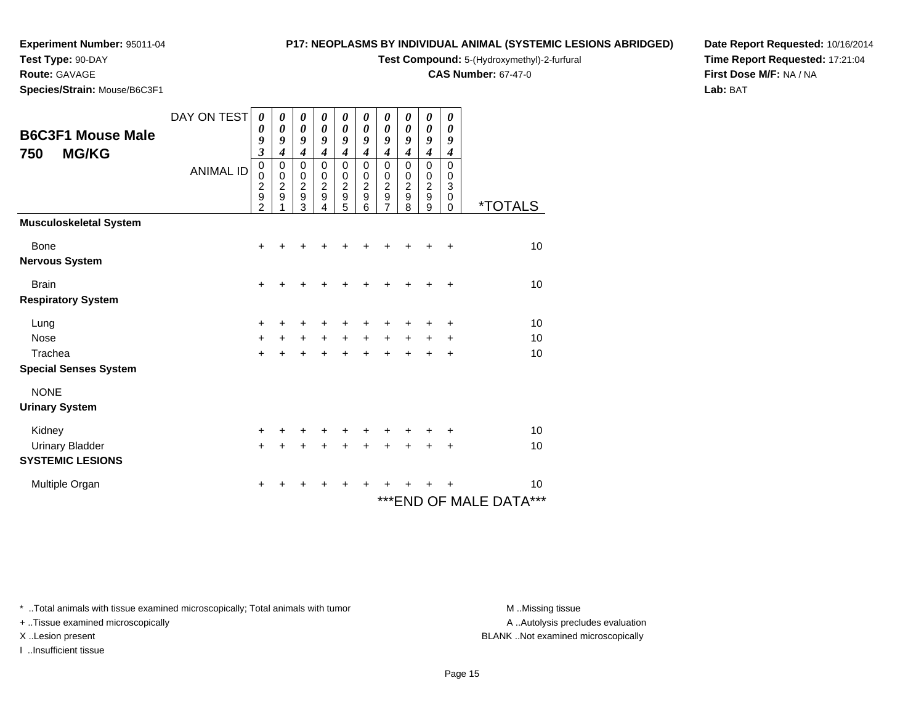**Test Type:** 90-DAY

#### **Route:** GAVAGE

**Species/Strain:** Mouse/B6C3F1

#### **P17: NEOPLASMS BY INDIVIDUAL ANIMAL (SYSTEMIC LESIONS ABRIDGED)**

**Test Compound:** 5-(Hydroxymethyl)-2-furfural

**CAS Number:** 67-47-0

**Date Report Requested:** 10/16/2014**Time Report Requested:** 17:21:04**First Dose M/F:** NA / NA**Lab:** BAT

| <b>B6C3F1 Mouse Male</b><br><b>MG/KG</b><br>750   | DAY ON TEST<br><b>ANIMAL ID</b> | 0<br>0<br>9<br>$\overline{\mathbf{3}}$<br>$\mathbf 0$<br>$\mathbf 0$ | 0<br>0<br>9<br>$\overline{\boldsymbol{4}}$<br>$\mathbf 0$<br>$\mathbf 0$ | 0<br>0<br>9<br>$\boldsymbol{4}$<br>$\mathbf 0$<br>$\mathbf 0$ | 0<br>$\boldsymbol{\theta}$<br>9<br>$\boldsymbol{4}$<br>$\mathbf 0$<br>$\pmb{0}$ | 0<br>0<br>9<br>$\boldsymbol{4}$<br>$\mathbf 0$                        | 0<br>0<br>9<br>$\boldsymbol{4}$<br>$\mathbf 0$<br>0 | 0<br>0<br>9<br>$\overline{\boldsymbol{4}}$<br>$\mathbf 0$<br>0 | 0<br>$\boldsymbol{\theta}$<br>9<br>$\boldsymbol{4}$<br>$\mathbf 0$<br>$\pmb{0}$ | 0<br>0<br>9<br>$\boldsymbol{4}$<br>$\mathbf 0$<br>$\mathbf 0$ | 0<br>0<br>9<br>4<br>$\mathbf 0$<br>$\pmb{0}$ |                                   |
|---------------------------------------------------|---------------------------------|----------------------------------------------------------------------|--------------------------------------------------------------------------|---------------------------------------------------------------|---------------------------------------------------------------------------------|-----------------------------------------------------------------------|-----------------------------------------------------|----------------------------------------------------------------|---------------------------------------------------------------------------------|---------------------------------------------------------------|----------------------------------------------|-----------------------------------|
|                                                   |                                 | $\frac{2}{9}$<br>$\mathfrak{p}$                                      | $\boldsymbol{2}$<br>9                                                    | $\boldsymbol{2}$<br>9<br>3                                    | $\boldsymbol{2}$<br>9<br>4                                                      | $\begin{smallmatrix} 0 \\ 2 \end{smallmatrix}$<br>$\overline{9}$<br>5 | $\boldsymbol{2}$<br>9<br>6                          | $\overline{c}$<br>9<br>7                                       | $\overline{c}$<br>9<br>8                                                        | $\overline{2}$<br>9<br>9                                      | $\mathbf{3}$<br>$\pmb{0}$<br>0               | <i><b>*TOTALS</b></i>             |
| <b>Musculoskeletal System</b>                     |                                 |                                                                      |                                                                          |                                                               |                                                                                 |                                                                       |                                                     |                                                                |                                                                                 |                                                               |                                              |                                   |
| Bone<br><b>Nervous System</b>                     |                                 | +                                                                    |                                                                          |                                                               |                                                                                 |                                                                       |                                                     |                                                                |                                                                                 |                                                               | ÷                                            | 10                                |
| <b>Brain</b><br><b>Respiratory System</b>         |                                 | $\ddot{}$                                                            |                                                                          |                                                               |                                                                                 |                                                                       |                                                     |                                                                |                                                                                 |                                                               | $\ddot{}$                                    | 10                                |
| Lung                                              |                                 | +                                                                    |                                                                          |                                                               |                                                                                 |                                                                       |                                                     |                                                                |                                                                                 |                                                               | ÷                                            | 10                                |
| <b>Nose</b><br>Trachea                            |                                 | $\ddot{}$<br>$\ddot{}$                                               | $\ddot{}$<br>$\ddot{}$                                                   | $\ddot{}$<br>$\ddot{}$                                        | $+$<br>$+$                                                                      | $+$<br>$+$                                                            | $\ddot{}$<br>$\ddot{}$                              | +<br>$\ddot{}$                                                 | $+$<br>$\ddot{}$                                                                | $+$<br>$\ddot{}$                                              | $\ddot{}$<br>$\ddot{}$                       | 10<br>10                          |
| <b>Special Senses System</b>                      |                                 |                                                                      |                                                                          |                                                               |                                                                                 |                                                                       |                                                     |                                                                |                                                                                 |                                                               |                                              |                                   |
| <b>NONE</b><br><b>Urinary System</b>              |                                 |                                                                      |                                                                          |                                                               |                                                                                 |                                                                       |                                                     |                                                                |                                                                                 |                                                               |                                              |                                   |
| Kidney                                            |                                 | +                                                                    | +                                                                        | +                                                             |                                                                                 | +                                                                     |                                                     |                                                                |                                                                                 |                                                               | +                                            | 10                                |
| <b>Urinary Bladder</b><br><b>SYSTEMIC LESIONS</b> |                                 | $\ddot{}$                                                            | +                                                                        | +                                                             |                                                                                 | +                                                                     |                                                     | +                                                              |                                                                                 |                                                               | +                                            | 10                                |
| Multiple Organ                                    |                                 | ٠                                                                    | +                                                                        | +                                                             | ٠                                                                               | ÷                                                                     | ٠                                                   | +                                                              |                                                                                 |                                                               |                                              | 10<br>***<br>*** END OF MALE DATA |

\* ..Total animals with tissue examined microscopically; Total animals with tumor **M** . Missing tissue M ..Missing tissue

+ ..Tissue examined microscopically

I ..Insufficient tissue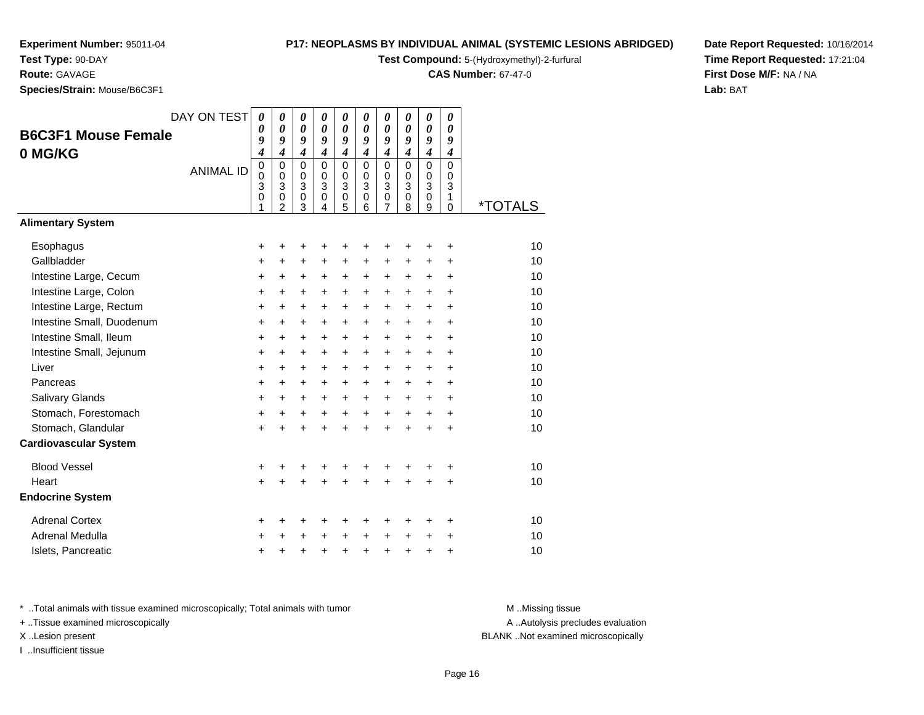# **Test Type:** 90-DAY

**Route:** GAVAGE

**Species/Strain:** Mouse/B6C3F1

#### **P17: NEOPLASMS BY INDIVIDUAL ANIMAL (SYSTEMIC LESIONS ABRIDGED)**

**Test Compound:** 5-(Hydroxymethyl)-2-furfural

**CAS Number:** 67-47-0

**Date Report Requested:** 10/16/2014**Time Report Requested:** 17:21:04**First Dose M/F:** NA / NA**Lab:** BAT

| <b>B6C3F1 Mouse Female</b><br>0 MG/KG<br><b>Alimentary System</b> | DAY ON TEST<br><b>ANIMAL ID</b> | 0<br>0<br>9<br>$\boldsymbol{4}$<br>$\mathbf 0$<br>0<br>3<br>0 | $\boldsymbol{\theta}$<br>$\boldsymbol{\theta}$<br>9<br>$\overline{\boldsymbol{4}}$<br>$\mathbf 0$<br>$\mathbf 0$<br>3<br>0<br>$\overline{2}$ | $\boldsymbol{\theta}$<br>$\boldsymbol{\theta}$<br>9<br>$\boldsymbol{4}$<br>$\Omega$<br>0<br>$\overline{3}$<br>0<br>3 | 0<br>$\boldsymbol{\theta}$<br>9<br>$\boldsymbol{4}$<br>$\Omega$<br>$\mathbf 0$<br>$\overline{3}$<br>$\pmb{0}$<br>4 | 0<br>$\boldsymbol{\theta}$<br>9<br>$\boldsymbol{4}$<br>$\mathbf 0$<br>0<br>$\overline{3}$<br>$\mathbf 0$<br>5 | 0<br>0<br>9<br>$\boldsymbol{4}$<br>$\Omega$<br>$\mathbf 0$<br>3<br>$\mathsf 0$<br>6 | 0<br>0<br>9<br>$\boldsymbol{4}$<br>$\mathbf 0$<br>0<br>3<br>$\pmb{0}$<br>7 | 0<br>0<br>9<br>$\boldsymbol{4}$<br>$\Omega$<br>$\mathbf 0$<br>3<br>$\mathbf 0$<br>8 | 0<br>0<br>9<br>$\boldsymbol{4}$<br>$\mathbf 0$<br>0<br>$\overline{3}$<br>$\mathsf 0$<br>9 | 0<br>0<br>9<br>$\boldsymbol{4}$<br>$\Omega$<br>$\mathbf 0$<br>3<br>$\mathbf{1}$<br>$\Omega$ | <i><b>*TOTALS</b></i> |
|-------------------------------------------------------------------|---------------------------------|---------------------------------------------------------------|----------------------------------------------------------------------------------------------------------------------------------------------|----------------------------------------------------------------------------------------------------------------------|--------------------------------------------------------------------------------------------------------------------|---------------------------------------------------------------------------------------------------------------|-------------------------------------------------------------------------------------|----------------------------------------------------------------------------|-------------------------------------------------------------------------------------|-------------------------------------------------------------------------------------------|---------------------------------------------------------------------------------------------|-----------------------|
|                                                                   |                                 |                                                               |                                                                                                                                              |                                                                                                                      |                                                                                                                    |                                                                                                               |                                                                                     |                                                                            |                                                                                     |                                                                                           |                                                                                             |                       |
| Esophagus                                                         |                                 | +                                                             | +                                                                                                                                            | +                                                                                                                    |                                                                                                                    | +                                                                                                             | +                                                                                   | +                                                                          | +                                                                                   | +                                                                                         | $\ddot{}$                                                                                   | 10                    |
| Gallbladder                                                       |                                 | +                                                             | +                                                                                                                                            | +                                                                                                                    | +                                                                                                                  | +                                                                                                             | +                                                                                   | +                                                                          | +                                                                                   | +                                                                                         | $\ddot{}$                                                                                   | 10                    |
| Intestine Large, Cecum                                            |                                 | +                                                             | +                                                                                                                                            | +                                                                                                                    | +                                                                                                                  | +                                                                                                             | +                                                                                   | +                                                                          | +                                                                                   | +                                                                                         | +                                                                                           | 10                    |
| Intestine Large, Colon                                            |                                 | +                                                             | +                                                                                                                                            | +                                                                                                                    | +                                                                                                                  | +                                                                                                             | +                                                                                   | $\ddot{}$                                                                  | +                                                                                   | $\ddot{}$                                                                                 | $\ddot{}$                                                                                   | 10                    |
| Intestine Large, Rectum                                           |                                 | $\ddot{}$                                                     | $\ddot{}$                                                                                                                                    | +                                                                                                                    | $\ddot{}$                                                                                                          | $\ddot{}$                                                                                                     | +                                                                                   | $\ddot{}$                                                                  | $\ddot{}$                                                                           | $\ddot{}$                                                                                 | $\ddot{}$                                                                                   | 10                    |
| Intestine Small, Duodenum                                         |                                 | $\ddot{}$                                                     | $\ddot{}$                                                                                                                                    | $\ddot{}$                                                                                                            | $\ddot{}$                                                                                                          | $\ddot{}$                                                                                                     | +                                                                                   | $\ddot{}$                                                                  | $\ddot{}$                                                                           | $\ddot{}$                                                                                 | $\ddot{}$                                                                                   | 10                    |
| Intestine Small, Ileum                                            |                                 | $\ddot{}$                                                     | $\ddot{}$                                                                                                                                    | $\ddot{}$                                                                                                            | $\ddot{}$                                                                                                          | $\ddot{}$                                                                                                     | +                                                                                   | $\ddot{}$                                                                  | $\ddot{}$                                                                           | $\ddot{}$                                                                                 | $\ddot{}$                                                                                   | 10                    |
| Intestine Small, Jejunum                                          |                                 | $\ddot{}$                                                     | $\ddot{}$                                                                                                                                    | $\ddot{}$                                                                                                            | $\ddot{}$                                                                                                          | $\ddot{}$                                                                                                     | $\ddot{}$                                                                           | $\ddot{}$                                                                  | $\ddot{}$                                                                           | $\ddot{}$                                                                                 | $\ddot{}$                                                                                   | 10                    |
| Liver                                                             |                                 | $\ddot{}$                                                     | $\ddot{}$                                                                                                                                    | $\ddot{}$                                                                                                            | $\ddot{}$                                                                                                          | $\ddot{}$                                                                                                     | +                                                                                   | $\ddot{}$                                                                  | $\ddot{}$                                                                           | $\ddot{}$                                                                                 | $\ddot{}$                                                                                   | 10                    |
| Pancreas                                                          |                                 | $\ddot{}$                                                     | $\ddot{}$                                                                                                                                    | $\ddot{}$                                                                                                            | $\ddot{}$                                                                                                          | $\ddot{}$                                                                                                     | +                                                                                   | $\ddot{}$                                                                  | $\ddot{}$                                                                           | $\ddot{}$                                                                                 | $\ddot{}$                                                                                   | 10                    |
| Salivary Glands                                                   |                                 | +                                                             | +                                                                                                                                            | $\ddot{}$                                                                                                            | $\ddot{}$                                                                                                          | $\ddot{}$                                                                                                     | $\ddot{}$                                                                           | $\ddot{}$                                                                  | +                                                                                   | +                                                                                         | +                                                                                           | 10                    |
| Stomach, Forestomach                                              |                                 | $\ddot{}$                                                     | $\ddot{}$                                                                                                                                    | $\ddot{}$                                                                                                            | $\ddot{}$                                                                                                          | $\ddot{}$                                                                                                     | $\ddot{}$                                                                           | $\ddot{}$                                                                  | $\ddot{}$                                                                           | $\ddot{}$                                                                                 | $\ddot{}$                                                                                   | 10                    |
| Stomach, Glandular                                                |                                 | $\ddot{}$                                                     | $\ddot{}$                                                                                                                                    | $\ddot{}$                                                                                                            | $\ddot{}$                                                                                                          | $\ddot{}$                                                                                                     | $\ddot{}$                                                                           | $\ddot{}$                                                                  | $\ddot{}$                                                                           | $\ddot{}$                                                                                 | $\ddot{}$                                                                                   | 10                    |
| <b>Cardiovascular System</b>                                      |                                 |                                                               |                                                                                                                                              |                                                                                                                      |                                                                                                                    |                                                                                                               |                                                                                     |                                                                            |                                                                                     |                                                                                           |                                                                                             |                       |
| <b>Blood Vessel</b>                                               |                                 | +                                                             | +                                                                                                                                            | +                                                                                                                    |                                                                                                                    | +                                                                                                             | +                                                                                   | +                                                                          | +                                                                                   | +                                                                                         | $\ddot{}$                                                                                   | 10                    |
| Heart                                                             |                                 | +                                                             |                                                                                                                                              |                                                                                                                      |                                                                                                                    |                                                                                                               |                                                                                     | Ŧ.                                                                         | ÷                                                                                   | +                                                                                         | $\ddot{}$                                                                                   | 10                    |
| <b>Endocrine System</b>                                           |                                 |                                                               |                                                                                                                                              |                                                                                                                      |                                                                                                                    |                                                                                                               |                                                                                     |                                                                            |                                                                                     |                                                                                           |                                                                                             |                       |
| <b>Adrenal Cortex</b>                                             |                                 | +                                                             | +                                                                                                                                            | +                                                                                                                    | +                                                                                                                  | +                                                                                                             | +                                                                                   | +                                                                          | +                                                                                   | +                                                                                         | ٠                                                                                           | 10                    |
| <b>Adrenal Medulla</b>                                            |                                 | +                                                             |                                                                                                                                              | +                                                                                                                    |                                                                                                                    | $\ddot{}$                                                                                                     | $\ddot{}$                                                                           | +                                                                          | $\ddot{}$                                                                           | +                                                                                         | +                                                                                           | 10                    |
| Islets, Pancreatic                                                |                                 | +                                                             | +                                                                                                                                            | +                                                                                                                    |                                                                                                                    | $\ddot{}$                                                                                                     | $\ddot{}$                                                                           | $\ddot{}$                                                                  | $\ddot{}$                                                                           | $\ddot{}$                                                                                 | $\ddot{}$                                                                                   | 10                    |

\* ..Total animals with tissue examined microscopically; Total animals with tumor **M** . Missing tissue M ..Missing tissue

+ ..Tissue examined microscopically

I ..Insufficient tissue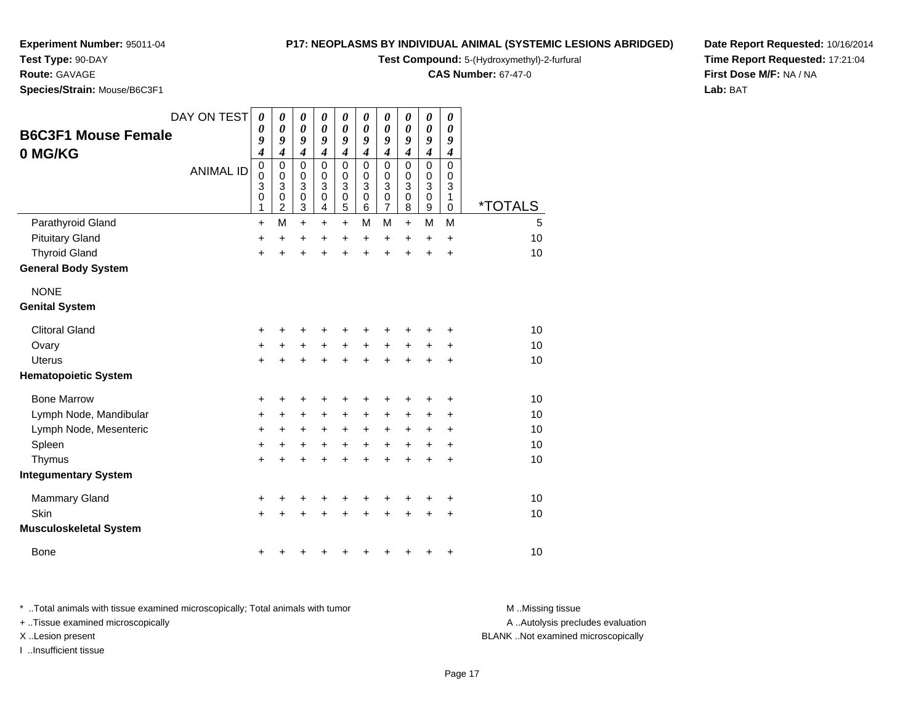**Test Type:** 90-DAY

#### **Route:** GAVAGE

**Species/Strain:** Mouse/B6C3F1

#### **P17: NEOPLASMS BY INDIVIDUAL ANIMAL (SYSTEMIC LESIONS ABRIDGED)**

**Test Compound:** 5-(Hydroxymethyl)-2-furfural

**CAS Number:** 67-47-0

**Date Report Requested:** 10/16/2014**Time Report Requested:** 17:21:04**First Dose M/F:** NA / NA**Lab:** BAT

|                               | DAY ON TEST      | $\boldsymbol{\theta}$<br>$\boldsymbol{\theta}$ | $\boldsymbol{\theta}$<br>0    | 0<br>$\boldsymbol{\theta}$  | $\boldsymbol{\theta}$<br>0    | 0<br>0           | 0<br>0           | 0<br>0                        | 0<br>0           | $\boldsymbol{\theta}$<br>$\boldsymbol{\theta}$ | 0<br>0                      |                       |
|-------------------------------|------------------|------------------------------------------------|-------------------------------|-----------------------------|-------------------------------|------------------|------------------|-------------------------------|------------------|------------------------------------------------|-----------------------------|-----------------------|
| <b>B6C3F1 Mouse Female</b>    |                  | 9                                              | 9                             | 9                           | 9                             | 9                | 9                | 9                             | 9                | 9                                              | 9                           |                       |
| 0 MG/KG                       |                  | 4                                              | $\boldsymbol{4}$              | $\boldsymbol{4}$            | $\boldsymbol{4}$              | 4                | $\boldsymbol{4}$ | 4                             | $\boldsymbol{4}$ | $\boldsymbol{4}$                               | $\boldsymbol{4}$            |                       |
|                               | <b>ANIMAL ID</b> | $\mathbf 0$<br>$\mathbf 0$                     | 0<br>0                        | $\mathbf 0$<br>$\mathbf 0$  | $\Omega$<br>$\mathbf 0$       | $\mathbf 0$<br>0 | $\Omega$<br>0    | 0<br>0                        | $\Omega$<br>0    | $\mathbf 0$<br>0                               | $\mathbf 0$<br>0            |                       |
|                               |                  | 3                                              | 3                             | $\ensuremath{\mathsf{3}}$   | 3                             | 3                | 3                | 3                             | 3                | 3                                              | 3                           |                       |
|                               |                  | $\mathbf 0$<br>1                               | $\mathbf 0$<br>$\overline{2}$ | $\mathbf 0$<br>$\mathbf{3}$ | $\mathbf 0$<br>$\overline{4}$ | $\pmb{0}$<br>5   | $\pmb{0}$<br>6   | $\mathbf 0$<br>$\overline{7}$ | $\mathbf 0$<br>8 | $\pmb{0}$<br>$\boldsymbol{9}$                  | $\mathbf{1}$<br>$\mathbf 0$ | <i><b>*TOTALS</b></i> |
| Parathyroid Gland             |                  | $\ddot{}$                                      | M                             | $\ddot{}$                   | $\ddot{}$                     | $\ddot{}$        | М                | M                             | $\ddot{}$        | M                                              | M                           | 5                     |
| <b>Pituitary Gland</b>        |                  | +                                              | $\ddot{}$                     | +                           | +                             | +                | $\ddot{}$        | $\ddot{}$                     | $\ddot{}$        | $\ddot{}$                                      | +                           | 10                    |
| <b>Thyroid Gland</b>          |                  | +                                              | +                             | +                           | +                             | +                | $\ddot{}$        | $\ddot{}$                     | $\ddot{}$        | $\ddot{}$                                      | $\ddot{}$                   | 10                    |
| <b>General Body System</b>    |                  |                                                |                               |                             |                               |                  |                  |                               |                  |                                                |                             |                       |
| <b>NONE</b>                   |                  |                                                |                               |                             |                               |                  |                  |                               |                  |                                                |                             |                       |
| <b>Genital System</b>         |                  |                                                |                               |                             |                               |                  |                  |                               |                  |                                                |                             |                       |
| <b>Clitoral Gland</b>         |                  | +                                              |                               |                             |                               |                  |                  | +                             |                  |                                                | +                           | 10                    |
| Ovary                         |                  | $\ddot{}$                                      | $\ddot{}$                     | +                           | $\ddot{}$                     | +                | $\ddot{}$        | $\ddot{}$                     | $\ddot{}$        | +                                              | +                           | 10                    |
| <b>Uterus</b>                 |                  | $\ddot{}$                                      |                               |                             |                               | $\ddot{}$        | $\ddot{}$        | $\ddot{}$                     | $\ddot{}$        | $\ddot{}$                                      | $\ddot{}$                   | 10                    |
| <b>Hematopoietic System</b>   |                  |                                                |                               |                             |                               |                  |                  |                               |                  |                                                |                             |                       |
| <b>Bone Marrow</b>            |                  | +                                              | +                             | +                           |                               | +                | +                | +                             | +                | +                                              | +                           | 10                    |
| Lymph Node, Mandibular        |                  | +                                              | +                             | +                           | +                             | +                | $\ddot{}$        | +                             | $\pm$            | +                                              | +                           | 10                    |
| Lymph Node, Mesenteric        |                  | +                                              | +                             | +                           | +                             | +                | +                | +                             | +                | +                                              | +                           | 10                    |
| Spleen                        |                  | +                                              | +                             | +                           | +                             | +                | +                | +                             | $\ddot{}$        | $\ddot{}$                                      | +                           | 10                    |
| Thymus                        |                  | $\ddot{}$                                      |                               |                             |                               | +                | $\ddot{}$        | $\ddot{}$                     | $\ddot{}$        | $\ddot{}$                                      | +                           | 10                    |
| <b>Integumentary System</b>   |                  |                                                |                               |                             |                               |                  |                  |                               |                  |                                                |                             |                       |
| <b>Mammary Gland</b>          |                  | +                                              | +                             | +                           | +                             | +                | +                | +                             | ٠                | +                                              | +                           | 10                    |
| <b>Skin</b>                   |                  | $\ddot{}$                                      |                               |                             |                               |                  |                  | +                             |                  | $\ddot{}$                                      | $\ddot{}$                   | 10                    |
| <b>Musculoskeletal System</b> |                  |                                                |                               |                             |                               |                  |                  |                               |                  |                                                |                             |                       |
| <b>Bone</b>                   |                  | +                                              |                               |                             |                               |                  |                  | +                             | +                | +                                              | +                           | 10                    |

\* ..Total animals with tissue examined microscopically; Total animals with tumor **M** . Missing tissue M ..Missing tissue A ..Autolysis precludes evaluation + ..Tissue examined microscopically X ..Lesion present BLANK ..Not examined microscopicallyI ..Insufficient tissue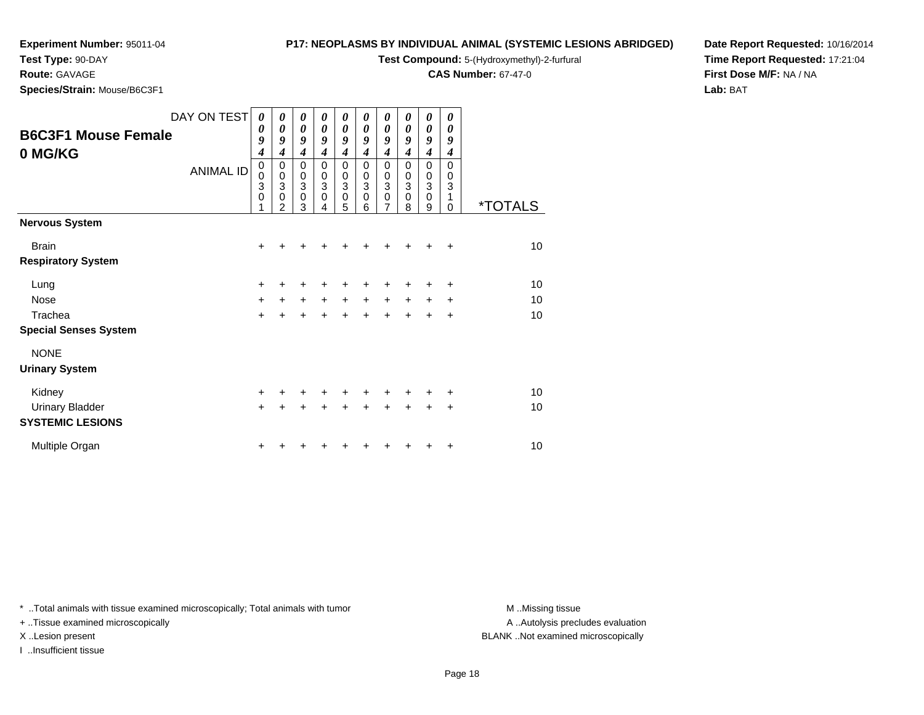# **Test Type:** 90-DAY

**Route:** GAVAGE

**Species/Strain:** Mouse/B6C3F1

#### **P17: NEOPLASMS BY INDIVIDUAL ANIMAL (SYSTEMIC LESIONS ABRIDGED)**

**Test Compound:** 5-(Hydroxymethyl)-2-furfural

**CAS Number:** 67-47-0

**Date Report Requested:** 10/16/2014**Time Report Requested:** 17:21:04**First Dose M/F:** NA / NA**Lab:** BAT

| <b>B6C3F1 Mouse Female</b><br>0 MG/KG | DAY ON TEST<br><b>ANIMAL ID</b> | 0<br>$\boldsymbol{\theta}$<br>9<br>$\boldsymbol{4}$<br>$\pmb{0}$<br>$\mathbf 0$<br>3<br>$\mathbf 0$<br>1 | 0<br>0<br>9<br>$\boldsymbol{4}$<br>0<br>$\pmb{0}$<br>3<br>$\mathbf 0$<br>$\overline{2}$ | 0<br>$\boldsymbol{\theta}$<br>9<br>$\boldsymbol{4}$<br>0<br>$\pmb{0}$<br>$\ensuremath{\mathsf{3}}$<br>$\mathbf 0$<br>3 | 0<br>0<br>9<br>$\boldsymbol{4}$<br>0<br>$\pmb{0}$<br>3<br>$\mathbf 0$<br>4 | 0<br>0<br>9<br>$\boldsymbol{4}$<br>0<br>$\mathbf 0$<br>3<br>$\mathbf 0$<br>5 | 0<br>0<br>9<br>4<br>0<br>$\pmb{0}$<br>$\ensuremath{\mathsf{3}}$<br>$\mathbf 0$<br>6 | 0<br>0<br>9<br>$\boldsymbol{4}$<br>0<br>$\pmb{0}$<br>$\ensuremath{\mathsf{3}}$<br>$\mathbf 0$<br>$\overline{7}$ | 0<br>0<br>9<br>4<br>0<br>0<br>3<br>0<br>8 | 0<br>0<br>9<br>$\boldsymbol{4}$<br>0<br>0<br>3<br>$\mathbf 0$<br>9 | 0<br>0<br>9<br>4<br>$\Omega$<br>0<br>3<br>1<br>0 | <i><b>*TOTALS</b></i> |
|---------------------------------------|---------------------------------|----------------------------------------------------------------------------------------------------------|-----------------------------------------------------------------------------------------|------------------------------------------------------------------------------------------------------------------------|----------------------------------------------------------------------------|------------------------------------------------------------------------------|-------------------------------------------------------------------------------------|-----------------------------------------------------------------------------------------------------------------|-------------------------------------------|--------------------------------------------------------------------|--------------------------------------------------|-----------------------|
| <b>Nervous System</b>                 |                                 |                                                                                                          |                                                                                         |                                                                                                                        |                                                                            |                                                                              |                                                                                     |                                                                                                                 |                                           |                                                                    |                                                  |                       |
| <b>Brain</b>                          |                                 | $\ddot{}$                                                                                                |                                                                                         |                                                                                                                        |                                                                            |                                                                              |                                                                                     | +                                                                                                               |                                           | +                                                                  | $\ddot{}$                                        | 10                    |
| <b>Respiratory System</b>             |                                 |                                                                                                          |                                                                                         |                                                                                                                        |                                                                            |                                                                              |                                                                                     |                                                                                                                 |                                           |                                                                    |                                                  |                       |
| Lung                                  |                                 | +                                                                                                        |                                                                                         |                                                                                                                        |                                                                            |                                                                              |                                                                                     |                                                                                                                 |                                           | +                                                                  | $\ddot{}$                                        | 10                    |
| <b>Nose</b>                           |                                 | $+$                                                                                                      | $+$                                                                                     | $+$                                                                                                                    | $+$                                                                        | $+$                                                                          | $+$                                                                                 | $\ddot{}$                                                                                                       | $+$                                       | $\ddot{}$                                                          | ÷                                                | 10                    |
| Trachea                               |                                 | $\ddot{}$                                                                                                |                                                                                         |                                                                                                                        |                                                                            | $\ddotmark$                                                                  |                                                                                     | $\ddot{}$                                                                                                       | $\ddot{}$                                 | $\ddot{}$                                                          | $\ddot{}$                                        | 10                    |
| <b>Special Senses System</b>          |                                 |                                                                                                          |                                                                                         |                                                                                                                        |                                                                            |                                                                              |                                                                                     |                                                                                                                 |                                           |                                                                    |                                                  |                       |
| <b>NONE</b>                           |                                 |                                                                                                          |                                                                                         |                                                                                                                        |                                                                            |                                                                              |                                                                                     |                                                                                                                 |                                           |                                                                    |                                                  |                       |
| <b>Urinary System</b>                 |                                 |                                                                                                          |                                                                                         |                                                                                                                        |                                                                            |                                                                              |                                                                                     |                                                                                                                 |                                           |                                                                    |                                                  |                       |
| Kidney                                |                                 | $\ddot{}$                                                                                                |                                                                                         | ÷                                                                                                                      |                                                                            | ÷                                                                            |                                                                                     | ٠                                                                                                               | +                                         | +                                                                  | ÷                                                | 10                    |
| <b>Urinary Bladder</b>                |                                 | $+$                                                                                                      |                                                                                         |                                                                                                                        |                                                                            |                                                                              |                                                                                     | ÷                                                                                                               | $\ddot{}$                                 | $\div$                                                             | $\ddot{}$                                        | 10                    |
| <b>SYSTEMIC LESIONS</b>               |                                 |                                                                                                          |                                                                                         |                                                                                                                        |                                                                            |                                                                              |                                                                                     |                                                                                                                 |                                           |                                                                    |                                                  |                       |
| Multiple Organ                        |                                 | +                                                                                                        |                                                                                         |                                                                                                                        |                                                                            |                                                                              |                                                                                     |                                                                                                                 |                                           | +                                                                  | ÷                                                | 10                    |

\* ..Total animals with tissue examined microscopically; Total animals with tumor **M** . Missing tissue M ..Missing tissue

+ ..Tissue examined microscopically

I ..Insufficient tissue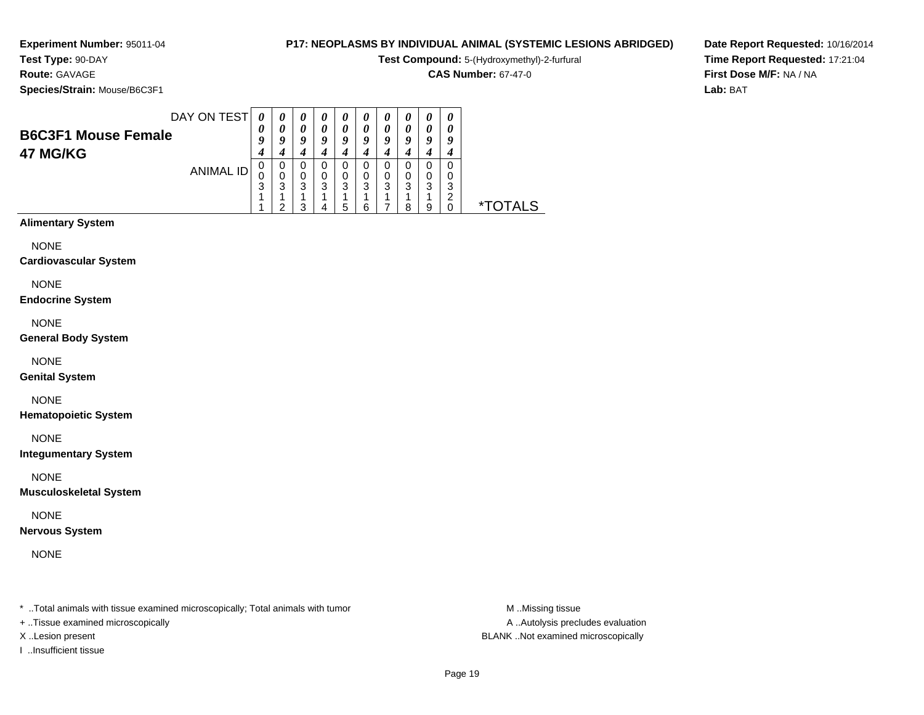**Experiment Number:** 95011-04**Test Type:** 90-DAY

**Route:** GAVAGE

# **P17: NEOPLASMS BY INDIVIDUAL ANIMAL (SYSTEMIC LESIONS ABRIDGED)**

**Test Compound:** 5-(Hydroxymethyl)-2-furfural

**CAS Number:** 67-47-0

**Species/Strain:** Mouse/B6C3F1

**Date Report Requested:** 10/16/2014**Time Report Requested:** 17:21:04**First Dose M/F:** NA / NA**Lab:** BAT

| DAY ON TEST                | 0      | 0      | 0      | 0      | $\boldsymbol{\theta}$ | U      | $\boldsymbol{\theta}$ | " |   | 0 |                       |
|----------------------------|--------|--------|--------|--------|-----------------------|--------|-----------------------|---|---|---|-----------------------|
| <b>B6C3F1 Mouse Female</b> | 0<br>9 | 0<br>Q | 0<br>9 | 0<br>Q | 0<br>9                | 0<br>u | 0<br>9                | o | o | o |                       |
| 47 MG/KG                   | 4      |        |        |        | 4                     |        | 4                     |   |   |   |                       |
| <b>ANIMAL ID</b>           | 0      | 0<br>0 | 0<br>0 | Ω<br>0 | 0<br>0                | 0      | 0<br>0                | ი | 0 |   |                       |
|                            | 3      | 3      | 3      | 3      | 3                     | 3      | 3                     | 3 | 3 | 3 |                       |
|                            |        | ◠      | 3      |        | 5                     | 6      |                       | 8 | 9 | ົ | <i><b>*TOTALS</b></i> |
| <b>Alimentary System</b>   |        |        |        |        |                       |        |                       |   |   |   |                       |

NONE

**Cardiovascular System**

NONE

**Endocrine System**

NONE

**General Body System**

NONE

**Genital System**

NONE

**Hematopoietic System**

NONE

**Integumentary System**

NONE

**Musculoskeletal System**

NONE

**Nervous System**

NONE

\* ..Total animals with tissue examined microscopically; Total animals with tumor **M** ...Missing tissue M ...Missing tissue

+ ..Tissue examined microscopically

I ..Insufficient tissue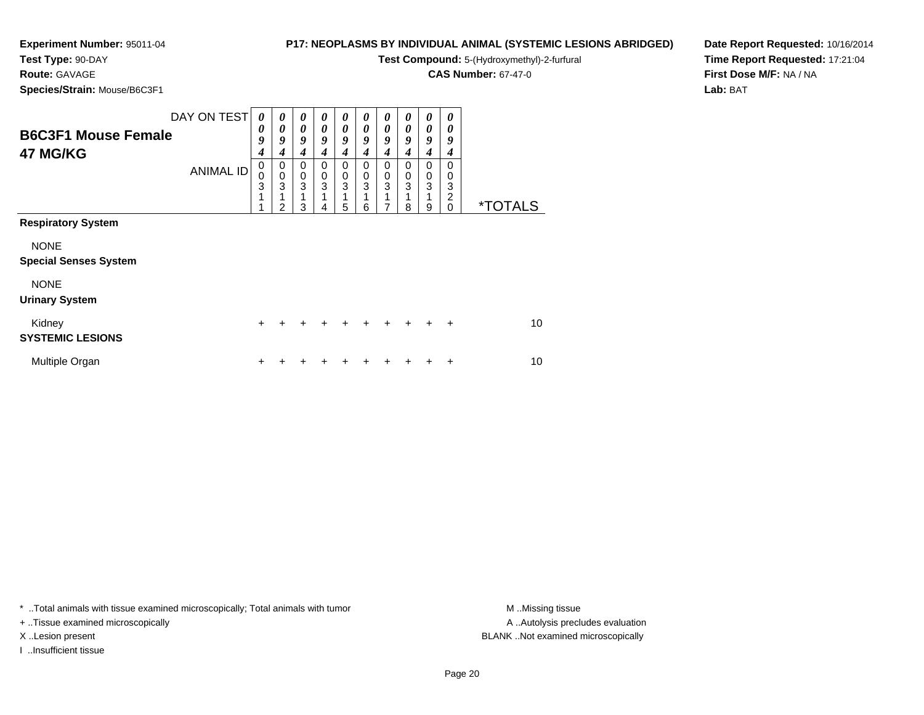# **Test Type:** 90-DAY

**Route:** GAVAGE

**Species/Strain:** Mouse/B6C3F1

#### **P17: NEOPLASMS BY INDIVIDUAL ANIMAL (SYSTEMIC LESIONS ABRIDGED)**

**Test Compound:** 5-(Hydroxymethyl)-2-furfural

**CAS Number:** 67-47-0

**Date Report Requested:** 10/16/2014**Time Report Requested:** 17:21:04**First Dose M/F:** NA / NA**Lab:** BAT

| <b>B6C3F1 Mouse Female</b><br>47 MG/KG      | DAY ON TEST<br><b>ANIMAL ID</b> | 0<br>0<br>9<br>4<br>0<br>$\mathbf 0$<br>3<br>1<br>1 | 0<br>$\boldsymbol{\theta}$<br>9<br>4<br>0<br>$\pmb{0}$<br>3<br>1<br>$\mathfrak{p}$ | 0<br>0<br>9<br>4<br>0<br>$\pmb{0}$<br>$\overline{3}$<br>1<br>3 | 0<br>0<br>9<br>4<br>0<br>0<br>3<br>4 | 0<br>$\boldsymbol{\theta}$<br>$\boldsymbol{g}$<br>4<br>0<br>$\,0\,$<br>3<br>1<br>5 | 0<br>0<br>9<br>4<br>0<br>0<br>3<br>$\overline{A}$<br>6 | 0<br>0<br>9<br>4<br>0<br>$\pmb{0}$<br>$\overline{3}$<br>1<br>7 | 0<br>0<br>9<br>4<br>0<br>0<br>3<br>8 | 0<br>0<br>9<br>4<br>0<br>$\pmb{0}$<br>3<br>9 | 0<br>0<br>9<br>$\boldsymbol{4}$<br>$\Omega$<br>0<br>3<br>2<br>$\Omega$ | <i><b>*TOTALS</b></i> |
|---------------------------------------------|---------------------------------|-----------------------------------------------------|------------------------------------------------------------------------------------|----------------------------------------------------------------|--------------------------------------|------------------------------------------------------------------------------------|--------------------------------------------------------|----------------------------------------------------------------|--------------------------------------|----------------------------------------------|------------------------------------------------------------------------|-----------------------|
| <b>Respiratory System</b>                   |                                 |                                                     |                                                                                    |                                                                |                                      |                                                                                    |                                                        |                                                                |                                      |                                              |                                                                        |                       |
| <b>NONE</b><br><b>Special Senses System</b> |                                 |                                                     |                                                                                    |                                                                |                                      |                                                                                    |                                                        |                                                                |                                      |                                              |                                                                        |                       |
| <b>NONE</b><br><b>Urinary System</b>        |                                 |                                                     |                                                                                    |                                                                |                                      |                                                                                    |                                                        |                                                                |                                      |                                              |                                                                        |                       |
| Kidney<br><b>SYSTEMIC LESIONS</b>           |                                 | $\ddot{}$                                           |                                                                                    |                                                                |                                      |                                                                                    |                                                        |                                                                |                                      | $\ddot{}$                                    | $\ddot{}$                                                              | 10                    |
| Multiple Organ                              |                                 | +                                                   |                                                                                    |                                                                |                                      |                                                                                    |                                                        |                                                                |                                      |                                              | ÷                                                                      | 10                    |

\* ..Total animals with tissue examined microscopically; Total animals with tumor **M** . Missing tissue M ..Missing tissue

+ ..Tissue examined microscopically

I ..Insufficient tissue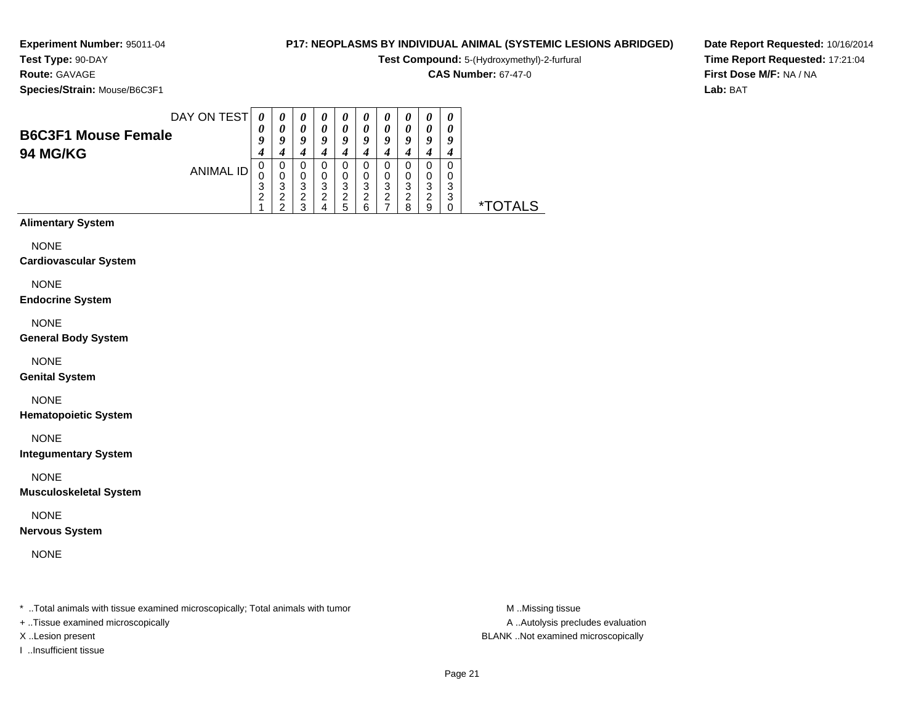#### **Test Type:** 90-DAY**Route:** GAVAGE

**Species/Strain:** Mouse/B6C3F1

#### **P17: NEOPLASMS BY INDIVIDUAL ANIMAL (SYSTEMIC LESIONS ABRIDGED)**

**Test Compound:** 5-(Hydroxymethyl)-2-furfural

**CAS Number:** 67-47-0

**Date Report Requested:** 10/16/2014**Time Report Requested:** 17:21:04**First Dose M/F:** NA / NA**Lab:** BAT

|                            | DAY ON TEST | 0       | $\boldsymbol{\theta}$ | $\boldsymbol{\theta}$ | U                     | $\boldsymbol{\theta}$ | U      | U                     | U      | U      | $\boldsymbol{\theta}$ |                 |
|----------------------------|-------------|---------|-----------------------|-----------------------|-----------------------|-----------------------|--------|-----------------------|--------|--------|-----------------------|-----------------|
| <b>B6C3F1 Mouse Female</b> |             | U       | 0                     | 0                     | $\boldsymbol{\theta}$ | 0                     | U      | $\boldsymbol{\theta}$ |        | 0      |                       |                 |
|                            |             |         | u                     | g                     | ч                     | g                     | u      | u                     | u      | ч      | u                     |                 |
| <b>94 MG/KG</b>            |             |         |                       |                       |                       |                       |        |                       |        |        |                       |                 |
|                            | ANIMAL ID   | U       | 0                     | 0                     | U                     | 0                     | U      | O                     |        | 0      |                       |                 |
|                            |             | 0<br>っ  | O                     | 0<br>3                | O                     | 0                     | 0      | 0                     | U      | 0      | O                     |                 |
|                            |             | J.<br>◠ | 3<br>◠                | ົ                     | 3<br>ີ                | 3<br>ົ                | 3<br>◠ | 3<br>ົ                | 3<br>ີ | 3<br>າ | 3<br>3                |                 |
|                            |             |         | ີ                     | っ                     |                       | ∼<br>5                | 6      |                       | 8      | 9      |                       | <i>*</i> TOTALS |

# **Alimentary System**

NONE

**Cardiovascular System**

#### NONE

**Endocrine System**

#### NONE

**General Body System**

#### NONE

**Genital System**

#### NONE

**Hematopoietic System**

NONE

**Integumentary System**

#### NONE

**Musculoskeletal System**

#### NONE

**Nervous System**

### NONE

\* ..Total animals with tissue examined microscopically; Total animals with tumor **M** ...Missing tissue M ...Missing tissue

+ ..Tissue examined microscopically

I ..Insufficient tissue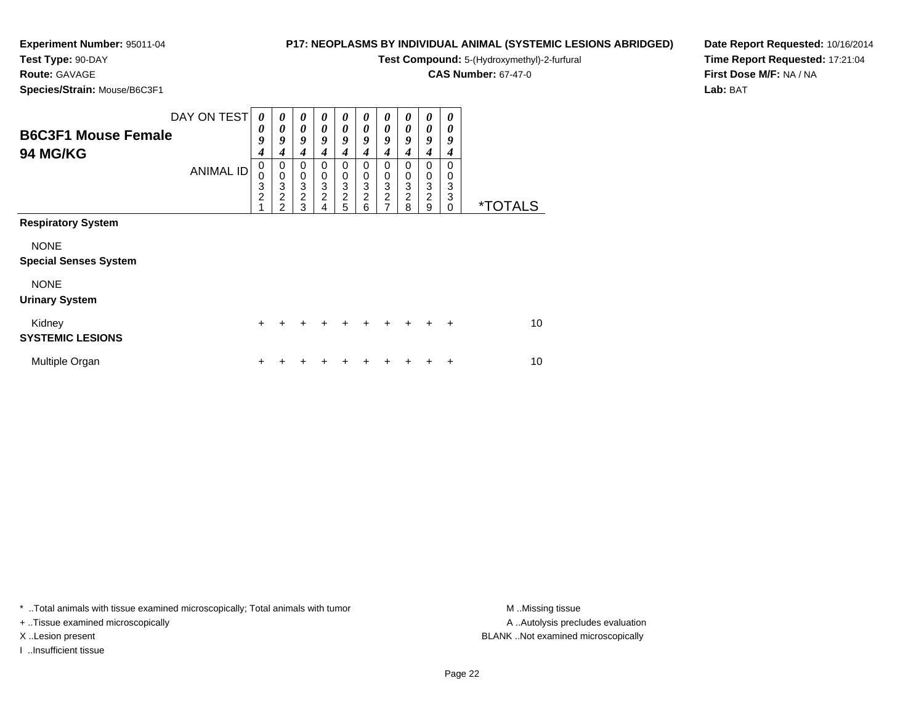# **Test Type:** 90-DAY

**Route:** GAVAGE

**Species/Strain:** Mouse/B6C3F1

#### **P17: NEOPLASMS BY INDIVIDUAL ANIMAL (SYSTEMIC LESIONS ABRIDGED)**

**Test Compound:** 5-(Hydroxymethyl)-2-furfural

**CAS Number:** 67-47-0

**Date Report Requested:** 10/16/2014**Time Report Requested:** 17:21:04**First Dose M/F:** NA / NA**Lab:** BAT

| <b>B6C3F1 Mouse Female</b><br><b>94 MG/KG</b> | DAY ON TEST<br><b>ANIMAL ID</b> | 0<br>0<br>9<br>4<br>$\mathbf 0$<br>$\mathbf 0$<br>3<br>$\overline{c}$<br>1 | 0<br>$\boldsymbol{\theta}$<br>9<br>4<br>0<br>$\pmb{0}$<br>3<br>$\overline{2}$<br>$\mathfrak{p}$ | 0<br>$\boldsymbol{\theta}$<br>9<br>4<br>0<br>$\begin{smallmatrix}0\\3\end{smallmatrix}$<br>$\overline{2}$<br>3 | 0<br>0<br>9<br>4<br>0<br>0<br>$\ensuremath{\mathsf{3}}$<br>$\overline{c}$<br>4 | 0<br>$\theta$<br>9<br>4<br>0<br>0<br>$\ensuremath{\mathsf{3}}$<br>$\overline{c}$<br>5 | 0<br>0<br>9<br>4<br>$\Omega$<br>0<br>3<br>$\overline{c}$<br>6 | 0<br>0<br>9<br>4<br>0<br>0<br>$\frac{3}{2}$ | 0<br>0<br>9<br>4<br>$\Omega$<br>0<br>3<br>$\overline{c}$<br>8 | 0<br>0<br>9<br>4<br>0<br>0<br>$\ensuremath{\mathsf{3}}$<br>$\overline{c}$<br>9 | 0<br>0<br>9<br>4<br>$\Omega$<br>0<br>3<br>3<br>$\Omega$ | <i><b>*TOTALS</b></i> |
|-----------------------------------------------|---------------------------------|----------------------------------------------------------------------------|-------------------------------------------------------------------------------------------------|----------------------------------------------------------------------------------------------------------------|--------------------------------------------------------------------------------|---------------------------------------------------------------------------------------|---------------------------------------------------------------|---------------------------------------------|---------------------------------------------------------------|--------------------------------------------------------------------------------|---------------------------------------------------------|-----------------------|
| <b>Respiratory System</b>                     |                                 |                                                                            |                                                                                                 |                                                                                                                |                                                                                |                                                                                       |                                                               |                                             |                                                               |                                                                                |                                                         |                       |
| <b>NONE</b><br><b>Special Senses System</b>   |                                 |                                                                            |                                                                                                 |                                                                                                                |                                                                                |                                                                                       |                                                               |                                             |                                                               |                                                                                |                                                         |                       |
| <b>NONE</b><br><b>Urinary System</b>          |                                 |                                                                            |                                                                                                 |                                                                                                                |                                                                                |                                                                                       |                                                               |                                             |                                                               |                                                                                |                                                         |                       |
| Kidney<br><b>SYSTEMIC LESIONS</b>             |                                 | $\ddot{}$                                                                  |                                                                                                 |                                                                                                                |                                                                                |                                                                                       | $\div$                                                        |                                             | $\ddot{}$                                                     | ÷                                                                              | $\ddot{}$                                               | 10                    |
| Multiple Organ                                |                                 | +                                                                          |                                                                                                 |                                                                                                                |                                                                                | ٠                                                                                     |                                                               |                                             |                                                               |                                                                                | ÷                                                       | 10                    |

\* ..Total animals with tissue examined microscopically; Total animals with tumor **M** . Missing tissue M ..Missing tissue

+ ..Tissue examined microscopically

I ..Insufficient tissue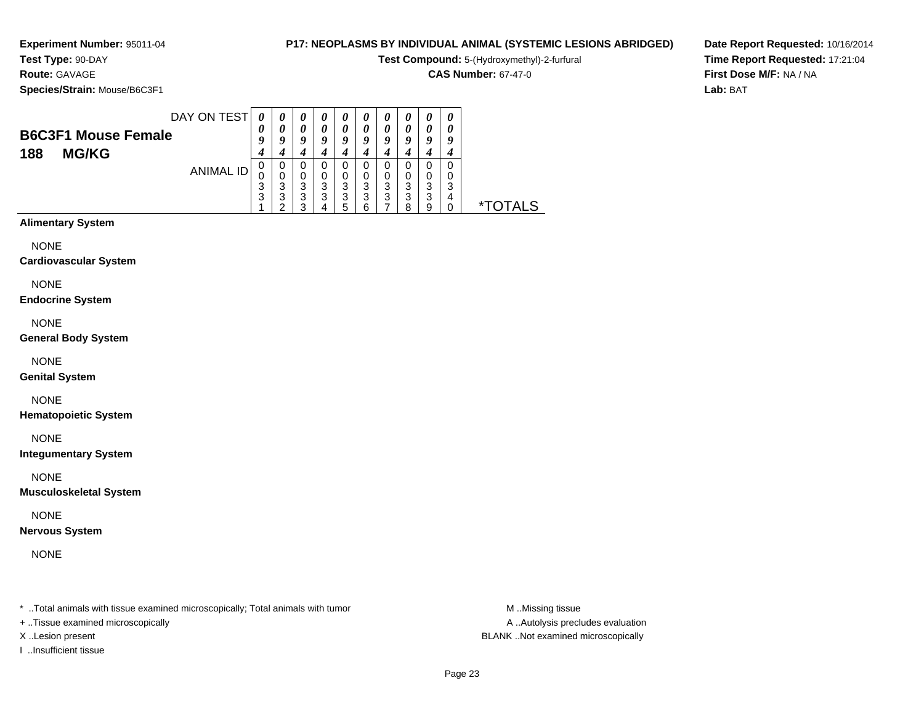**Experiment Number:** 95011-04**Test Type:** 90-DAY

#### **P17: NEOPLASMS BY INDIVIDUAL ANIMAL (SYSTEMIC LESIONS ABRIDGED)**

**Test Compound:** 5-(Hydroxymethyl)-2-furfural

**CAS Number:** 67-47-0

**Date Report Requested:** 10/16/2014**Time Report Requested:** 17:21:04**First Dose M/F:** NA / NA**Lab:** BAT

**Species/Strain:** Mouse/B6C3F1

**Route:** GAVAGE

|                            | DAY ON TEST | 0           | $\theta$    | $\boldsymbol{\theta}$ | $\boldsymbol{\theta}$ | $\boldsymbol{\theta}$ | 0      | U           | U      | 0           |   |                       |
|----------------------------|-------------|-------------|-------------|-----------------------|-----------------------|-----------------------|--------|-------------|--------|-------------|---|-----------------------|
| <b>B6C3F1 Mouse Female</b> |             | U           | 0<br>o      | 0<br>Q                | 0<br>a                | 0<br>o                | 0<br>0 | 0<br>Q      | u      | 0<br>O      |   |                       |
| <b>MG/KG</b><br>188        |             | 4           |             | 4                     |                       |                       |        | 4           |        |             |   |                       |
|                            | ANIMAL ID   | U<br>ν<br>3 | 0<br>0<br>3 | 0<br>0<br>3           | 0<br>3                | 0<br>0<br>3           | 0<br>ົ | 0<br>0<br>3 | O<br>ົ | 0<br>0<br>3 | ົ |                       |
|                            |             | 3           | 3<br>◠      | 3<br>◠                | 3                     | 3<br>5                | 3<br>6 | 3           | 3<br>я | 3<br>9      | 4 | <i><b>*TOTALS</b></i> |

# **Alimentary System**

NONE

#### **Cardiovascular System**

NONE

#### **Endocrine System**

NONE

#### **General Body System**

NONE

#### **Genital System**

#### NONE

**Hematopoietic System**

NONE

#### **Integumentary System**

NONE

#### **Musculoskeletal System**

NONE

#### **Nervous System**

NONE

\* ..Total animals with tissue examined microscopically; Total animals with tumor **M** ...Missing tissue M ...Missing tissue

- + ..Tissue examined microscopically
- 
- I ..Insufficient tissue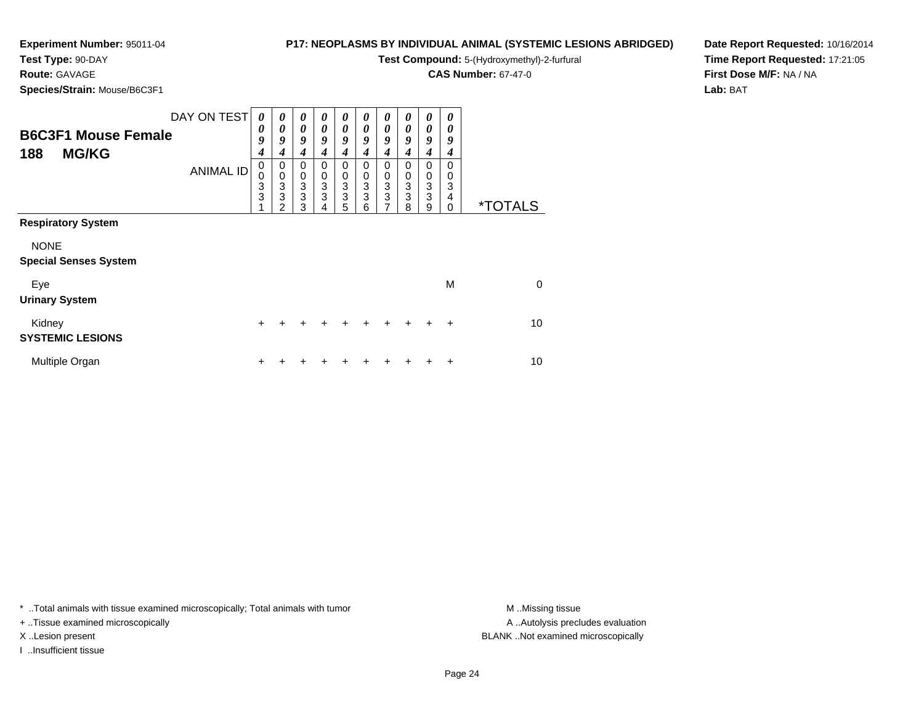## **P17: NEOPLASMS BY INDIVIDUAL ANIMAL (SYSTEMIC LESIONS ABRIDGED)**

**Test Compound:** 5-(Hydroxymethyl)-2-furfural

**CAS Number:** 67-47-0

**Date Report Requested:** 10/16/2014**Time Report Requested:** 17:21:05**First Dose M/F:** NA / NA**Lab:** BAT

## **Test Type:** 90-DAY**Route:** GAVAGE**Species/Strain:** Mouse/B6C3F1

| <b>B6C3F1 Mouse Female</b><br><b>MG/KG</b><br>188                        | DAY ON TEST      | 0<br>0<br>9<br>$\overline{4}$                      | 0<br>0<br>9<br>4                                          | 0<br>0<br>9<br>4                                      | 0<br>0<br>9<br>4 | 0<br>9<br>4                                                           | 0<br>$\boldsymbol{\theta}$<br>9<br>4   | 0<br>0<br>9<br>4      | 0<br>0<br>9<br>4      | 0<br>0<br>9<br>4      | 0<br>0<br>9<br>4             |                       |
|--------------------------------------------------------------------------|------------------|----------------------------------------------------|-----------------------------------------------------------|-------------------------------------------------------|------------------|-----------------------------------------------------------------------|----------------------------------------|-----------------------|-----------------------|-----------------------|------------------------------|-----------------------|
|                                                                          | <b>ANIMAL ID</b> | $\mathbf 0$<br>$\begin{matrix}0\\3\\3\end{matrix}$ | 0<br>0<br>$\ensuremath{\mathsf{3}}$<br>3<br>$\mathcal{P}$ | 0<br>$\begin{smallmatrix}0\3\3\end{smallmatrix}$<br>3 | 0<br>0<br>3<br>3 | 0<br>0<br>$\ensuremath{\mathsf{3}}$<br>$\ensuremath{\mathsf{3}}$<br>5 | $\Omega$<br>$\mathbf 0$<br>3<br>3<br>6 | 0<br>0<br>3<br>3<br>7 | 0<br>0<br>3<br>3<br>8 | 0<br>0<br>3<br>3<br>9 | 0<br>0<br>3<br>4<br>$\Omega$ | <i><b>*TOTALS</b></i> |
| <b>Respiratory System</b><br><b>NONE</b><br><b>Special Senses System</b> |                  |                                                    |                                                           |                                                       |                  |                                                                       |                                        |                       |                       |                       |                              |                       |
| Eye<br><b>Urinary System</b>                                             |                  |                                                    |                                                           |                                                       |                  |                                                                       |                                        |                       |                       |                       | M                            | $\Omega$              |
| Kidney<br><b>SYSTEMIC LESIONS</b>                                        |                  | $\div$                                             | +                                                         | +                                                     | ÷                | ÷                                                                     | $\div$                                 | $\div$                | $\ddot{}$             | $\div$                | $\ddot{}$                    | 10                    |
| Multiple Organ                                                           |                  | ٠                                                  |                                                           |                                                       |                  |                                                                       |                                        |                       |                       |                       | ÷                            | 10                    |

\* ..Total animals with tissue examined microscopically; Total animals with tumor **M** . Missing tissue M ..Missing tissue

+ ..Tissue examined microscopically

I ..Insufficient tissue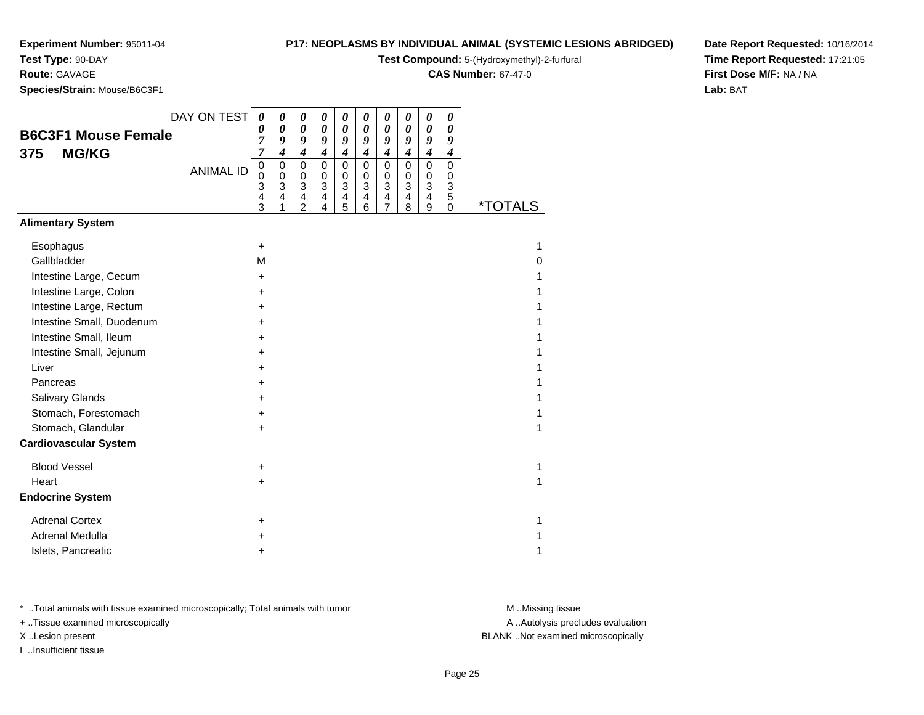**Test Type:** 90-DAY

**Route:** GAVAGE

**Species/Strain:** Mouse/B6C3F1

#### **P17: NEOPLASMS BY INDIVIDUAL ANIMAL (SYSTEMIC LESIONS ABRIDGED)**

**Test Compound:** 5-(Hydroxymethyl)-2-furfural

**CAS Number:** 67-47-0

**Date Report Requested:** 10/16/2014**Time Report Requested:** 17:21:05**First Dose M/F:** NA / NA**Lab:** BAT

|                              | DAY ON TEST      | 0                             | 0                     | 0                                            | 0                             | 0                                                              | $\boldsymbol{\theta}$           | 0                                                                                        | 0                                                     | 0                                                                  | 0                             |                       |
|------------------------------|------------------|-------------------------------|-----------------------|----------------------------------------------|-------------------------------|----------------------------------------------------------------|---------------------------------|------------------------------------------------------------------------------------------|-------------------------------------------------------|--------------------------------------------------------------------|-------------------------------|-----------------------|
| <b>B6C3F1 Mouse Female</b>   |                  | 0<br>7                        | 0<br>9                | 0<br>9                                       | 0<br>9                        | 0<br>9                                                         | $\boldsymbol{\theta}$<br>9      | $\boldsymbol{\theta}$<br>9                                                               | 0<br>9                                                | $\boldsymbol{\theta}$<br>9                                         | 0<br>9                        |                       |
| <b>MG/KG</b><br>375          |                  | 7                             | 4                     | $\boldsymbol{4}$                             | $\boldsymbol{4}$              | $\boldsymbol{4}$                                               | $\boldsymbol{4}$                | $\boldsymbol{4}$                                                                         | 4                                                     | $\boldsymbol{4}$                                                   | 4                             |                       |
|                              | <b>ANIMAL ID</b> | $\pmb{0}$<br>0<br>3<br>4<br>3 | 0<br>0<br>3<br>4<br>1 | $\mathbf 0$<br>0<br>3<br>4<br>$\overline{2}$ | $\pmb{0}$<br>0<br>3<br>4<br>4 | $\mathbf 0$<br>$\Omega$<br>$\mathbf{3}$<br>$\overline{4}$<br>5 | $\mathbf 0$<br>0<br>3<br>4<br>6 | $\pmb{0}$<br>0<br>$\ensuremath{\mathsf{3}}$<br>$\overline{\mathbf{4}}$<br>$\overline{7}$ | $\pmb{0}$<br>0<br>$\mathbf{3}$<br>$\overline{4}$<br>8 | $\mathbf 0$<br>0<br>$\overline{3}$<br>$\overline{\mathbf{4}}$<br>9 | $\pmb{0}$<br>0<br>3<br>5<br>0 | <i><b>*TOTALS</b></i> |
| <b>Alimentary System</b>     |                  |                               |                       |                                              |                               |                                                                |                                 |                                                                                          |                                                       |                                                                    |                               |                       |
| Esophagus                    |                  | $\ddot{}$                     |                       |                                              |                               |                                                                |                                 |                                                                                          |                                                       |                                                                    |                               | 1                     |
| Gallbladder                  |                  | M                             |                       |                                              |                               |                                                                |                                 |                                                                                          |                                                       |                                                                    |                               | 0                     |
| Intestine Large, Cecum       |                  | $\ddot{}$                     |                       |                                              |                               |                                                                |                                 |                                                                                          |                                                       |                                                                    |                               | 1                     |
| Intestine Large, Colon       |                  | +                             |                       |                                              |                               |                                                                |                                 |                                                                                          |                                                       |                                                                    |                               | 1                     |
| Intestine Large, Rectum      |                  | +                             |                       |                                              |                               |                                                                |                                 |                                                                                          |                                                       |                                                                    |                               |                       |
| Intestine Small, Duodenum    |                  | $\ddot{}$                     |                       |                                              |                               |                                                                |                                 |                                                                                          |                                                       |                                                                    |                               | 1                     |
| Intestine Small, Ileum       |                  | +                             |                       |                                              |                               |                                                                |                                 |                                                                                          |                                                       |                                                                    |                               | 1                     |
| Intestine Small, Jejunum     |                  | $\ddot{}$                     |                       |                                              |                               |                                                                |                                 |                                                                                          |                                                       |                                                                    |                               | 1                     |
| Liver                        |                  | +                             |                       |                                              |                               |                                                                |                                 |                                                                                          |                                                       |                                                                    |                               | 1                     |
| Pancreas                     |                  | +                             |                       |                                              |                               |                                                                |                                 |                                                                                          |                                                       |                                                                    |                               | 1                     |
| Salivary Glands              |                  | +                             |                       |                                              |                               |                                                                |                                 |                                                                                          |                                                       |                                                                    |                               | 1                     |
| Stomach, Forestomach         |                  | $\ddot{}$                     |                       |                                              |                               |                                                                |                                 |                                                                                          |                                                       |                                                                    |                               | 1                     |
| Stomach, Glandular           |                  | $\ddot{}$                     |                       |                                              |                               |                                                                |                                 |                                                                                          |                                                       |                                                                    |                               | 1                     |
| <b>Cardiovascular System</b> |                  |                               |                       |                                              |                               |                                                                |                                 |                                                                                          |                                                       |                                                                    |                               |                       |
| <b>Blood Vessel</b>          |                  | $\ddot{}$                     |                       |                                              |                               |                                                                |                                 |                                                                                          |                                                       |                                                                    |                               | 1                     |
| Heart                        |                  | $\ddot{}$                     |                       |                                              |                               |                                                                |                                 |                                                                                          |                                                       |                                                                    |                               | 1                     |
| <b>Endocrine System</b>      |                  |                               |                       |                                              |                               |                                                                |                                 |                                                                                          |                                                       |                                                                    |                               |                       |
| <b>Adrenal Cortex</b>        |                  | +                             |                       |                                              |                               |                                                                |                                 |                                                                                          |                                                       |                                                                    |                               | 1                     |
| Adrenal Medulla              |                  | $\div$                        |                       |                                              |                               |                                                                |                                 |                                                                                          |                                                       |                                                                    |                               | 1                     |
| Islets, Pancreatic           |                  | ٠                             |                       |                                              |                               |                                                                |                                 |                                                                                          |                                                       |                                                                    |                               | 1                     |

\* ..Total animals with tissue examined microscopically; Total animals with tumor **M** . Missing tissue M ..Missing tissue

+ ..Tissue examined microscopically

I ..Insufficient tissue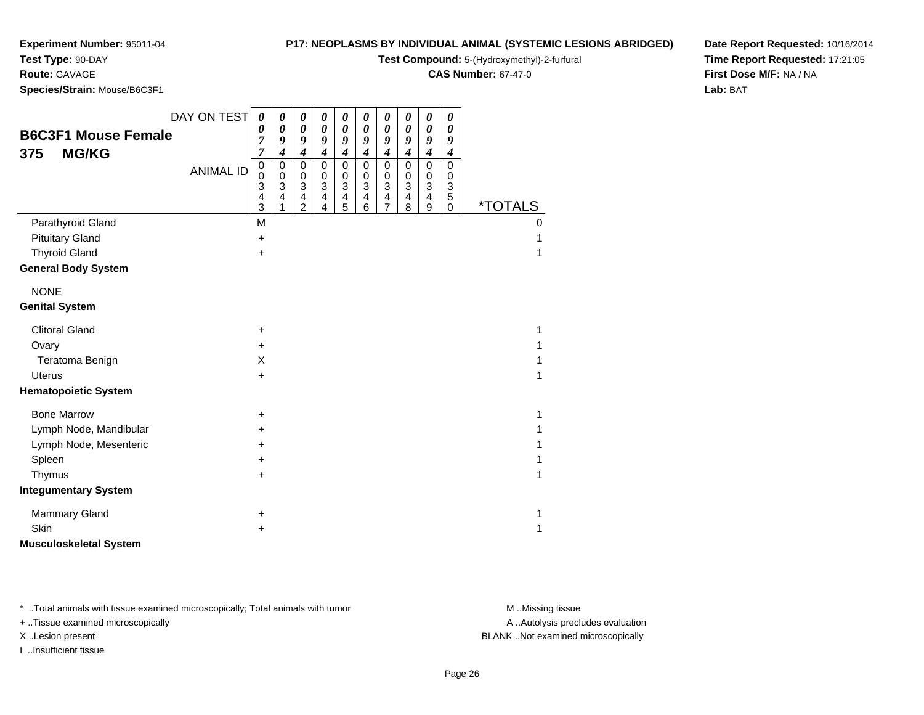**Test Type:** 90-DAY**Route:** GAVAGE

# **P17: NEOPLASMS BY INDIVIDUAL ANIMAL (SYSTEMIC LESIONS ABRIDGED)**

**Test Compound:** 5-(Hydroxymethyl)-2-furfural

**CAS Number:** 67-47-0

**Date Report Requested:** 10/16/2014**Time Report Requested:** 17:21:05**First Dose M/F:** NA / NA**Lab:** BAT

**Species/Strain:** Mouse/B6C3F1

| <b>B6C3F1 Mouse Female</b>    | DAY ON TEST      | $\boldsymbol{\theta}$<br>$\boldsymbol{\theta}$<br>7         | $\boldsymbol{\theta}$<br>$\boldsymbol{\theta}$<br>9                                          | 0<br>0<br>9                                                                                        | 0<br>$\boldsymbol{\theta}$<br>9                                 | 0<br>0<br>9                                                   | 0<br>$\boldsymbol{\theta}$<br>9                                                   | 0<br>$\boldsymbol{\theta}$<br>9                                                                             | 0<br>$\boldsymbol{\theta}$<br>9                                 | $\boldsymbol{\theta}$<br>$\boldsymbol{\theta}$<br>9                             | $\boldsymbol{\theta}$<br>$\boldsymbol{\theta}$<br>9                  |                       |
|-------------------------------|------------------|-------------------------------------------------------------|----------------------------------------------------------------------------------------------|----------------------------------------------------------------------------------------------------|-----------------------------------------------------------------|---------------------------------------------------------------|-----------------------------------------------------------------------------------|-------------------------------------------------------------------------------------------------------------|-----------------------------------------------------------------|---------------------------------------------------------------------------------|----------------------------------------------------------------------|-----------------------|
| <b>MG/KG</b><br>375           | <b>ANIMAL ID</b> | $\overline{7}$<br>$\mathbf 0$<br>$\mathbf 0$<br>3<br>4<br>3 | $\boldsymbol{4}$<br>$\pmb{0}$<br>$\mathbf 0$<br>3<br>$\overline{\mathbf{4}}$<br>$\mathbf{1}$ | $\boldsymbol{4}$<br>$\mathbf 0$<br>$\mathbf 0$<br>$\mathbf{3}$<br>$\overline{4}$<br>$\overline{2}$ | $\boldsymbol{4}$<br>0<br>0<br>3<br>$\overline{\mathbf{4}}$<br>4 | $\boldsymbol{4}$<br>$\mathbf 0$<br>$\mathbf 0$<br>3<br>4<br>5 | $\boldsymbol{4}$<br>$\mathbf 0$<br>$\pmb{0}$<br>3<br>$\overline{\mathbf{4}}$<br>6 | $\boldsymbol{4}$<br>$\mathbf 0$<br>$\mathbf 0$<br>$\mathbf{3}$<br>$\overline{\mathbf{4}}$<br>$\overline{7}$ | $\boldsymbol{4}$<br>0<br>0<br>3<br>$\overline{\mathbf{4}}$<br>8 | $\boldsymbol{4}$<br>$\pmb{0}$<br>$\pmb{0}$<br>3<br>$\overline{\mathbf{4}}$<br>9 | $\boldsymbol{4}$<br>$\mathbf 0$<br>$\Omega$<br>3<br>5<br>$\mathbf 0$ | <i><b>*TOTALS</b></i> |
| Parathyroid Gland             |                  | M                                                           |                                                                                              |                                                                                                    |                                                                 |                                                               |                                                                                   |                                                                                                             |                                                                 |                                                                                 |                                                                      | 0                     |
| <b>Pituitary Gland</b>        |                  | $\ddot{}$                                                   |                                                                                              |                                                                                                    |                                                                 |                                                               |                                                                                   |                                                                                                             |                                                                 |                                                                                 |                                                                      |                       |
| <b>Thyroid Gland</b>          |                  | $\ddot{}$                                                   |                                                                                              |                                                                                                    |                                                                 |                                                               |                                                                                   |                                                                                                             |                                                                 |                                                                                 |                                                                      | 1                     |
| <b>General Body System</b>    |                  |                                                             |                                                                                              |                                                                                                    |                                                                 |                                                               |                                                                                   |                                                                                                             |                                                                 |                                                                                 |                                                                      |                       |
| <b>NONE</b>                   |                  |                                                             |                                                                                              |                                                                                                    |                                                                 |                                                               |                                                                                   |                                                                                                             |                                                                 |                                                                                 |                                                                      |                       |
| <b>Genital System</b>         |                  |                                                             |                                                                                              |                                                                                                    |                                                                 |                                                               |                                                                                   |                                                                                                             |                                                                 |                                                                                 |                                                                      |                       |
| <b>Clitoral Gland</b>         |                  | $\ddot{}$                                                   |                                                                                              |                                                                                                    |                                                                 |                                                               |                                                                                   |                                                                                                             |                                                                 |                                                                                 |                                                                      | 1                     |
| Ovary                         |                  | $\ddot{}$                                                   |                                                                                              |                                                                                                    |                                                                 |                                                               |                                                                                   |                                                                                                             |                                                                 |                                                                                 |                                                                      |                       |
| Teratoma Benign               |                  | X                                                           |                                                                                              |                                                                                                    |                                                                 |                                                               |                                                                                   |                                                                                                             |                                                                 |                                                                                 |                                                                      |                       |
| <b>Uterus</b>                 |                  | $\ddot{}$                                                   |                                                                                              |                                                                                                    |                                                                 |                                                               |                                                                                   |                                                                                                             |                                                                 |                                                                                 |                                                                      | 1                     |
| <b>Hematopoietic System</b>   |                  |                                                             |                                                                                              |                                                                                                    |                                                                 |                                                               |                                                                                   |                                                                                                             |                                                                 |                                                                                 |                                                                      |                       |
| <b>Bone Marrow</b>            |                  | +                                                           |                                                                                              |                                                                                                    |                                                                 |                                                               |                                                                                   |                                                                                                             |                                                                 |                                                                                 |                                                                      | 1                     |
| Lymph Node, Mandibular        |                  | +                                                           |                                                                                              |                                                                                                    |                                                                 |                                                               |                                                                                   |                                                                                                             |                                                                 |                                                                                 |                                                                      | 1                     |
| Lymph Node, Mesenteric        |                  | +                                                           |                                                                                              |                                                                                                    |                                                                 |                                                               |                                                                                   |                                                                                                             |                                                                 |                                                                                 |                                                                      |                       |
| Spleen                        |                  | +                                                           |                                                                                              |                                                                                                    |                                                                 |                                                               |                                                                                   |                                                                                                             |                                                                 |                                                                                 |                                                                      | 1                     |
| Thymus                        |                  | +                                                           |                                                                                              |                                                                                                    |                                                                 |                                                               |                                                                                   |                                                                                                             |                                                                 |                                                                                 |                                                                      | 1                     |
| <b>Integumentary System</b>   |                  |                                                             |                                                                                              |                                                                                                    |                                                                 |                                                               |                                                                                   |                                                                                                             |                                                                 |                                                                                 |                                                                      |                       |
| <b>Mammary Gland</b>          |                  | +                                                           |                                                                                              |                                                                                                    |                                                                 |                                                               |                                                                                   |                                                                                                             |                                                                 |                                                                                 |                                                                      | 1                     |
| Skin                          |                  | +                                                           |                                                                                              |                                                                                                    |                                                                 |                                                               |                                                                                   |                                                                                                             |                                                                 |                                                                                 |                                                                      | 1                     |
| <b>Musculoskeletal System</b> |                  |                                                             |                                                                                              |                                                                                                    |                                                                 |                                                               |                                                                                   |                                                                                                             |                                                                 |                                                                                 |                                                                      |                       |

\* ..Total animals with tissue examined microscopically; Total animals with tumor **M** . Missing tissue M ..Missing tissue

+ ..Tissue examined microscopically

I ..Insufficient tissue

A ..Autolysis precludes evaluation

X ..Lesion present BLANK ..Not examined microscopically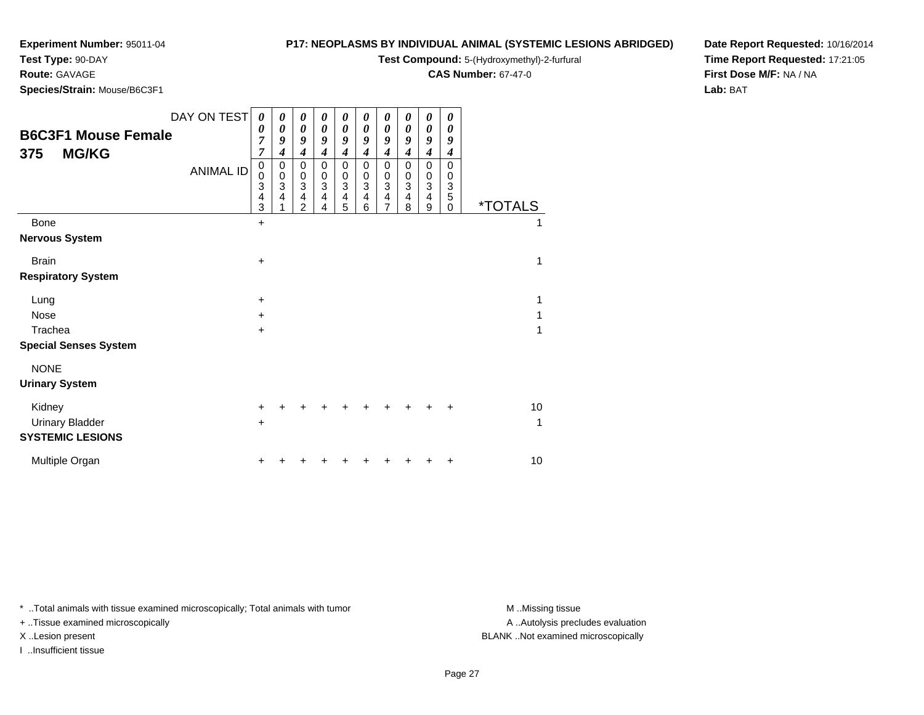**Test Type:** 90-DAY

#### **Route:** GAVAGE

**Species/Strain:** Mouse/B6C3F1

#### **P17: NEOPLASMS BY INDIVIDUAL ANIMAL (SYSTEMIC LESIONS ABRIDGED)**

**Test Compound:** 5-(Hydroxymethyl)-2-furfural

**CAS Number:** 67-47-0

**Date Report Requested:** 10/16/2014**Time Report Requested:** 17:21:05**First Dose M/F:** NA / NA**Lab:** BAT

| <b>B6C3F1 Mouse Female</b><br><b>MG/KG</b><br>375 | DAY ON TEST<br><b>ANIMAL ID</b> | 0<br>0<br>7<br>7<br>$\begin{array}{c} 0 \\ 0 \\ 3 \\ 4 \end{array}$<br>3 | 0<br>0<br>9<br>$\overline{\boldsymbol{4}}$<br>0<br>$\mathbf 0$<br>$\ensuremath{\mathsf{3}}$<br>$\overline{\mathbf{4}}$ | 0<br>0<br>9<br>$\overline{\mathbf{4}}$<br>$\boldsymbol{0}$<br>$\begin{smallmatrix} 0\\ 3 \end{smallmatrix}$<br>4<br>$\overline{2}$ | 0<br>0<br>9<br>4<br>0<br>0<br>3<br>4<br>4 | 0<br>0<br>9<br>4<br>$\pmb{0}$<br>$\pmb{0}$<br>$\overline{3}$<br>4<br>5 | 0<br>0<br>9<br>4<br>0<br>$\pmb{0}$<br>3<br>$\overline{\mathbf{4}}$<br>6 | 0<br>0<br>9<br>$\boldsymbol{4}$<br>0<br>$\pmb{0}$<br>$\overline{3}$<br>$\overline{\mathbf{4}}$<br>7 | 0<br>0<br>9<br>4<br>$\mathbf 0$<br>$\boldsymbol{0}$<br>3<br>$\overline{4}$<br>8 | 0<br>0<br>9<br>$\boldsymbol{4}$<br>0<br>$\pmb{0}$<br>$\overline{3}$<br>$\overline{\mathbf{4}}$<br>9 | 0<br>0<br>9<br>$\boldsymbol{4}$<br>$\mathbf 0$<br>0<br>$\sqrt{3}$<br>$\overline{5}$<br>0 | <i><b>*TOTALS</b></i> |
|---------------------------------------------------|---------------------------------|--------------------------------------------------------------------------|------------------------------------------------------------------------------------------------------------------------|------------------------------------------------------------------------------------------------------------------------------------|-------------------------------------------|------------------------------------------------------------------------|-------------------------------------------------------------------------|-----------------------------------------------------------------------------------------------------|---------------------------------------------------------------------------------|-----------------------------------------------------------------------------------------------------|------------------------------------------------------------------------------------------|-----------------------|
| Bone                                              |                                 | +                                                                        |                                                                                                                        |                                                                                                                                    |                                           |                                                                        |                                                                         |                                                                                                     |                                                                                 |                                                                                                     |                                                                                          | 1                     |
| <b>Nervous System</b>                             |                                 |                                                                          |                                                                                                                        |                                                                                                                                    |                                           |                                                                        |                                                                         |                                                                                                     |                                                                                 |                                                                                                     |                                                                                          |                       |
| <b>Brain</b>                                      |                                 | $\ddot{}$                                                                |                                                                                                                        |                                                                                                                                    |                                           |                                                                        |                                                                         |                                                                                                     |                                                                                 |                                                                                                     |                                                                                          | 1                     |
| <b>Respiratory System</b>                         |                                 |                                                                          |                                                                                                                        |                                                                                                                                    |                                           |                                                                        |                                                                         |                                                                                                     |                                                                                 |                                                                                                     |                                                                                          |                       |
| Lung                                              |                                 | $\ddot{}$                                                                |                                                                                                                        |                                                                                                                                    |                                           |                                                                        |                                                                         |                                                                                                     |                                                                                 |                                                                                                     |                                                                                          | 1                     |
| <b>Nose</b>                                       |                                 | $+$                                                                      |                                                                                                                        |                                                                                                                                    |                                           |                                                                        |                                                                         |                                                                                                     |                                                                                 |                                                                                                     |                                                                                          | 1                     |
| Trachea                                           |                                 | +                                                                        |                                                                                                                        |                                                                                                                                    |                                           |                                                                        |                                                                         |                                                                                                     |                                                                                 |                                                                                                     |                                                                                          | 1                     |
| <b>Special Senses System</b>                      |                                 |                                                                          |                                                                                                                        |                                                                                                                                    |                                           |                                                                        |                                                                         |                                                                                                     |                                                                                 |                                                                                                     |                                                                                          |                       |
| <b>NONE</b>                                       |                                 |                                                                          |                                                                                                                        |                                                                                                                                    |                                           |                                                                        |                                                                         |                                                                                                     |                                                                                 |                                                                                                     |                                                                                          |                       |
| <b>Urinary System</b>                             |                                 |                                                                          |                                                                                                                        |                                                                                                                                    |                                           |                                                                        |                                                                         |                                                                                                     |                                                                                 |                                                                                                     |                                                                                          |                       |
| Kidney<br><b>Urinary Bladder</b>                  |                                 | $\pm$<br>$\ddot{}$                                                       |                                                                                                                        |                                                                                                                                    |                                           |                                                                        |                                                                         |                                                                                                     |                                                                                 |                                                                                                     |                                                                                          | 10<br>1               |
| <b>SYSTEMIC LESIONS</b>                           |                                 |                                                                          |                                                                                                                        |                                                                                                                                    |                                           |                                                                        |                                                                         |                                                                                                     |                                                                                 |                                                                                                     |                                                                                          |                       |
| Multiple Organ                                    |                                 |                                                                          |                                                                                                                        |                                                                                                                                    |                                           |                                                                        |                                                                         |                                                                                                     |                                                                                 |                                                                                                     |                                                                                          | 10                    |

\* ..Total animals with tissue examined microscopically; Total animals with tumor **M** . Missing tissue M ..Missing tissue

+ ..Tissue examined microscopically

I ..Insufficient tissue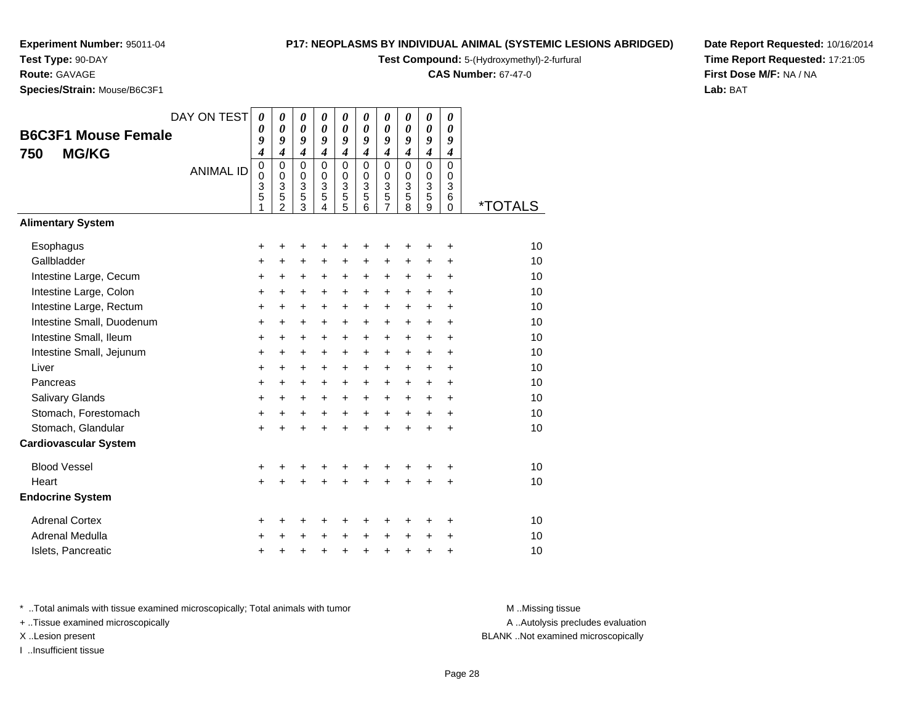# **Test Type:** 90-DAY

**Route:** GAVAGE

**Species/Strain:** Mouse/B6C3F1

#### **P17: NEOPLASMS BY INDIVIDUAL ANIMAL (SYSTEMIC LESIONS ABRIDGED)**

**Test Compound:** 5-(Hydroxymethyl)-2-furfural

**CAS Number:** 67-47-0

**Date Report Requested:** 10/16/2014**Time Report Requested:** 17:21:05**First Dose M/F:** NA / NA**Lab:** BAT

|                              | DAY ON TEST      | 0           | 0                                | 0                     | 0                              | $\boldsymbol{\theta}$ | 0                     | 0                              | 0                                           | $\boldsymbol{\theta}$ | 0                     |                       |
|------------------------------|------------------|-------------|----------------------------------|-----------------------|--------------------------------|-----------------------|-----------------------|--------------------------------|---------------------------------------------|-----------------------|-----------------------|-----------------------|
| <b>B6C3F1 Mouse Female</b>   |                  | 0           | $\boldsymbol{\theta}$            | 0                     | $\boldsymbol{\theta}$          | $\boldsymbol{\theta}$ | $\boldsymbol{\theta}$ | 0                              | $\boldsymbol{\theta}$                       | $\boldsymbol{\theta}$ | 0                     |                       |
| <b>MG/KG</b><br>750          |                  | 9<br>4      | 9<br>$\overline{\boldsymbol{4}}$ | 9<br>$\boldsymbol{4}$ | 9<br>$\boldsymbol{4}$          | 9<br>$\overline{4}$   | 9<br>$\boldsymbol{4}$ | 9<br>$\overline{4}$            | 9<br>$\boldsymbol{4}$                       | 9<br>$\boldsymbol{4}$ | 9<br>$\boldsymbol{4}$ |                       |
|                              | <b>ANIMAL ID</b> | $\mathbf 0$ | $\mathbf 0$                      | $\mathbf 0$           | $\Omega$                       | $\mathbf 0$           | $\mathbf{0}$          | $\mathbf 0$                    | $\Omega$                                    | $\mathbf 0$           | $\mathbf 0$           |                       |
|                              |                  | 0           | 0                                | 0                     | 0                              | $\mathbf 0$           | $\mathbf 0$           | 0                              | $\Omega$                                    | $\pmb{0}$             | 0                     |                       |
|                              |                  | 3<br>5      | 3<br>5                           | 3<br>5                | $\ensuremath{\mathsf{3}}$<br>5 | 3<br>$\overline{5}$   | 3<br>5                | $\ensuremath{\mathsf{3}}$<br>5 | $\ensuremath{\mathsf{3}}$<br>$\overline{5}$ | $\frac{3}{5}$         | 3<br>6                |                       |
|                              |                  | 1           | 2                                | 3                     | 4                              | 5                     | 6                     | $\overline{7}$                 | 8                                           | 9                     | $\Omega$              | <i><b>*TOTALS</b></i> |
| <b>Alimentary System</b>     |                  |             |                                  |                       |                                |                       |                       |                                |                                             |                       |                       |                       |
| Esophagus                    |                  | +           | +                                | +                     |                                | +                     | +                     | +                              | ٠                                           | +                     | +                     | 10                    |
| Gallbladder                  |                  | $\ddot{}$   | $\ddot{}$                        | $\ddot{}$             | $+$                            | $\ddot{}$             | $\ddot{}$             | $\ddot{}$                      | $\ddot{}$                                   | $\ddot{}$             | $\ddot{}$             | 10                    |
| Intestine Large, Cecum       |                  | +           | +                                | +                     | +                              | +                     | +                     | +                              | $\ddot{}$                                   | $\ddot{}$             | $\ddot{}$             | 10                    |
| Intestine Large, Colon       |                  | +           | $\ddot{}$                        | $\ddot{}$             | $\ddot{}$                      | $\ddot{}$             | +                     | $\ddot{}$                      | $\ddot{}$                                   | $\ddot{}$             | $\ddot{}$             | 10                    |
| Intestine Large, Rectum      |                  | +           | $\ddot{}$                        | $\ddot{}$             | $\ddot{}$                      | +                     | $\ddot{}$             | $\ddot{}$                      | $\ddot{}$                                   | $\ddot{}$             | $\ddot{}$             | 10                    |
| Intestine Small, Duodenum    |                  | $\ddot{}$   | $\ddot{}$                        | $\ddot{}$             | $\ddot{}$                      | $\ddot{}$             | $\ddot{}$             | +                              | $\ddot{}$                                   | $\ddot{}$             | $\ddot{}$             | 10                    |
| Intestine Small, Ileum       |                  | $\ddot{}$   | $\ddot{}$                        | $\ddot{}$             | $\ddot{}$                      | $\ddot{}$             | $\ddot{}$             | $\ddot{}$                      | $\ddot{}$                                   | $\ddot{}$             | $\ddot{}$             | 10                    |
| Intestine Small, Jejunum     |                  | +           | $\ddot{}$                        | +                     | $\ddot{}$                      | $\ddot{}$             | +                     | +                              | $\ddot{}$                                   | $\ddot{}$             | $\ddot{}$             | 10                    |
| Liver                        |                  | +           | +                                | +                     | $\ddot{}$                      | $\ddot{}$             | +                     | +                              | $\ddot{}$                                   | $\ddot{}$             | $\ddot{}$             | 10                    |
| Pancreas                     |                  | $\ddot{}$   | $\ddot{}$                        | $\ddot{}$             | $\ddot{}$                      | $\ddot{}$             | $\ddot{}$             | +                              | $\ddot{}$                                   | $\ddot{}$             | $\ddot{}$             | 10                    |
| Salivary Glands              |                  | $\ddot{}$   | $\ddot{}$                        | $\ddot{}$             | $\ddot{}$                      | $\ddot{}$             | $\ddot{}$             | +                              | $\ddot{}$                                   | $\ddot{}$             | $\ddot{}$             | 10                    |
| Stomach, Forestomach         |                  | $\ddot{}$   | $\ddot{}$                        | +                     | $\ddot{}$                      | $\ddot{}$             | $\ddot{}$             | $\ddot{}$                      | $\ddot{}$                                   | $\ddot{}$             | $\ddot{}$             | 10                    |
| Stomach, Glandular           |                  | $\ddot{}$   | $\ddot{}$                        | $\ddot{}$             |                                | $\ddot{}$             | $\ddot{}$             | $\ddot{}$                      | $\ddot{}$                                   | $\ddot{}$             | $\ddot{}$             | 10                    |
| <b>Cardiovascular System</b> |                  |             |                                  |                       |                                |                       |                       |                                |                                             |                       |                       |                       |
| <b>Blood Vessel</b>          |                  | +           |                                  |                       |                                |                       |                       | +                              |                                             |                       | +                     | 10                    |
| Heart                        |                  | $\ddot{}$   |                                  | +                     |                                |                       |                       | $\ddot{}$                      | ÷                                           | $\ddot{}$             | $\ddot{}$             | 10                    |
| <b>Endocrine System</b>      |                  |             |                                  |                       |                                |                       |                       |                                |                                             |                       |                       |                       |
| <b>Adrenal Cortex</b>        |                  | +           | +                                | +                     | +                              | +                     | +                     | +                              | +                                           | +                     | +                     | 10                    |
| Adrenal Medulla              |                  | +           | +                                | +                     |                                | $\ddot{}$             | $\ddot{}$             | +                              | +                                           | +                     | +                     | 10                    |
| Islets, Pancreatic           |                  | +           | +                                | +                     | $\ddot{}$                      | $\ddot{}$             | $\ddot{}$             | $\ddot{}$                      | $\ddot{}$                                   | +                     | +                     | 10                    |

\* ..Total animals with tissue examined microscopically; Total animals with tumor **M** . Missing tissue M ..Missing tissue

+ ..Tissue examined microscopically

I ..Insufficient tissue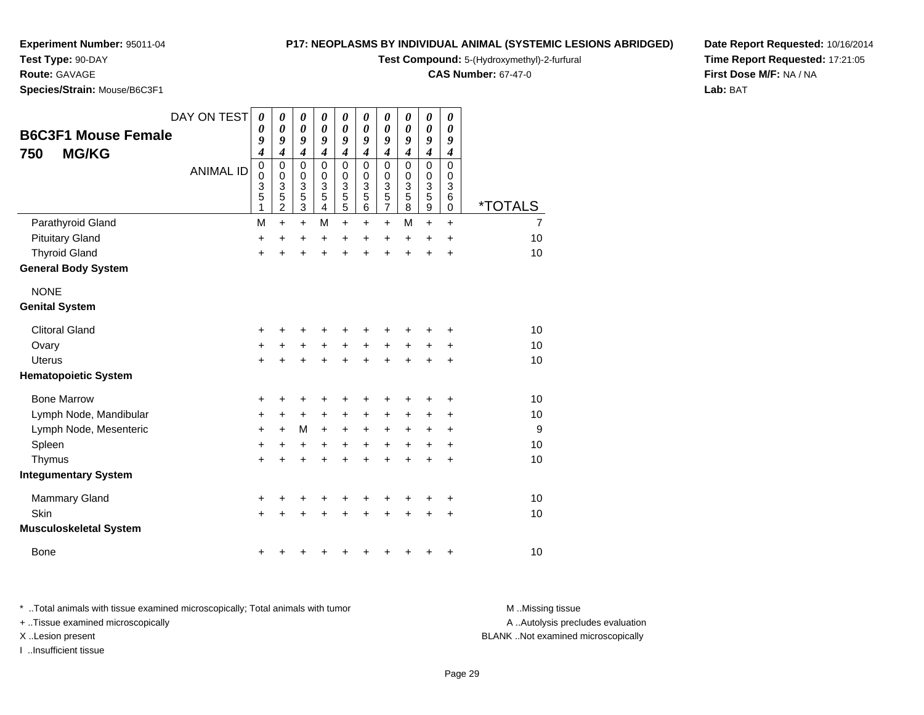#### **Test Type:** 90-DAY

**Route:** GAVAGE

**Species/Strain:** Mouse/B6C3F1

#### **P17: NEOPLASMS BY INDIVIDUAL ANIMAL (SYSTEMIC LESIONS ABRIDGED)**

**Test Compound:** 5-(Hydroxymethyl)-2-furfural

**CAS Number:** 67-47-0

**Date Report Requested:** 10/16/2014**Time Report Requested:** 17:21:05**First Dose M/F:** NA / NA**Lab:** BAT

| <b>B6C3F1 Mouse Female</b>    | DAY ON TEST      | 0<br>0                                    | 0<br>0                                                 | 0<br>$\boldsymbol{\theta}$                                                   | 0<br>0                          | $\boldsymbol{\theta}$<br>0                                | 0<br>0                       | $\boldsymbol{\theta}$<br>0                                             | 0<br>0                       | $\boldsymbol{\theta}$<br>0                            | $\boldsymbol{\theta}$<br>0                                  |                       |
|-------------------------------|------------------|-------------------------------------------|--------------------------------------------------------|------------------------------------------------------------------------------|---------------------------------|-----------------------------------------------------------|------------------------------|------------------------------------------------------------------------|------------------------------|-------------------------------------------------------|-------------------------------------------------------------|-----------------------|
| <b>MG/KG</b><br>750           |                  | 9<br>$\boldsymbol{4}$                     | 9<br>$\boldsymbol{4}$                                  | 9<br>$\boldsymbol{4}$                                                        | 9<br>$\boldsymbol{4}$           | 9<br>$\boldsymbol{4}$                                     | 9<br>$\boldsymbol{4}$        | 9<br>$\boldsymbol{4}$                                                  | 9<br>$\boldsymbol{4}$        | 9<br>$\boldsymbol{4}$                                 | 9<br>$\boldsymbol{4}$                                       |                       |
|                               | <b>ANIMAL ID</b> | $\mathbf 0$<br>$\mathbf 0$<br>3<br>5<br>1 | $\mathbf 0$<br>$\mathbf 0$<br>3<br>5<br>$\overline{c}$ | $\mathbf 0$<br>$\pmb{0}$<br>$\overline{3}$<br>$\overline{5}$<br>$\mathbf{3}$ | $\mathbf 0$<br>0<br>3<br>5<br>4 | 0<br>$\mathbf 0$<br>$\overline{3}$<br>5<br>$\overline{5}$ | $\Omega$<br>0<br>3<br>5<br>6 | $\mathbf 0$<br>0<br>$\overline{3}$<br>$\overline{5}$<br>$\overline{7}$ | $\Omega$<br>0<br>3<br>5<br>8 | $\mathbf 0$<br>0<br>$\frac{3}{5}$<br>$\boldsymbol{9}$ | $\mathbf 0$<br>0<br>$\ensuremath{\mathsf{3}}$<br>$\,6$<br>0 | <i><b>*TOTALS</b></i> |
| Parathyroid Gland             |                  | M                                         | $\ddot{}$                                              | $+$                                                                          | M                               | $\ddot{}$                                                 | $\pm$                        | $\ddot{}$                                                              | м                            | $\ddot{}$                                             | $+$                                                         | $\overline{7}$        |
| <b>Pituitary Gland</b>        |                  | $\ddot{}$                                 | +                                                      | +                                                                            | +                               | $\ddot{}$                                                 | +                            | +                                                                      | $\pm$                        | +                                                     | $\ddot{}$                                                   | 10                    |
| <b>Thyroid Gland</b>          |                  | +                                         |                                                        | $\ddot{}$                                                                    | Ŧ.                              | $\ddot{}$                                                 | $\ddot{}$                    | $\ddot{}$                                                              | $\ddot{}$                    | $\ddot{}$                                             | $\ddot{}$                                                   | 10                    |
| <b>General Body System</b>    |                  |                                           |                                                        |                                                                              |                                 |                                                           |                              |                                                                        |                              |                                                       |                                                             |                       |
| <b>NONE</b>                   |                  |                                           |                                                        |                                                                              |                                 |                                                           |                              |                                                                        |                              |                                                       |                                                             |                       |
| <b>Genital System</b>         |                  |                                           |                                                        |                                                                              |                                 |                                                           |                              |                                                                        |                              |                                                       |                                                             |                       |
| <b>Clitoral Gland</b>         |                  | +                                         |                                                        |                                                                              |                                 |                                                           |                              | +                                                                      |                              |                                                       | +                                                           | 10                    |
| Ovary                         |                  | +                                         | +                                                      | +                                                                            | +                               | $\ddot{}$                                                 | +                            | +                                                                      | +                            | +                                                     | +                                                           | 10                    |
| Uterus                        |                  | $+$                                       |                                                        | +                                                                            | +                               | +                                                         | $\ddot{}$                    | $\ddot{}$                                                              | +                            | +                                                     | $\ddot{}$                                                   | 10                    |
| <b>Hematopoietic System</b>   |                  |                                           |                                                        |                                                                              |                                 |                                                           |                              |                                                                        |                              |                                                       |                                                             |                       |
| <b>Bone Marrow</b>            |                  | +                                         |                                                        | +                                                                            |                                 | +                                                         | +                            | +                                                                      | +                            | +                                                     | +                                                           | 10                    |
| Lymph Node, Mandibular        |                  | +                                         | ٠                                                      | $\ddot{}$                                                                    | +                               | +                                                         | +                            | +                                                                      | $\pm$                        | +                                                     | +                                                           | 10                    |
| Lymph Node, Mesenteric        |                  | $\ddot{}$                                 | $\ddot{}$                                              | M                                                                            | $\ddot{}$                       | +                                                         | +                            | +                                                                      | $\pm$                        | +                                                     | $\ddot{}$                                                   | 9                     |
| Spleen                        |                  | $\ddot{}$                                 | +                                                      | +                                                                            | +                               | $\ddot{}$                                                 | +                            | $\ddot{}$                                                              | $\ddot{}$                    | $\ddot{}$                                             | $\ddot{}$                                                   | 10                    |
| Thymus                        |                  | +                                         |                                                        | +                                                                            | +                               | $\ddot{}$                                                 | +                            | $\ddot{}$                                                              | $\ddot{}$                    | $\ddot{}$                                             | $\ddot{}$                                                   | 10                    |
| <b>Integumentary System</b>   |                  |                                           |                                                        |                                                                              |                                 |                                                           |                              |                                                                        |                              |                                                       |                                                             |                       |
| <b>Mammary Gland</b>          |                  | +                                         |                                                        | +                                                                            | +                               | +                                                         | +                            | +                                                                      | +                            | +                                                     | +                                                           | 10                    |
| Skin                          |                  | $\ddot{}$                                 |                                                        |                                                                              |                                 |                                                           |                              | +                                                                      |                              | +                                                     | +                                                           | 10                    |
| <b>Musculoskeletal System</b> |                  |                                           |                                                        |                                                                              |                                 |                                                           |                              |                                                                        |                              |                                                       |                                                             |                       |
| <b>Bone</b>                   |                  | +                                         |                                                        |                                                                              |                                 |                                                           | +                            | +                                                                      | +                            | +                                                     | +                                                           | 10                    |

\* ..Total animals with tissue examined microscopically; Total animals with tumor **M** . Missing tissue M ..Missing tissue + ..Tissue examined microscopically

I ..Insufficient tissue